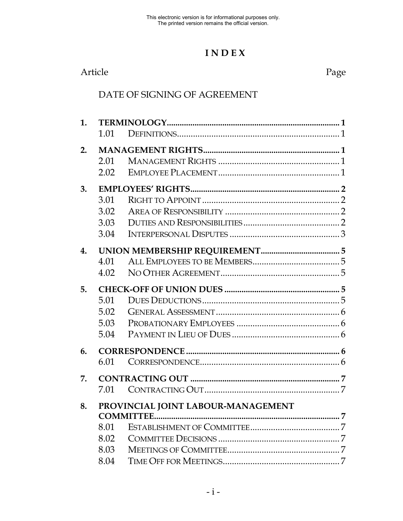# **I N D E X**

| Article | Page |
|---------|------|
|         |      |

### DATE OF SIGNING OF AGREEMENT

| 1. |      |                                    |
|----|------|------------------------------------|
|    | 1.01 |                                    |
| 2. |      |                                    |
|    | 2.01 |                                    |
|    | 2.02 |                                    |
| 3. |      |                                    |
|    | 3.01 |                                    |
|    | 3.02 |                                    |
|    | 3.03 |                                    |
|    | 3.04 |                                    |
| 4. |      |                                    |
|    | 4.01 |                                    |
|    | 4.02 |                                    |
| 5. |      |                                    |
|    | 5.01 |                                    |
|    | 5.02 |                                    |
|    | 5.03 |                                    |
|    | 5.04 |                                    |
| 6. |      |                                    |
|    | 6.01 |                                    |
| 7. |      |                                    |
|    | 7.01 |                                    |
| 8. |      | PROVINCIAL JOINT LABOUR-MANAGEMENT |
|    |      |                                    |
|    | 8.01 |                                    |
|    | 8.02 |                                    |
|    | 8.03 |                                    |
|    | 8.04 |                                    |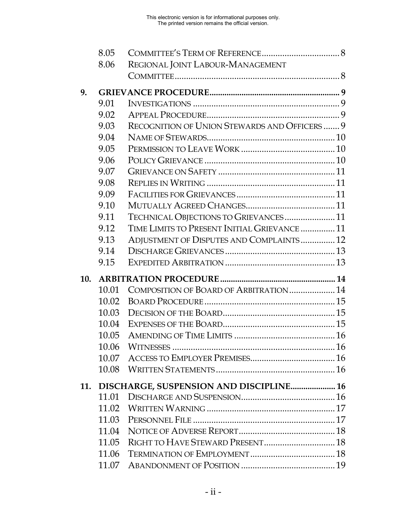|     | 8.05  |                                              |
|-----|-------|----------------------------------------------|
|     | 8.06  | REGIONAL JOINT LABOUR-MANAGEMENT             |
|     |       |                                              |
| 9.  |       |                                              |
|     | 9.01  |                                              |
|     | 9.02  |                                              |
|     | 9.03  | RECOGNITION OF UNION STEWARDS AND OFFICERS 9 |
|     | 9.04  |                                              |
|     | 9.05  |                                              |
|     | 9.06  |                                              |
|     | 9.07  |                                              |
|     | 9.08  |                                              |
|     | 9.09  |                                              |
|     | 9.10  |                                              |
|     | 9.11  | TECHNICAL OBJECTIONS TO GRIEVANCES 11        |
|     | 9.12  | TIME LIMITS TO PRESENT INITIAL GRIEVANCE  11 |
|     | 9.13  | ADJUSTMENT OF DISPUTES AND COMPLAINTS 12     |
|     | 9.14  |                                              |
|     | 9.15  |                                              |
| 10. |       |                                              |
|     | 10.01 | COMPOSITION OF BOARD OF ARBITRATION 14       |
|     | 10.02 |                                              |
|     | 10.03 |                                              |
|     | 10.04 |                                              |
|     | 10.05 |                                              |
|     | 10.06 |                                              |
|     | 10.07 |                                              |
|     | 10.08 |                                              |
|     |       | 11. DISCHARGE, SUSPENSION AND DISCIPLINE 16  |
|     | 11.01 |                                              |
|     | 11.02 |                                              |
|     | 11.03 |                                              |
|     | 11.04 |                                              |
|     | 11.05 |                                              |
|     | 11.06 |                                              |
|     | 11.07 |                                              |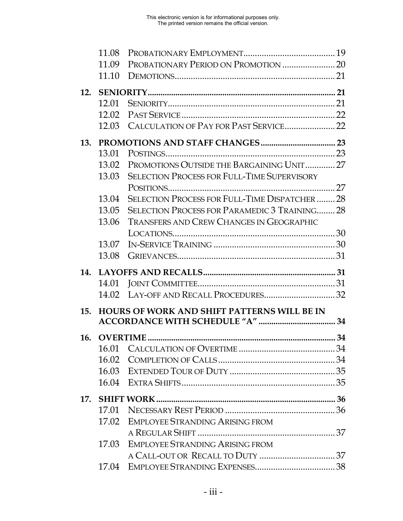|     | 11.08 |                                                    |  |
|-----|-------|----------------------------------------------------|--|
|     | 11.09 |                                                    |  |
|     | 11.10 |                                                    |  |
| 12. |       |                                                    |  |
|     | 12.01 |                                                    |  |
|     | 12.02 |                                                    |  |
|     | 12.03 |                                                    |  |
| 13. |       |                                                    |  |
|     | 13.01 |                                                    |  |
|     | 13.02 | PROMOTIONS OUTSIDE THE BARGAINING UNIT  27         |  |
|     | 13.03 | <b>SELECTION PROCESS FOR FULL-TIME SUPERVISORY</b> |  |
|     |       |                                                    |  |
|     | 13.04 | SELECTION PROCESS FOR FULL-TIME DISPATCHER  28     |  |
|     | 13.05 | SELECTION PROCESS FOR PARAMEDIC 3 TRAINING 28      |  |
|     | 13.06 | <b>TRANSFERS AND CREW CHANGES IN GEOGRAPHIC</b>    |  |
|     |       |                                                    |  |
|     | 13.07 |                                                    |  |
|     | 13.08 |                                                    |  |
|     |       |                                                    |  |
|     |       |                                                    |  |
| 14. |       |                                                    |  |
|     | 14.01 |                                                    |  |
|     | 14.02 |                                                    |  |
| 15. |       | <b>HOURS OF WORK AND SHIFT PATTERNS WILL BE IN</b> |  |
|     |       |                                                    |  |
| 16. |       |                                                    |  |
|     | 16.01 |                                                    |  |
|     |       |                                                    |  |
|     |       |                                                    |  |
|     |       |                                                    |  |
|     |       |                                                    |  |
|     | 17.01 |                                                    |  |
|     | 17.02 | <b>EMPLOYEE STRANDING ARISING FROM</b>             |  |
|     |       |                                                    |  |
|     | 17.03 | <b>EMPLOYEE STRANDING ARISING FROM</b>             |  |
|     |       |                                                    |  |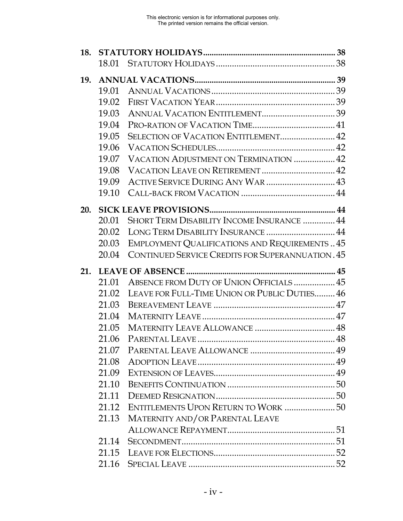| 18. |       |                                                         |  |
|-----|-------|---------------------------------------------------------|--|
|     | 18.01 |                                                         |  |
| 19. |       |                                                         |  |
|     | 19.01 |                                                         |  |
|     | 19.02 |                                                         |  |
|     | 19.03 |                                                         |  |
|     | 19.04 |                                                         |  |
|     | 19.05 | SELECTION OF VACATION ENTITLEMENT 42                    |  |
|     | 19.06 |                                                         |  |
|     | 19.07 | VACATION ADJUSTMENT ON TERMINATION  42                  |  |
|     | 19.08 |                                                         |  |
|     | 19.09 | ACTIVE SERVICE DURING ANY WAR  43                       |  |
|     | 19.10 |                                                         |  |
| 20. |       |                                                         |  |
|     | 20.01 | SHORT TERM DISABILITY INCOME INSURANCE  44              |  |
|     | 20.02 | LONG TERM DISABILITY INSURANCE  44                      |  |
|     | 20.03 | EMPLOYMENT QUALIFICATIONS AND REQUIREMENTS45            |  |
|     | 20.04 | <b>CONTINUED SERVICE CREDITS FOR SUPERANNUATION. 45</b> |  |
|     |       |                                                         |  |
| 21. |       |                                                         |  |
|     | 21.01 | ABSENCE FROM DUTY OF UNION OFFICIALS  45                |  |
|     | 21.02 | LEAVE FOR FULL-TIME UNION OR PUBLIC DUTIES 46           |  |
|     | 21.03 |                                                         |  |
|     | 21.04 |                                                         |  |
|     | 21.05 |                                                         |  |
|     | 21.06 |                                                         |  |
|     |       |                                                         |  |
|     |       |                                                         |  |
|     |       |                                                         |  |
|     | 21.10 |                                                         |  |
|     |       |                                                         |  |
|     |       | 21.12 ENTITLEMENTS UPON RETURN TO WORK  50              |  |
|     | 21.13 | MATERNITY AND/OR PARENTAL LEAVE                         |  |
|     |       |                                                         |  |
|     | 21.14 |                                                         |  |
|     |       |                                                         |  |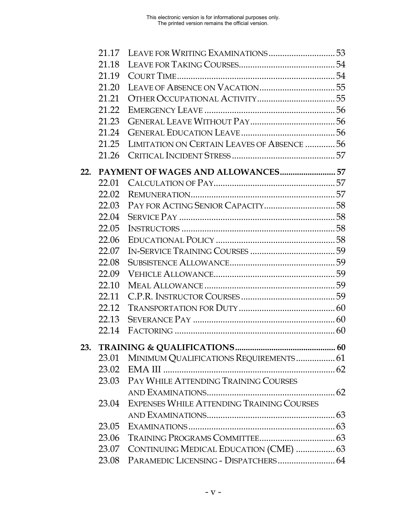|     | 21.17 |                                            |  |
|-----|-------|--------------------------------------------|--|
|     | 21.18 |                                            |  |
|     | 21.19 |                                            |  |
|     | 21.20 |                                            |  |
|     | 21.21 |                                            |  |
|     | 21.22 |                                            |  |
|     | 21.23 |                                            |  |
|     | 21.24 |                                            |  |
|     | 21.25 | LIMITATION ON CERTAIN LEAVES OF ABSENCE 56 |  |
|     | 21.26 |                                            |  |
| 22. |       |                                            |  |
|     | 22.01 |                                            |  |
|     | 22.02 |                                            |  |
|     | 22.03 |                                            |  |
|     | 22.04 |                                            |  |
|     | 22.05 |                                            |  |
|     | 22.06 |                                            |  |
|     | 22.07 |                                            |  |
|     | 22.08 |                                            |  |
|     | 22.09 |                                            |  |
|     | 22.10 |                                            |  |
|     | 22.11 |                                            |  |
|     | 22.12 |                                            |  |
|     | 22.13 |                                            |  |
|     | 22.14 |                                            |  |
| 23. |       |                                            |  |
|     | 23.01 | MINIMUM QUALIFICATIONS REQUIREMENTS 61     |  |
|     | 23.02 |                                            |  |
|     | 23.03 | PAY WHILE ATTENDING TRAINING COURSES       |  |
|     |       |                                            |  |
|     | 23.04 | EXPENSES WHILE ATTENDING TRAINING COURSES  |  |
|     |       |                                            |  |
|     | 23.05 |                                            |  |
|     | 23.06 |                                            |  |
|     | 23.07 | CONTINUING MEDICAL EDUCATION (CME)  63     |  |
|     | 23.08 |                                            |  |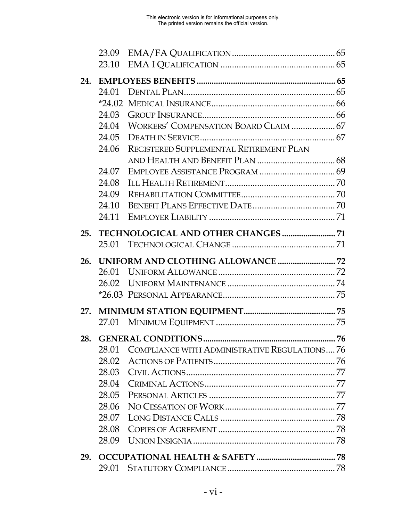| 23.10 |                                              |                                                                                                   |
|-------|----------------------------------------------|---------------------------------------------------------------------------------------------------|
|       |                                              |                                                                                                   |
| 24.   |                                              |                                                                                                   |
| 24.01 |                                              |                                                                                                   |
|       |                                              |                                                                                                   |
| 24.03 |                                              |                                                                                                   |
|       |                                              |                                                                                                   |
|       |                                              |                                                                                                   |
| 24.06 | REGISTERED SUPPLEMENTAL RETIREMENT PLAN      |                                                                                                   |
|       |                                              |                                                                                                   |
| 24.07 |                                              |                                                                                                   |
| 24.08 |                                              |                                                                                                   |
| 24.09 |                                              |                                                                                                   |
| 24.10 |                                              |                                                                                                   |
| 24.11 |                                              |                                                                                                   |
|       |                                              |                                                                                                   |
|       |                                              |                                                                                                   |
|       |                                              |                                                                                                   |
| 26.01 |                                              |                                                                                                   |
|       |                                              |                                                                                                   |
|       |                                              |                                                                                                   |
|       |                                              |                                                                                                   |
|       |                                              |                                                                                                   |
|       |                                              |                                                                                                   |
| 28.   |                                              |                                                                                                   |
| 28.01 | COMPLIANCE WITH ADMINISTRATIVE REGULATIONS76 |                                                                                                   |
| 28.02 |                                              |                                                                                                   |
|       |                                              |                                                                                                   |
|       |                                              |                                                                                                   |
| 28.05 |                                              |                                                                                                   |
|       |                                              |                                                                                                   |
| 28.07 |                                              |                                                                                                   |
| 28.08 |                                              |                                                                                                   |
| 28.09 |                                              |                                                                                                   |
| 29.   |                                              |                                                                                                   |
|       | 25.<br>26.                                   | 24.04 WORKERS' COMPENSATION BOARD CLAIM  67<br>25.01<br><b>UNIFORM AND CLOTHING ALLOWANCE  72</b> |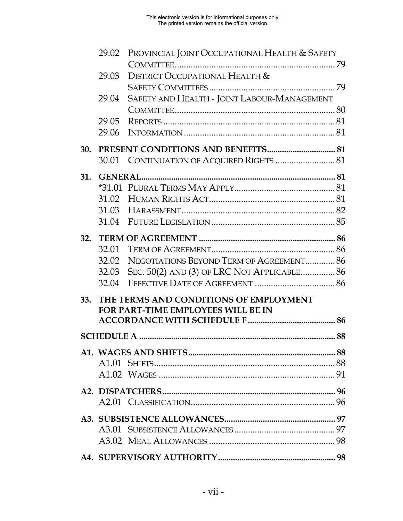|     | 29.02 | PROVINCIAL JOINT OCCUPATIONAL HEALTH & SAFETY |  |
|-----|-------|-----------------------------------------------|--|
|     |       |                                               |  |
|     | 29.03 | DISTRICT OCCUPATIONAL HEALTH &                |  |
|     |       |                                               |  |
|     | 29.04 | SAFETY AND HEALTH - JOINT LABOUR-MANAGEMENT   |  |
|     |       |                                               |  |
|     | 29.05 |                                               |  |
|     | 29.06 |                                               |  |
| 30. |       |                                               |  |
|     | 30.01 |                                               |  |
|     |       |                                               |  |
| 31. |       |                                               |  |
|     |       |                                               |  |
|     | 31.03 |                                               |  |
|     |       |                                               |  |
|     |       |                                               |  |
|     |       |                                               |  |
|     | 32.01 |                                               |  |
|     | 32.02 | NEGOTIATIONS BEYOND TERM OF AGREEMENT 86      |  |
|     | 32.03 | SEC. 50(2) AND (3) OF LRC NOT APPLICABLE 86   |  |
|     | 32.04 |                                               |  |
| 33. |       | THE TERMS AND CONDITIONS OF EMPLOYMENT        |  |
|     |       | FOR PART-TIME EMPLOYEES WILL BE IN            |  |
|     |       |                                               |  |
|     |       |                                               |  |
|     |       |                                               |  |
|     |       |                                               |  |
|     |       |                                               |  |
|     |       |                                               |  |
|     |       |                                               |  |
|     |       |                                               |  |
|     |       |                                               |  |
|     |       |                                               |  |
|     |       |                                               |  |
|     |       |                                               |  |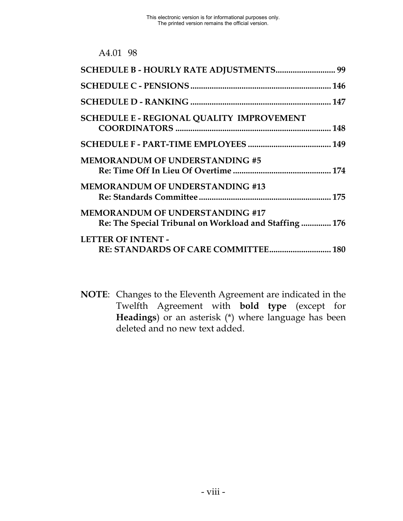| A4.01 | 98 |
|-------|----|
|       |    |

| SCHEDULE B - HOURLY RATE ADJUSTMENTS 99                                                          |  |
|--------------------------------------------------------------------------------------------------|--|
|                                                                                                  |  |
|                                                                                                  |  |
| <b>SCHEDULE E - REGIONAL QUALITY IMPROVEMENT</b>                                                 |  |
|                                                                                                  |  |
| <b>MEMORANDUM OF UNDERSTANDING #5</b>                                                            |  |
| <b>MEMORANDUM OF UNDERSTANDING #13</b>                                                           |  |
| <b>MEMORANDUM OF UNDERSTANDING #17</b><br>Re: The Special Tribunal on Workload and Staffing  176 |  |
| <b>LETTER OF INTENT -</b>                                                                        |  |

**NOTE**: Changes to the Eleventh Agreement are indicated in the Twelfth Agreement with **bold type** (except for **Headings**) or an asterisk (\*) where language has been deleted and no new text added.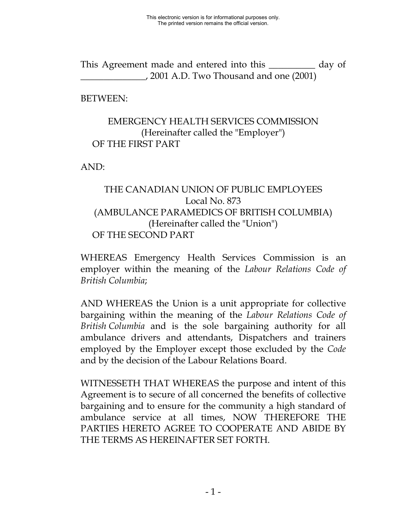This Agreement made and entered into this \_\_\_\_\_\_\_\_\_\_ day of \_\_\_\_\_\_\_\_\_\_\_\_\_\_, 2001 A.D. Two Thousand and one (2001)

BETWEEN:

#### EMERGENCY HEALTH SERVICES COMMISSION (Hereinafter called the "Employer") OF THE FIRST PART

AND:

## THE CANADIAN UNION OF PUBLIC EMPLOYEES Local No. 873 (AMBULANCE PARAMEDICS OF BRITISH COLUMBIA) (Hereinafter called the "Union") OF THE SECOND PART

WHEREAS Emergency Health Services Commission is an employer within the meaning of the *Labour Relations Code of British Columbia*;

AND WHEREAS the Union is a unit appropriate for collective bargaining within the meaning of the *Labour Relations Code of British Columbia* and is the sole bargaining authority for all ambulance drivers and attendants, Dispatchers and trainers employed by the Employer except those excluded by the *Code* and by the decision of the Labour Relations Board.

WITNESSETH THAT WHEREAS the purpose and intent of this Agreement is to secure of all concerned the benefits of collective bargaining and to ensure for the community a high standard of ambulance service at all times, NOW THEREFORE THE PARTIES HERETO AGREE TO COOPERATE AND ABIDE BY THE TERMS AS HEREINAFTER SET FORTH.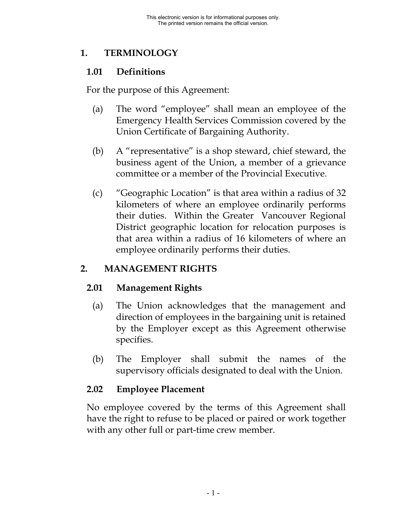## <span id="page-9-0"></span>**1. TERMINOLOGY**

## **1.01 Definitions**

For the purpose of this Agreement:

- (a) The word "employee" shall mean an employee of the Emergency Health Services Commission covered by the Union Certificate of Bargaining Authority.
- (b) A "representative" is a shop steward, chief steward, the business agent of the Union, a member of a grievance committee or a member of the Provincial Executive.
- (c) "Geographic Location" is that area within a radius of 32 kilometers of where an employee ordinarily performs their duties. Within the Greater Vancouver Regional District geographic location for relocation purposes is that area within a radius of 16 kilometers of where an employee ordinarily performs their duties.

# **2. MANAGEMENT RIGHTS**

# **2.01 Management Rights**

- (a) The Union acknowledges that the management and direction of employees in the bargaining unit is retained by the Employer except as this Agreement otherwise specifies.
- (b) The Employer shall submit the names of the supervisory officials designated to deal with the Union.

# **2.02 Employee Placement**

No employee covered by the terms of this Agreement shall have the right to refuse to be placed or paired or work together with any other full or part-time crew member.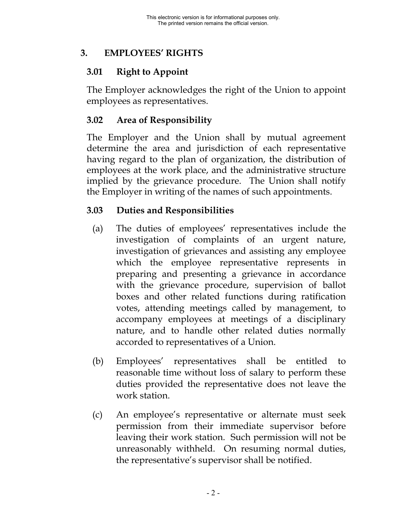## <span id="page-10-0"></span>**3. EMPLOYEES' RIGHTS**

## **3.01 Right to Appoint**

The Employer acknowledges the right of the Union to appoint employees as representatives.

## **3.02 Area of Responsibility**

The Employer and the Union shall by mutual agreement determine the area and jurisdiction of each representative having regard to the plan of organization, the distribution of employees at the work place, and the administrative structure implied by the grievance procedure. The Union shall notify the Employer in writing of the names of such appointments.

## **3.03 Duties and Responsibilities**

- (a) The duties of employees' representatives include the investigation of complaints of an urgent nature, investigation of grievances and assisting any employee which the employee representative represents in preparing and presenting a grievance in accordance with the grievance procedure, supervision of ballot boxes and other related functions during ratification votes, attending meetings called by management, to accompany employees at meetings of a disciplinary nature, and to handle other related duties normally accorded to representatives of a Union.
- (b) Employees' representatives shall be entitled to reasonable time without loss of salary to perform these duties provided the representative does not leave the work station.
- (c) An employee's representative or alternate must seek permission from their immediate supervisor before leaving their work station. Such permission will not be unreasonably withheld. On resuming normal duties, the representative's supervisor shall be notified.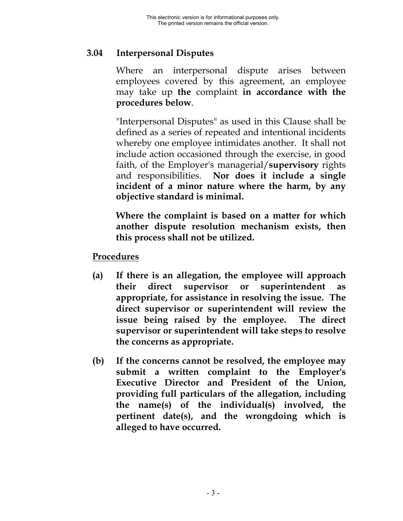### <span id="page-11-0"></span>**3.04 Interpersonal Disputes**

Where an interpersonal dispute arises between employees covered by this agreement, an employee may take up **the** complaint **in accordance with the procedures below**.

"Interpersonal Disputes" as used in this Clause shall be defined as a series of repeated and intentional incidents whereby one employee intimidates another. It shall not include action occasioned through the exercise, in good faith, of the Employer's managerial/**supervisory** rights and responsibilities. **Nor does it include a single incident of a minor nature where the harm, by any objective standard is minimal.**

**Where the complaint is based on a matter for which another dispute resolution mechanism exists, then this process shall not be utilized.**

#### **Procedures**

- **(a) If there is an allegation, the employee will approach** their direct supervisor or superintendent **appropriate, for assistance in resolving the issue. The direct supervisor or superintendent will review the issue being raised by the employee. The direct supervisor or superintendent will take steps to resolve the concerns as appropriate.**
- **(b) If the concerns cannot be resolved, the employee may submit a written complaint to the Employer's Executive Director and President of the Union, providing full particulars of the allegation, including the name(s) of the individual(s) involved, the pertinent date(s), and the wrongdoing which is alleged to have occurred.**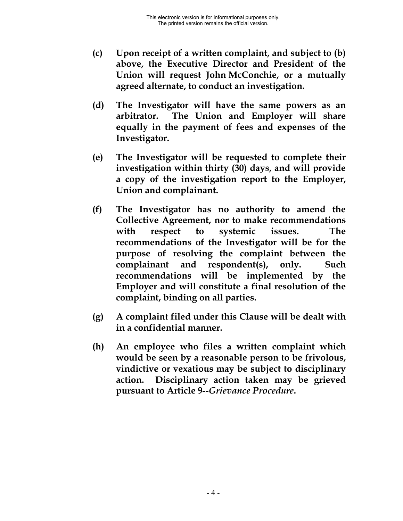- **(c) Upon receipt of a written complaint, and subject to (b) above, the Executive Director and President of the Union will request John McConchie, or a mutually agreed alternate, to conduct an investigation.**
- **(d) The Investigator will have the same powers as an arbitrator. The Union and Employer will share equally in the payment of fees and expenses of the Investigator.**
- **(e) The Investigator will be requested to complete their investigation within thirty (30) days, and will provide a copy of the investigation report to the Employer, Union and complainant.**
- **(f) The Investigator has no authority to amend the Collective Agreement, nor to make recommendations with respect to systemic issues. The recommendations of the Investigator will be for the purpose of resolving the complaint between the complainant and respondent(s), only. Such recommendations will be implemented by the Employer and will constitute a final resolution of the complaint, binding on all parties.**
- **(g) A complaint filed under this Clause will be dealt with in a confidential manner.**
- **(h) An employee who files a written complaint which would be seen by a reasonable person to be frivolous, vindictive or vexatious may be subject to disciplinary action. Disciplinary action taken may be grieved pursuant to Article 9--***Grievance Procedure***.**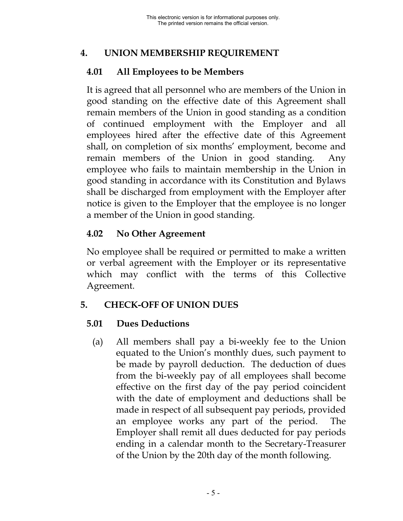## <span id="page-13-0"></span>**4. UNION MEMBERSHIP REQUIREMENT**

## **4.01 All Employees to be Members**

It is agreed that all personnel who are members of the Union in good standing on the effective date of this Agreement shall remain members of the Union in good standing as a condition of continued employment with the Employer and all employees hired after the effective date of this Agreement shall, on completion of six months' employment, become and remain members of the Union in good standing. Any employee who fails to maintain membership in the Union in good standing in accordance with its Constitution and Bylaws shall be discharged from employment with the Employer after notice is given to the Employer that the employee is no longer a member of the Union in good standing.

# **4.02 No Other Agreement**

No employee shall be required or permitted to make a written or verbal agreement with the Employer or its representative which may conflict with the terms of this Collective Agreement.

# **5. CHECK-OFF OF UNION DUES**

# **5.01 Dues Deductions**

(a) All members shall pay a bi-weekly fee to the Union equated to the Union's monthly dues, such payment to be made by payroll deduction. The deduction of dues from the bi-weekly pay of all employees shall become effective on the first day of the pay period coincident with the date of employment and deductions shall be made in respect of all subsequent pay periods, provided an employee works any part of the period. The Employer shall remit all dues deducted for pay periods ending in a calendar month to the Secretary-Treasurer of the Union by the 20th day of the month following.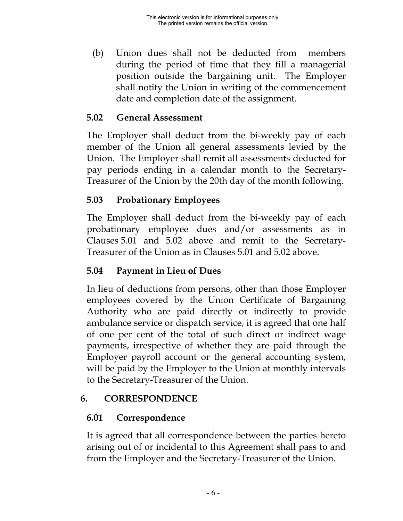<span id="page-14-0"></span>(b) Union dues shall not be deducted from members during the period of time that they fill a managerial position outside the bargaining unit. The Employer shall notify the Union in writing of the commencement date and completion date of the assignment.

#### **5.02 General Assessment**

The Employer shall deduct from the bi-weekly pay of each member of the Union all general assessments levied by the Union. The Employer shall remit all assessments deducted for pay periods ending in a calendar month to the Secretary-Treasurer of the Union by the 20th day of the month following.

## **5.03 Probationary Employees**

The Employer shall deduct from the bi-weekly pay of each probationary employee dues and/or assessments as in Clauses 5.01 and 5.02 above and remit to the Secretary-Treasurer of the Union as in Clauses 5.01 and 5.02 above.

# **5.04 Payment in Lieu of Dues**

In lieu of deductions from persons, other than those Employer employees covered by the Union Certificate of Bargaining Authority who are paid directly or indirectly to provide ambulance service or dispatch service, it is agreed that one half of one per cent of the total of such direct or indirect wage payments, irrespective of whether they are paid through the Employer payroll account or the general accounting system, will be paid by the Employer to the Union at monthly intervals to the Secretary-Treasurer of the Union.

## **6. CORRESPONDENCE**

## **6.01 Correspondence**

It is agreed that all correspondence between the parties hereto arising out of or incidental to this Agreement shall pass to and from the Employer and the Secretary-Treasurer of the Union.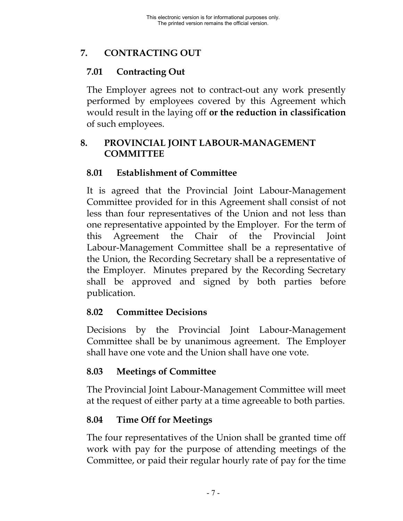# <span id="page-15-0"></span>**7. CONTRACTING OUT**

## **7.01 Contracting Out**

The Employer agrees not to contract-out any work presently performed by employees covered by this Agreement which would result in the laying off **or the reduction in classification** of such employees.

#### **8. PROVINCIAL JOINT LABOUR-MANAGEMENT COMMITTEE**

## **8.01 Establishment of Committee**

It is agreed that the Provincial Joint Labour-Management Committee provided for in this Agreement shall consist of not less than four representatives of the Union and not less than one representative appointed by the Employer. For the term of this Agreement the Chair of the Provincial Joint Labour-Management Committee shall be a representative of the Union, the Recording Secretary shall be a representative of the Employer. Minutes prepared by the Recording Secretary shall be approved and signed by both parties before publication.

## **8.02 Committee Decisions**

Decisions by the Provincial Joint Labour-Management Committee shall be by unanimous agreement. The Employer shall have one vote and the Union shall have one vote.

## **8.03 Meetings of Committee**

The Provincial Joint Labour-Management Committee will meet at the request of either party at a time agreeable to both parties.

## **8.04 Time Off for Meetings**

The four representatives of the Union shall be granted time off work with pay for the purpose of attending meetings of the Committee, or paid their regular hourly rate of pay for the time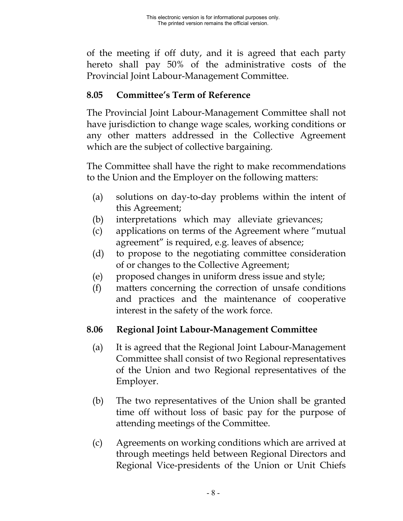<span id="page-16-0"></span>of the meeting if off duty, and it is agreed that each party hereto shall pay 50% of the administrative costs of the Provincial Joint Labour-Management Committee.

## **8.05 Committee's Term of Reference**

The Provincial Joint Labour-Management Committee shall not have jurisdiction to change wage scales, working conditions or any other matters addressed in the Collective Agreement which are the subject of collective bargaining.

The Committee shall have the right to make recommendations to the Union and the Employer on the following matters:

- (a) solutions on day-to-day problems within the intent of this Agreement;
- (b) interpretations which may alleviate grievances;
- (c) applications on terms of the Agreement where "mutual agreement" is required, e.g. leaves of absence;
- (d) to propose to the negotiating committee consideration of or changes to the Collective Agreement;
- (e) proposed changes in uniform dress issue and style;
- (f) matters concerning the correction of unsafe conditions and practices and the maintenance of cooperative interest in the safety of the work force.

#### **8.06 Regional Joint Labour-Management Committee**

- (a) It is agreed that the Regional Joint Labour-Management Committee shall consist of two Regional representatives of the Union and two Regional representatives of the Employer.
- (b) The two representatives of the Union shall be granted time off without loss of basic pay for the purpose of attending meetings of the Committee.
- (c) Agreements on working conditions which are arrived at through meetings held between Regional Directors and Regional Vice-presidents of the Union or Unit Chiefs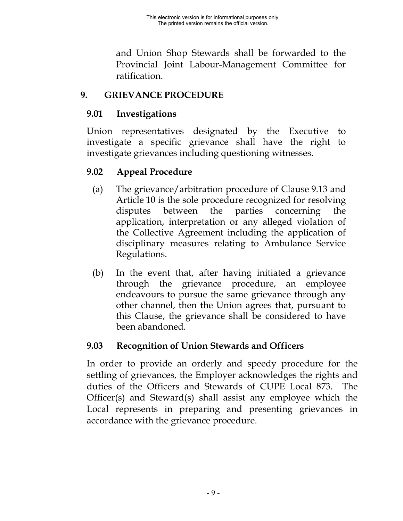and Union Shop Stewards shall be forwarded to the Provincial Joint Labour-Management Committee for ratification.

## <span id="page-17-0"></span>**9. GRIEVANCE PROCEDURE**

## **9.01 Investigations**

Union representatives designated by the Executive to investigate a specific grievance shall have the right to investigate grievances including questioning witnesses.

# **9.02 Appeal Procedure**

- (a) The grievance/arbitration procedure of Clause 9.13 and Article 10 is the sole procedure recognized for resolving disputes between the parties concerning the application, interpretation or any alleged violation of the Collective Agreement including the application of disciplinary measures relating to Ambulance Service Regulations.
- (b) In the event that, after having initiated a grievance through the grievance procedure, an employee endeavours to pursue the same grievance through any other channel, then the Union agrees that, pursuant to this Clause, the grievance shall be considered to have been abandoned.

# **9.03 Recognition of Union Stewards and Officers**

In order to provide an orderly and speedy procedure for the settling of grievances, the Employer acknowledges the rights and duties of the Officers and Stewards of CUPE Local 873. The Officer(s) and Steward(s) shall assist any employee which the Local represents in preparing and presenting grievances in accordance with the grievance procedure.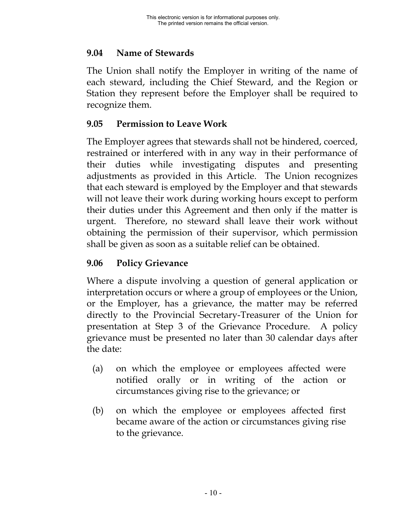## <span id="page-18-0"></span>**9.04 Name of Stewards**

The Union shall notify the Employer in writing of the name of each steward, including the Chief Steward, and the Region or Station they represent before the Employer shall be required to recognize them.

## **9.05 Permission to Leave Work**

The Employer agrees that stewards shall not be hindered, coerced, restrained or interfered with in any way in their performance of their duties while investigating disputes and presenting adjustments as provided in this Article. The Union recognizes that each steward is employed by the Employer and that stewards will not leave their work during working hours except to perform their duties under this Agreement and then only if the matter is urgent. Therefore, no steward shall leave their work without obtaining the permission of their supervisor, which permission shall be given as soon as a suitable relief can be obtained.

## **9.06 Policy Grievance**

Where a dispute involving a question of general application or interpretation occurs or where a group of employees or the Union, or the Employer, has a grievance, the matter may be referred directly to the Provincial Secretary-Treasurer of the Union for presentation at Step 3 of the Grievance Procedure. A policy grievance must be presented no later than 30 calendar days after the date:

- (a) on which the employee or employees affected were notified orally or in writing of the action or circumstances giving rise to the grievance; or
- (b) on which the employee or employees affected first became aware of the action or circumstances giving rise to the grievance.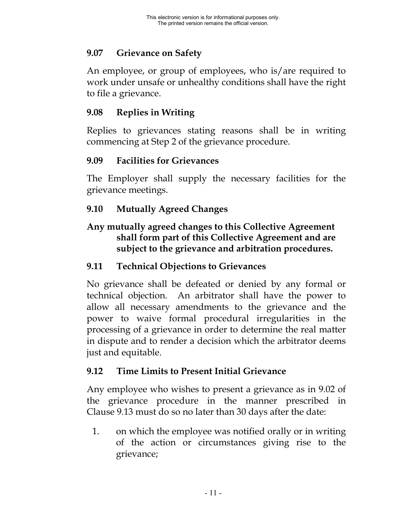## <span id="page-19-0"></span>**9.07 Grievance on Safety**

An employee, or group of employees, who is/are required to work under unsafe or unhealthy conditions shall have the right to file a grievance.

### **9.08 Replies in Writing**

Replies to grievances stating reasons shall be in writing commencing at Step 2 of the grievance procedure.

### **9.09 Facilities for Grievances**

The Employer shall supply the necessary facilities for the grievance meetings.

## **9.10 Mutually Agreed Changes**

### **Any mutually agreed changes to this Collective Agreement shall form part of this Collective Agreement and are subject to the grievance and arbitration procedures.**

### **9.11 Technical Objections to Grievances**

No grievance shall be defeated or denied by any formal or technical objection. An arbitrator shall have the power to allow all necessary amendments to the grievance and the power to waive formal procedural irregularities in the processing of a grievance in order to determine the real matter in dispute and to render a decision which the arbitrator deems just and equitable.

#### **9.12 Time Limits to Present Initial Grievance**

Any employee who wishes to present a grievance as in 9.02 of the grievance procedure in the manner prescribed in Clause 9.13 must do so no later than 30 days after the date:

1. on which the employee was notified orally or in writing of the action or circumstances giving rise to the grievance;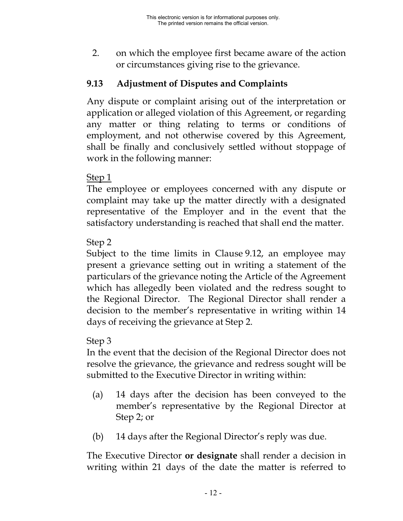<span id="page-20-0"></span>2. on which the employee first became aware of the action or circumstances giving rise to the grievance.

## **9.13 Adjustment of Disputes and Complaints**

Any dispute or complaint arising out of the interpretation or application or alleged violation of this Agreement, or regarding any matter or thing relating to terms or conditions of employment, and not otherwise covered by this Agreement, shall be finally and conclusively settled without stoppage of work in the following manner:

### Step 1

The employee or employees concerned with any dispute or complaint may take up the matter directly with a designated representative of the Employer and in the event that the satisfactory understanding is reached that shall end the matter.

### Step 2

Subject to the time limits in Clause 9.12, an employee may present a grievance setting out in writing a statement of the particulars of the grievance noting the Article of the Agreement which has allegedly been violated and the redress sought to the Regional Director. The Regional Director shall render a decision to the member's representative in writing within 14 days of receiving the grievance at Step 2.

#### Step 3

In the event that the decision of the Regional Director does not resolve the grievance, the grievance and redress sought will be submitted to the Executive Director in writing within:

- (a) 14 days after the decision has been conveyed to the member's representative by the Regional Director at Step 2; or
- (b) 14 days after the Regional Director's reply was due.

The Executive Director **or designate** shall render a decision in writing within 21 days of the date the matter is referred to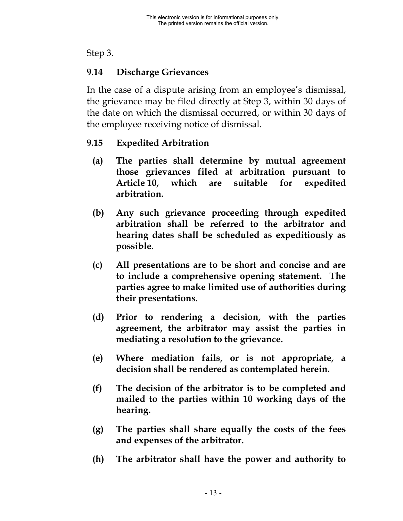#### <span id="page-21-0"></span>Step 3.

## **9.14 Discharge Grievances**

In the case of a dispute arising from an employee's dismissal, the grievance may be filed directly at Step 3, within 30 days of the date on which the dismissal occurred, or within 30 days of the employee receiving notice of dismissal.

### **9.15 Expedited Arbitration**

- **(a) The parties shall determine by mutual agreement those grievances filed at arbitration pursuant to Article 10, which are suitable for expedited arbitration.**
- **(b) Any such grievance proceeding through expedited arbitration shall be referred to the arbitrator and hearing dates shall be scheduled as expeditiously as possible.**
- **(c) All presentations are to be short and concise and are to include a comprehensive opening statement. The parties agree to make limited use of authorities during their presentations.**
- **(d) Prior to rendering a decision, with the parties agreement, the arbitrator may assist the parties in mediating a resolution to the grievance.**
- **(e) Where mediation fails, or is not appropriate, a decision shall be rendered as contemplated herein.**
- **(f) The decision of the arbitrator is to be completed and mailed to the parties within 10 working days of the hearing.**
- **(g) The parties shall share equally the costs of the fees and expenses of the arbitrator.**
- **(h) The arbitrator shall have the power and authority to**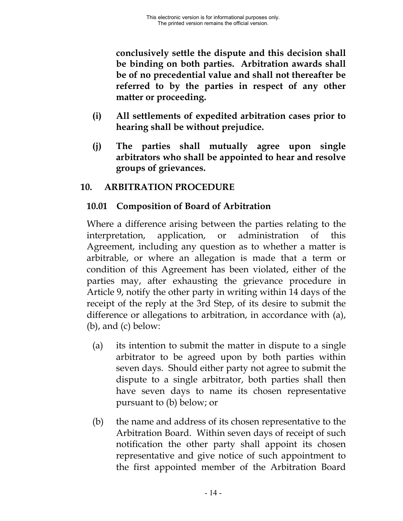<span id="page-22-0"></span>**conclusively settle the dispute and this decision shall be binding on both parties. Arbitration awards shall be of no precedential value and shall not thereafter be referred to by the parties in respect of any other matter or proceeding.**

- **(i) All settlements of expedited arbitration cases prior to hearing shall be without prejudice.**
- **(j) The parties shall mutually agree upon single arbitrators who shall be appointed to hear and resolve groups of grievances.**

### **10. ARBITRATION PROCEDURE**

## **10.01 Composition of Board of Arbitration**

Where a difference arising between the parties relating to the interpretation, application, or administration of this Agreement, including any question as to whether a matter is arbitrable, or where an allegation is made that a term or condition of this Agreement has been violated, either of the parties may, after exhausting the grievance procedure in Article 9, notify the other party in writing within 14 days of the receipt of the reply at the 3rd Step, of its desire to submit the difference or allegations to arbitration, in accordance with (a), (b), and (c) below:

- (a) its intention to submit the matter in dispute to a single arbitrator to be agreed upon by both parties within seven days. Should either party not agree to submit the dispute to a single arbitrator, both parties shall then have seven days to name its chosen representative pursuant to (b) below; or
- (b) the name and address of its chosen representative to the Arbitration Board. Within seven days of receipt of such notification the other party shall appoint its chosen representative and give notice of such appointment to the first appointed member of the Arbitration Board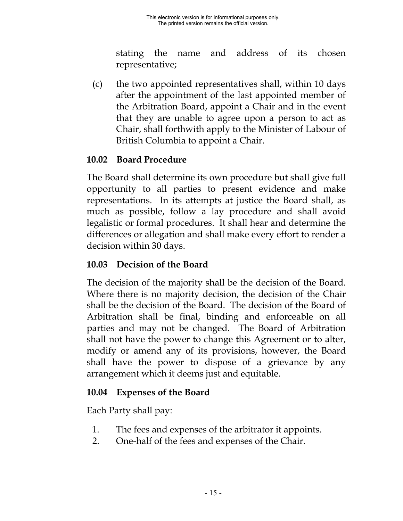stating the name and address of its chosen representative;

<span id="page-23-0"></span>(c) the two appointed representatives shall, within 10 days after the appointment of the last appointed member of the Arbitration Board, appoint a Chair and in the event that they are unable to agree upon a person to act as Chair, shall forthwith apply to the Minister of Labour of British Columbia to appoint a Chair.

### **10.02 Board Procedure**

The Board shall determine its own procedure but shall give full opportunity to all parties to present evidence and make representations. In its attempts at justice the Board shall, as much as possible, follow a lay procedure and shall avoid legalistic or formal procedures. It shall hear and determine the differences or allegation and shall make every effort to render a decision within 30 days.

### **10.03 Decision of the Board**

The decision of the majority shall be the decision of the Board. Where there is no majority decision, the decision of the Chair shall be the decision of the Board. The decision of the Board of Arbitration shall be final, binding and enforceable on all parties and may not be changed. The Board of Arbitration shall not have the power to change this Agreement or to alter, modify or amend any of its provisions, however, the Board shall have the power to dispose of a grievance by any arrangement which it deems just and equitable.

## **10.04 Expenses of the Board**

Each Party shall pay:

- 1. The fees and expenses of the arbitrator it appoints.
- 2. One-half of the fees and expenses of the Chair.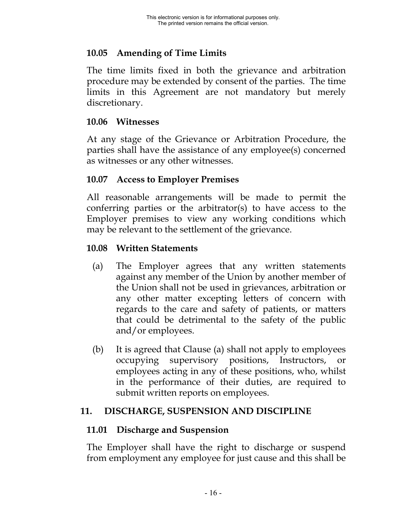### <span id="page-24-0"></span>**10.05 Amending of Time Limits**

The time limits fixed in both the grievance and arbitration procedure may be extended by consent of the parties. The time limits in this Agreement are not mandatory but merely discretionary.

#### **10.06 Witnesses**

At any stage of the Grievance or Arbitration Procedure, the parties shall have the assistance of any employee(s) concerned as witnesses or any other witnesses.

#### **10.07 Access to Employer Premises**

All reasonable arrangements will be made to permit the conferring parties or the arbitrator(s) to have access to the Employer premises to view any working conditions which may be relevant to the settlement of the grievance.

#### **10.08 Written Statements**

- (a) The Employer agrees that any written statements against any member of the Union by another member of the Union shall not be used in grievances, arbitration or any other matter excepting letters of concern with regards to the care and safety of patients, or matters that could be detrimental to the safety of the public and/or employees.
- (b) It is agreed that Clause (a) shall not apply to employees occupying supervisory positions, Instructors, or employees acting in any of these positions, who, whilst in the performance of their duties, are required to submit written reports on employees.

## **11. DISCHARGE, SUSPENSION AND DISCIPLINE**

#### **11.01 Discharge and Suspension**

The Employer shall have the right to discharge or suspend from employment any employee for just cause and this shall be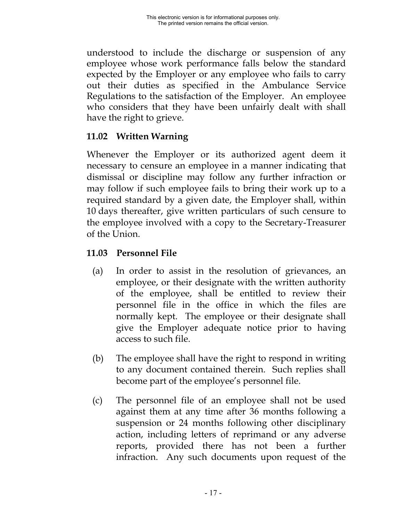<span id="page-25-0"></span>understood to include the discharge or suspension of any employee whose work performance falls below the standard expected by the Employer or any employee who fails to carry out their duties as specified in the Ambulance Service Regulations to the satisfaction of the Employer. An employee who considers that they have been unfairly dealt with shall have the right to grieve.

## **11.02 Written Warning**

Whenever the Employer or its authorized agent deem it necessary to censure an employee in a manner indicating that dismissal or discipline may follow any further infraction or may follow if such employee fails to bring their work up to a required standard by a given date, the Employer shall, within 10 days thereafter, give written particulars of such censure to the employee involved with a copy to the Secretary-Treasurer of the Union.

## **11.03 Personnel File**

- (a) In order to assist in the resolution of grievances, an employee, or their designate with the written authority of the employee, shall be entitled to review their personnel file in the office in which the files are normally kept. The employee or their designate shall give the Employer adequate notice prior to having access to such file.
- (b) The employee shall have the right to respond in writing to any document contained therein. Such replies shall become part of the employee's personnel file.
- (c) The personnel file of an employee shall not be used against them at any time after 36 months following a suspension or 24 months following other disciplinary action, including letters of reprimand or any adverse reports, provided there has not been a further infraction. Any such documents upon request of the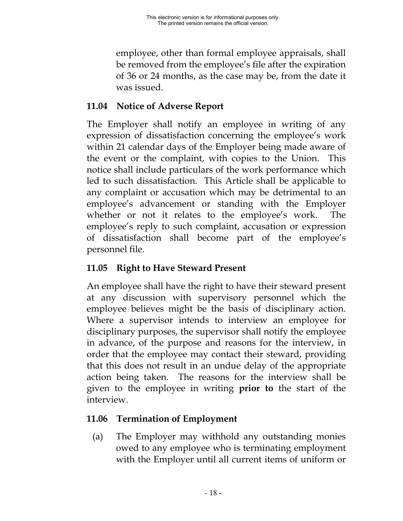<span id="page-26-0"></span>employee, other than formal employee appraisals, shall be removed from the employee's file after the expiration of 36 or 24 months, as the case may be, from the date it was issued.

## **11.04 Notice of Adverse Report**

The Employer shall notify an employee in writing of any expression of dissatisfaction concerning the employee's work within 21 calendar days of the Employer being made aware of the event or the complaint, with copies to the Union. This notice shall include particulars of the work performance which led to such dissatisfaction. This Article shall be applicable to any complaint or accusation which may be detrimental to an employee's advancement or standing with the Employer whether or not it relates to the employee's work. The employee's reply to such complaint, accusation or expression of dissatisfaction shall become part of the employee's personnel file.

# **11.05 Right to Have Steward Present**

An employee shall have the right to have their steward present at any discussion with supervisory personnel which the employee believes might be the basis of disciplinary action. Where a supervisor intends to interview an employee for disciplinary purposes, the supervisor shall notify the employee in advance, of the purpose and reasons for the interview, in order that the employee may contact their steward, providing that this does not result in an undue delay of the appropriate action being taken. The reasons for the interview shall be given to the employee in writing **prior to** the start of the interview.

# **11.06 Termination of Employment**

(a) The Employer may withhold any outstanding monies owed to any employee who is terminating employment with the Employer until all current items of uniform or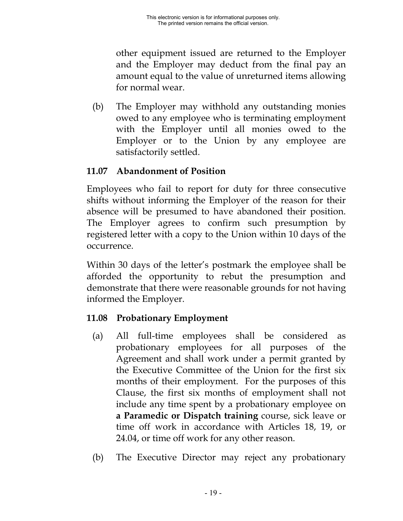<span id="page-27-0"></span>other equipment issued are returned to the Employer and the Employer may deduct from the final pay an amount equal to the value of unreturned items allowing for normal wear.

(b) The Employer may withhold any outstanding monies owed to any employee who is terminating employment with the Employer until all monies owed to the Employer or to the Union by any employee are satisfactorily settled.

## **11.07 Abandonment of Position**

Employees who fail to report for duty for three consecutive shifts without informing the Employer of the reason for their absence will be presumed to have abandoned their position. The Employer agrees to confirm such presumption by registered letter with a copy to the Union within 10 days of the occurrence.

Within 30 days of the letter's postmark the employee shall be afforded the opportunity to rebut the presumption and demonstrate that there were reasonable grounds for not having informed the Employer.

# **11.08 Probationary Employment**

- (a) All full-time employees shall be considered as probationary employees for all purposes of the Agreement and shall work under a permit granted by the Executive Committee of the Union for the first six months of their employment. For the purposes of this Clause, the first six months of employment shall not include any time spent by a probationary employee on **a Paramedic or Dispatch training** course, sick leave or time off work in accordance with Articles 18, 19, or 24.04, or time off work for any other reason.
- (b) The Executive Director may reject any probationary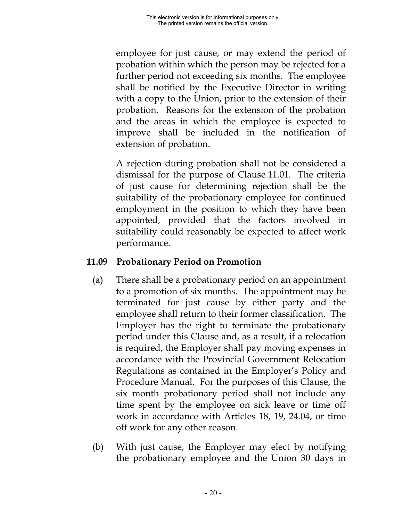<span id="page-28-0"></span>employee for just cause, or may extend the period of probation within which the person may be rejected for a further period not exceeding six months. The employee shall be notified by the Executive Director in writing with a copy to the Union, prior to the extension of their probation. Reasons for the extension of the probation and the areas in which the employee is expected to improve shall be included in the notification of extension of probation.

A rejection during probation shall not be considered a dismissal for the purpose of Clause 11.01. The criteria of just cause for determining rejection shall be the suitability of the probationary employee for continued employment in the position to which they have been appointed, provided that the factors involved in suitability could reasonably be expected to affect work performance.

#### **11.09 Probationary Period on Promotion**

- (a) There shall be a probationary period on an appointment to a promotion of six months. The appointment may be terminated for just cause by either party and the employee shall return to their former classification. The Employer has the right to terminate the probationary period under this Clause and, as a result, if a relocation is required, the Employer shall pay moving expenses in accordance with the Provincial Government Relocation Regulations as contained in the Employer's Policy and Procedure Manual. For the purposes of this Clause, the six month probationary period shall not include any time spent by the employee on sick leave or time off work in accordance with Articles 18, 19, 24.04, or time off work for any other reason.
- (b) With just cause, the Employer may elect by notifying the probationary employee and the Union 30 days in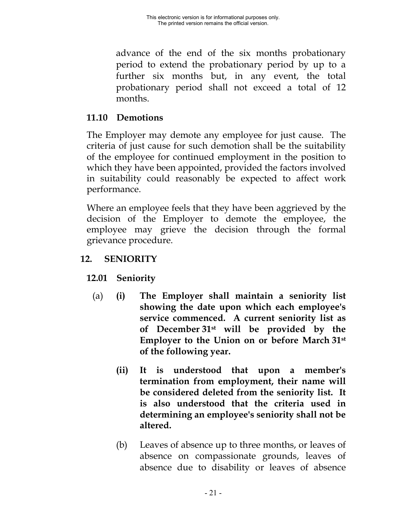<span id="page-29-0"></span>advance of the end of the six months probationary period to extend the probationary period by up to a further six months but, in any event, the total probationary period shall not exceed a total of 12 months.

### **11.10 Demotions**

The Employer may demote any employee for just cause. The criteria of just cause for such demotion shall be the suitability of the employee for continued employment in the position to which they have been appointed, provided the factors involved in suitability could reasonably be expected to affect work performance.

Where an employee feels that they have been aggrieved by the decision of the Employer to demote the employee, the employee may grieve the decision through the formal grievance procedure.

## **12. SENIORITY**

# **12.01 Seniority**

- (a) **(i) The Employer shall maintain a seniority list showing the date upon which each employee's service commenced. A current seniority list as of December 31st will be provided by the Employer to the Union on or before March 31st of the following year.**
	- **(ii) It is understood that upon a member's termination from employment, their name will be considered deleted from the seniority list. It is also understood that the criteria used in determining an employee's seniority shall not be altered.**
	- (b) Leaves of absence up to three months, or leaves of absence on compassionate grounds, leaves of absence due to disability or leaves of absence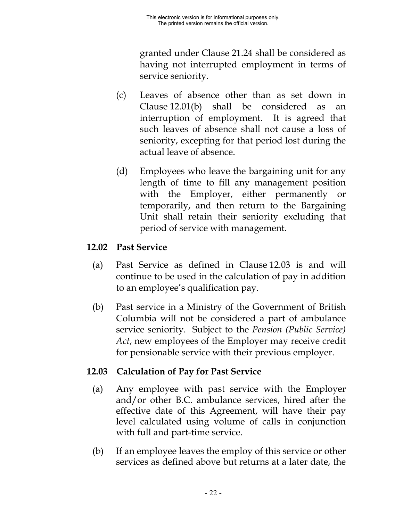granted under Clause 21.24 shall be considered as having not interrupted employment in terms of service seniority.

- <span id="page-30-0"></span>(c) Leaves of absence other than as set down in Clause 12.01(b) shall be considered as an interruption of employment. It is agreed that such leaves of absence shall not cause a loss of seniority, excepting for that period lost during the actual leave of absence.
- (d) Employees who leave the bargaining unit for any length of time to fill any management position with the Employer, either permanently or temporarily, and then return to the Bargaining Unit shall retain their seniority excluding that period of service with management.

### **12.02 Past Service**

- (a) Past Service as defined in Clause 12.03 is and will continue to be used in the calculation of pay in addition to an employee's qualification pay.
- (b) Past service in a Ministry of the Government of British Columbia will not be considered a part of ambulance service seniority. Subject to the *Pension (Public Service) Act*, new employees of the Employer may receive credit for pensionable service with their previous employer.

#### **12.03 Calculation of Pay for Past Service**

- (a) Any employee with past service with the Employer and/or other B.C. ambulance services, hired after the effective date of this Agreement, will have their pay level calculated using volume of calls in conjunction with full and part-time service.
- (b) If an employee leaves the employ of this service or other services as defined above but returns at a later date, the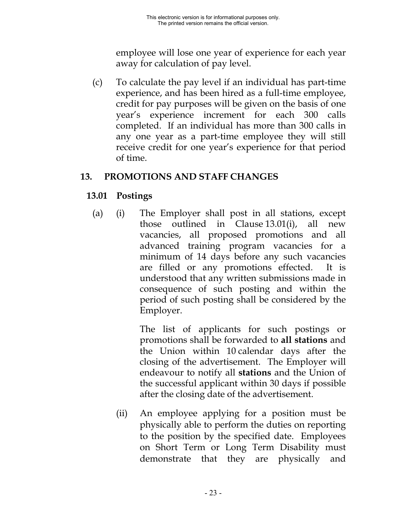employee will lose one year of experience for each year away for calculation of pay level.

<span id="page-31-0"></span>(c) To calculate the pay level if an individual has part-time experience, and has been hired as a full-time employee, credit for pay purposes will be given on the basis of one year's experience increment for each 300 calls completed. If an individual has more than 300 calls in any one year as a part-time employee they will still receive credit for one year's experience for that period of time.

### **13. PROMOTIONS AND STAFF CHANGES**

## **13.01 Postings**

(a) (i) The Employer shall post in all stations, except those outlined in Clause 13.01(i), all new vacancies, all proposed promotions and all advanced training program vacancies for a minimum of 14 days before any such vacancies are filled or any promotions effected. It is understood that any written submissions made in consequence of such posting and within the period of such posting shall be considered by the Employer.

> The list of applicants for such postings or promotions shall be forwarded to **all stations** and the Union within 10 calendar days after the closing of the advertisement. The Employer will endeavour to notify all **stations** and the Union of the successful applicant within 30 days if possible after the closing date of the advertisement.

(ii) An employee applying for a position must be physically able to perform the duties on reporting to the position by the specified date. Employees on Short Term or Long Term Disability must demonstrate that they are physically and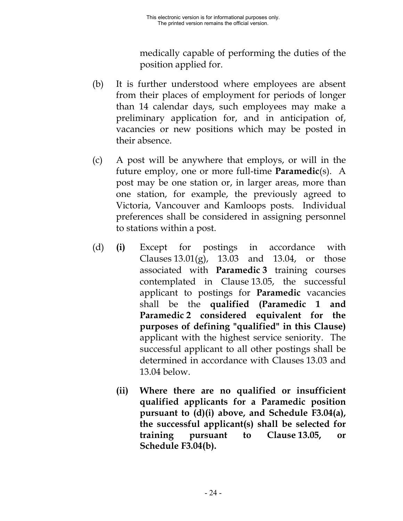medically capable of performing the duties of the position applied for.

- (b) It is further understood where employees are absent from their places of employment for periods of longer than 14 calendar days, such employees may make a preliminary application for, and in anticipation of, vacancies or new positions which may be posted in their absence.
- (c) A post will be anywhere that employs, or will in the future employ, one or more full-time **Paramedic**(s). A post may be one station or, in larger areas, more than one station, for example, the previously agreed to Victoria, Vancouver and Kamloops posts. Individual preferences shall be considered in assigning personnel to stations within a post.
- (d) **(i)** Except for postings in accordance with Clauses  $13.01(g)$ ,  $13.03$  and  $13.04$ , or those associated with **Paramedic 3** training courses contemplated in Clause 13.05, the successful applicant to postings for **Paramedic** vacancies shall be the **qualified (Paramedic 1 and Paramedic 2 considered equivalent for the purposes of defining "qualified" in this Clause)** applicant with the highest service seniority. The successful applicant to all other postings shall be determined in accordance with Clauses 13.03 and 13.04 below.
	- **(ii) Where there are no qualified or insufficient qualified applicants for a Paramedic position pursuant to (d)(i) above, and Schedule F3.04(a), the successful applicant(s) shall be selected for training pursuant to Clause 13.05, or Schedule F3.04(b).**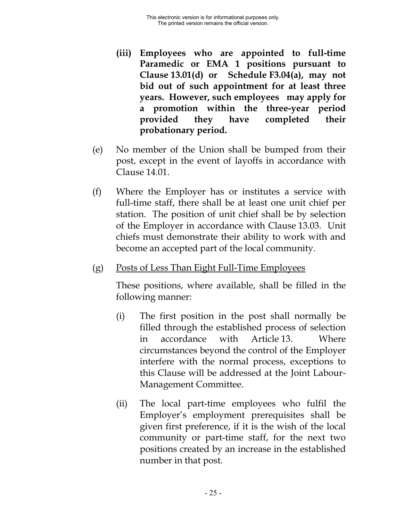- **(iii) Employees who are appointed to full-time Paramedic or EMA 1 positions pursuant to Clause 13.01(d) or Schedule F3.04(a), may not bid out of such appointment for at least three years. However, such employees may apply for a promotion within the three-year period provided they have completed their probationary period.**
- (e) No member of the Union shall be bumped from their post, except in the event of layoffs in accordance with Clause 14.01.
- (f) Where the Employer has or institutes a service with full-time staff, there shall be at least one unit chief per station. The position of unit chief shall be by selection of the Employer in accordance with Clause 13.03. Unit chiefs must demonstrate their ability to work with and become an accepted part of the local community.
- (g) Posts of Less Than Eight Full-Time Employees

These positions, where available, shall be filled in the following manner:

- (i) The first position in the post shall normally be filled through the established process of selection in accordance with Article 13. Where circumstances beyond the control of the Employer interfere with the normal process, exceptions to this Clause will be addressed at the Joint Labour-Management Committee.
- (ii) The local part-time employees who fulfil the Employer's employment prerequisites shall be given first preference, if it is the wish of the local community or part-time staff, for the next two positions created by an increase in the established number in that post.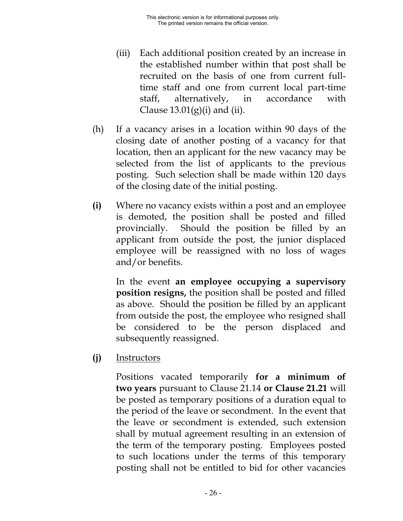- (iii) Each additional position created by an increase in the established number within that post shall be recruited on the basis of one from current fulltime staff and one from current local part-time staff, alternatively, in accordance with Clause  $13.01(g)(i)$  and (ii).
- (h) If a vacancy arises in a location within 90 days of the closing date of another posting of a vacancy for that location, then an applicant for the new vacancy may be selected from the list of applicants to the previous posting. Such selection shall be made within 120 days of the closing date of the initial posting.
- **(i)** Where no vacancy exists within a post and an employee is demoted, the position shall be posted and filled provincially. Should the position be filled by an applicant from outside the post, the junior displaced employee will be reassigned with no loss of wages and/or benefits.

In the event **an employee occupying a supervisory position resigns,** the position shall be posted and filled as above. Should the position be filled by an applicant from outside the post, the employee who resigned shall be considered to be the person displaced and subsequently reassigned.

**(j)** Instructors

Positions vacated temporarily **for a minimum of two years** pursuant to Clause 21.14 **or Clause 21.21** will be posted as temporary positions of a duration equal to the period of the leave or secondment. In the event that the leave or secondment is extended, such extension shall by mutual agreement resulting in an extension of the term of the temporary posting. Employees posted to such locations under the terms of this temporary posting shall not be entitled to bid for other vacancies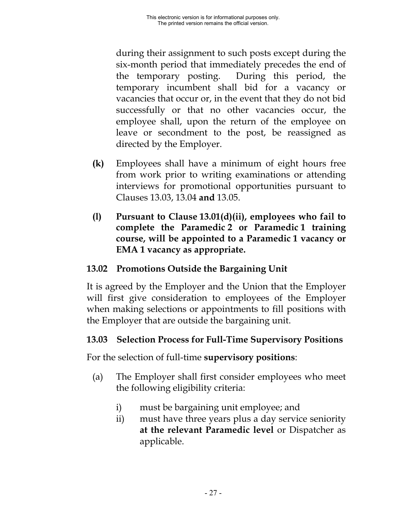<span id="page-35-0"></span>during their assignment to such posts except during the six-month period that immediately precedes the end of the temporary posting. During this period, the temporary incumbent shall bid for a vacancy or vacancies that occur or, in the event that they do not bid successfully or that no other vacancies occur, the employee shall, upon the return of the employee on leave or secondment to the post, be reassigned as directed by the Employer.

- **(k)** Employees shall have a minimum of eight hours free from work prior to writing examinations or attending interviews for promotional opportunities pursuant to Clauses 13.03, 13.04 **and** 13.05.
- **(l) Pursuant to Clause 13.01(d)(ii), employees who fail to complete the Paramedic 2 or Paramedic 1 training course, will be appointed to a Paramedic 1 vacancy or EMA 1 vacancy as appropriate.**

## **13.02 Promotions Outside the Bargaining Unit**

It is agreed by the Employer and the Union that the Employer will first give consideration to employees of the Employer when making selections or appointments to fill positions with the Employer that are outside the bargaining unit.

## **13.03 Selection Process for Full-Time Supervisory Positions**

For the selection of full-time **supervisory positions**:

- (a) The Employer shall first consider employees who meet the following eligibility criteria:
	- i) must be bargaining unit employee; and
	- ii) must have three years plus a day service seniority **at the relevant Paramedic level** or Dispatcher as applicable.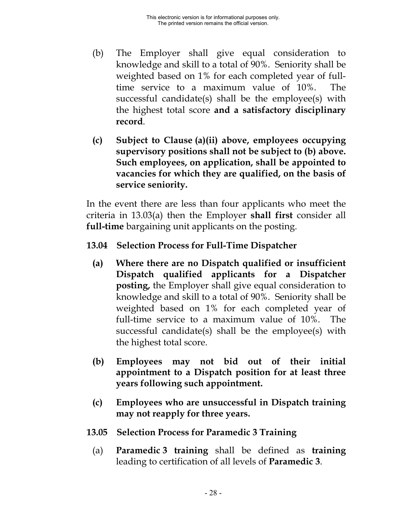- (b) The Employer shall give equal consideration to knowledge and skill to a total of 90%. Seniority shall be weighted based on 1% for each completed year of fulltime service to a maximum value of 10%. The successful candidate(s) shall be the employee(s) with the highest total score **and a satisfactory disciplinary record**.
- **(c) Subject to Clause (a)(ii) above, employees occupying supervisory positions shall not be subject to (b) above. Such employees, on application, shall be appointed to vacancies for which they are qualified, on the basis of service seniority.**

In the event there are less than four applicants who meet the criteria in 13.03(a) then the Employer **shall first** consider all **full-time** bargaining unit applicants on the posting.

### **13.04 Selection Process for Full-Time Dispatcher**

- **(a) Where there are no Dispatch qualified or insufficient Dispatch qualified applicants for a Dispatcher posting,** the Employer shall give equal consideration to knowledge and skill to a total of 90%. Seniority shall be weighted based on 1% for each completed year of full-time service to a maximum value of 10%. The successful candidate(s) shall be the employee(s) with the highest total score.
- **(b) Employees may not bid out of their initial appointment to a Dispatch position for at least three years following such appointment.**
- **(c) Employees who are unsuccessful in Dispatch training may not reapply for three years.**
- **13.05 Selection Process for Paramedic 3 Training**
	- (a) **Paramedic 3 training** shall be defined as **training** leading to certification of all levels of **Paramedic 3**.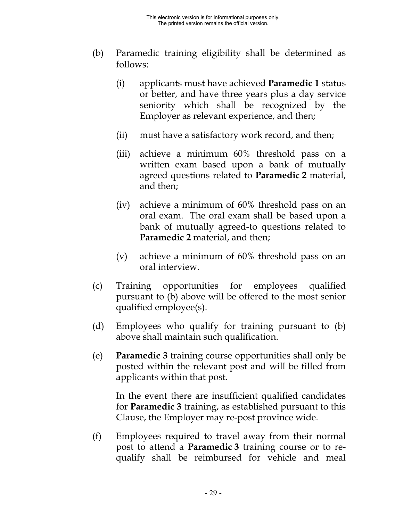- (b) Paramedic training eligibility shall be determined as follows:
	- (i) applicants must have achieved **Paramedic 1** status or better, and have three years plus a day service seniority which shall be recognized by the Employer as relevant experience, and then;
	- (ii) must have a satisfactory work record, and then;
	- (iii) achieve a minimum 60% threshold pass on a written exam based upon a bank of mutually agreed questions related to **Paramedic 2** material, and then;
	- (iv) achieve a minimum of 60% threshold pass on an oral exam. The oral exam shall be based upon a bank of mutually agreed-to questions related to **Paramedic 2** material, and then;
	- (v) achieve a minimum of 60% threshold pass on an oral interview.
- (c) Training opportunities for employees qualified pursuant to (b) above will be offered to the most senior qualified employee(s).
- (d) Employees who qualify for training pursuant to (b) above shall maintain such qualification.
- (e) **Paramedic 3** training course opportunities shall only be posted within the relevant post and will be filled from applicants within that post.

In the event there are insufficient qualified candidates for **Paramedic 3** training, as established pursuant to this Clause, the Employer may re-post province wide.

(f) Employees required to travel away from their normal post to attend a **Paramedic 3** training course or to requalify shall be reimbursed for vehicle and meal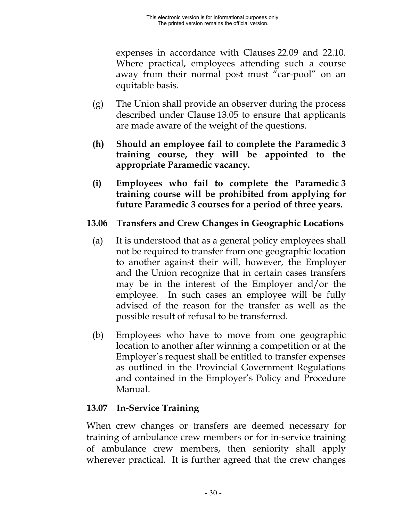expenses in accordance with Clauses 22.09 and 22.10. Where practical, employees attending such a course away from their normal post must "car-pool" on an equitable basis.

- (g) The Union shall provide an observer during the process described under Clause 13.05 to ensure that applicants are made aware of the weight of the questions.
- **(h) Should an employee fail to complete the Paramedic 3 training course, they will be appointed to the appropriate Paramedic vacancy.**
- **(i) Employees who fail to complete the Paramedic 3 training course will be prohibited from applying for future Paramedic 3 courses for a period of three years.**

#### **13.06 Transfers and Crew Changes in Geographic Locations**

- (a) It is understood that as a general policy employees shall not be required to transfer from one geographic location to another against their will, however, the Employer and the Union recognize that in certain cases transfers may be in the interest of the Employer and/or the employee. In such cases an employee will be fully advised of the reason for the transfer as well as the possible result of refusal to be transferred.
- (b) Employees who have to move from one geographic location to another after winning a competition or at the Employer's request shall be entitled to transfer expenses as outlined in the Provincial Government Regulations and contained in the Employer's Policy and Procedure Manual.

### **13.07 In-Service Training**

When crew changes or transfers are deemed necessary for training of ambulance crew members or for in-service training of ambulance crew members, then seniority shall apply wherever practical. It is further agreed that the crew changes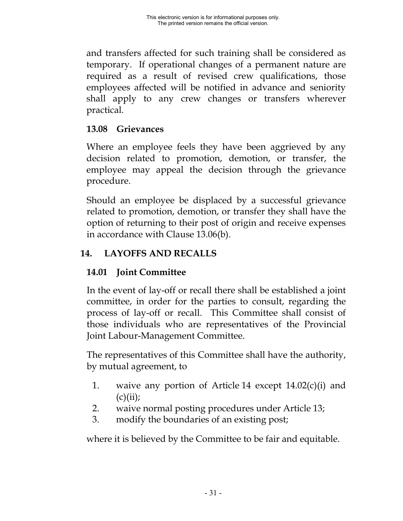and transfers affected for such training shall be considered as temporary. If operational changes of a permanent nature are required as a result of revised crew qualifications, those employees affected will be notified in advance and seniority shall apply to any crew changes or transfers wherever practical.

# **13.08 Grievances**

Where an employee feels they have been aggrieved by any decision related to promotion, demotion, or transfer, the employee may appeal the decision through the grievance procedure.

Should an employee be displaced by a successful grievance related to promotion, demotion, or transfer they shall have the option of returning to their post of origin and receive expenses in accordance with Clause 13.06(b).

# **14. LAYOFFS AND RECALLS**

# **14.01 Joint Committee**

In the event of lay-off or recall there shall be established a joint committee, in order for the parties to consult, regarding the process of lay-off or recall. This Committee shall consist of those individuals who are representatives of the Provincial Joint Labour-Management Committee.

The representatives of this Committee shall have the authority, by mutual agreement, to

- 1. waive any portion of Article 14 except 14.02(c)(i) and  $(c)(ii)$ ;
- 2. waive normal posting procedures under Article 13;
- 3. modify the boundaries of an existing post;

where it is believed by the Committee to be fair and equitable.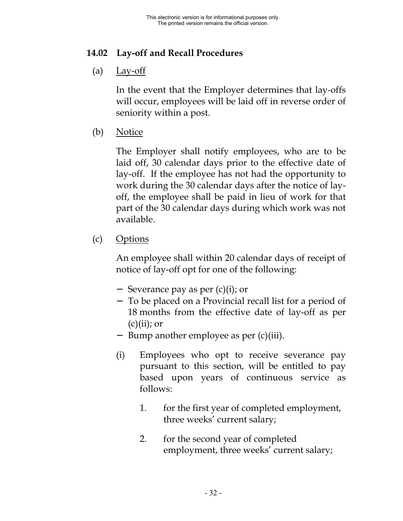# **14.02 Lay-off and Recall Procedures**

(a)  $Lay-off$ 

In the event that the Employer determines that lay-offs will occur, employees will be laid off in reverse order of seniority within a post.

(b) Notice

The Employer shall notify employees, who are to be laid off, 30 calendar days prior to the effective date of lay-off. If the employee has not had the opportunity to work during the 30 calendar days after the notice of layoff, the employee shall be paid in lieu of work for that part of the 30 calendar days during which work was not available.

(c) Options

An employee shall within 20 calendar days of receipt of notice of lay-off opt for one of the following:

- − Severance pay as per (c)(i); or
- − To be placed on a Provincial recall list for a period of 18 months from the effective date of lay-off as per  $(c)(ii)$ ; or
- − Bump another employee as per (c)(iii).
- (i) Employees who opt to receive severance pay pursuant to this section, will be entitled to pay based upon years of continuous service as follows:
	- 1. for the first year of completed employment, three weeks' current salary;
	- 2. for the second year of completed employment, three weeks' current salary;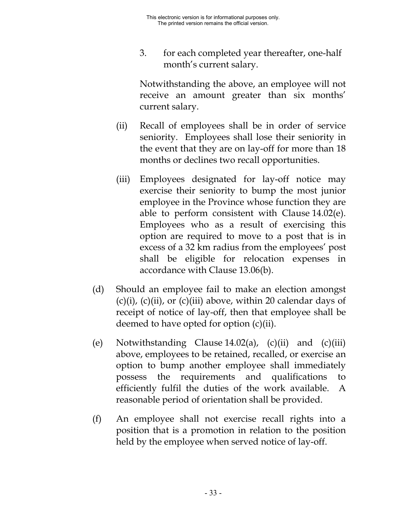3. for each completed year thereafter, one-half month's current salary.

Notwithstanding the above, an employee will not receive an amount greater than six months' current salary.

- (ii) Recall of employees shall be in order of service seniority. Employees shall lose their seniority in the event that they are on lay-off for more than 18 months or declines two recall opportunities.
- (iii) Employees designated for lay-off notice may exercise their seniority to bump the most junior employee in the Province whose function they are able to perform consistent with Clause 14.02(e). Employees who as a result of exercising this option are required to move to a post that is in excess of a 32 km radius from the employees' post shall be eligible for relocation expenses in accordance with Clause 13.06(b).
- (d) Should an employee fail to make an election amongst  $(c)(i)$ ,  $(c)(ii)$ , or  $(c)(iii)$  above, within 20 calendar days of receipt of notice of lay-off, then that employee shall be deemed to have opted for option (c)(ii).
- (e) Notwithstanding Clause  $14.02(a)$ , (c)(ii) and (c)(iii) above, employees to be retained, recalled, or exercise an option to bump another employee shall immediately possess the requirements and qualifications to efficiently fulfil the duties of the work available. A reasonable period of orientation shall be provided.
- (f) An employee shall not exercise recall rights into a position that is a promotion in relation to the position held by the employee when served notice of lay-off.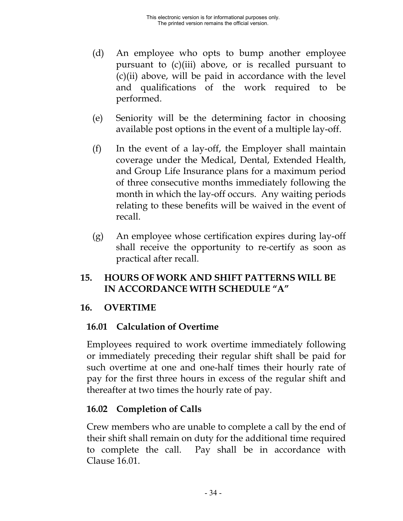- (d) An employee who opts to bump another employee pursuant to (c)(iii) above, or is recalled pursuant to  $(c)(ii)$  above, will be paid in accordance with the level and qualifications of the work required to be performed.
- (e) Seniority will be the determining factor in choosing available post options in the event of a multiple lay-off.
- (f) In the event of a lay-off, the Employer shall maintain coverage under the Medical, Dental, Extended Health, and Group Life Insurance plans for a maximum period of three consecutive months immediately following the month in which the lay-off occurs. Any waiting periods relating to these benefits will be waived in the event of recall.
- (g) An employee whose certification expires during lay-off shall receive the opportunity to re-certify as soon as practical after recall.

# **15. HOURS OF WORK AND SHIFT PATTERNS WILL BE IN ACCORDANCE WITH SCHEDULE "A"**

### **16. OVERTIME**

# **16.01 Calculation of Overtime**

Employees required to work overtime immediately following or immediately preceding their regular shift shall be paid for such overtime at one and one-half times their hourly rate of pay for the first three hours in excess of the regular shift and thereafter at two times the hourly rate of pay.

# **16.02 Completion of Calls**

Crew members who are unable to complete a call by the end of their shift shall remain on duty for the additional time required to complete the call. Pay shall be in accordance with Clause 16.01.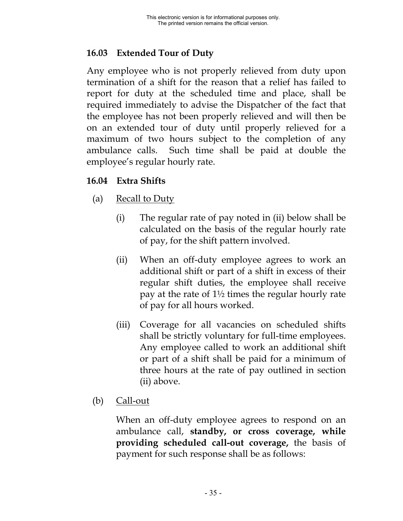# **16.03 Extended Tour of Duty**

Any employee who is not properly relieved from duty upon termination of a shift for the reason that a relief has failed to report for duty at the scheduled time and place, shall be required immediately to advise the Dispatcher of the fact that the employee has not been properly relieved and will then be on an extended tour of duty until properly relieved for a maximum of two hours subject to the completion of any ambulance calls. Such time shall be paid at double the employee's regular hourly rate.

# **16.04 Extra Shifts**

- (a) Recall to Duty
	- (i) The regular rate of pay noted in (ii) below shall be calculated on the basis of the regular hourly rate of pay, for the shift pattern involved.
	- (ii) When an off-duty employee agrees to work an additional shift or part of a shift in excess of their regular shift duties, the employee shall receive pay at the rate of  $1\frac{1}{2}$  times the regular hourly rate of pay for all hours worked.
	- (iii) Coverage for all vacancies on scheduled shifts shall be strictly voluntary for full-time employees. Any employee called to work an additional shift or part of a shift shall be paid for a minimum of three hours at the rate of pay outlined in section (ii) above.
- (b) Call-out

When an off-duty employee agrees to respond on an ambulance call, **standby, or cross coverage, while providing scheduled call-out coverage,** the basis of payment for such response shall be as follows: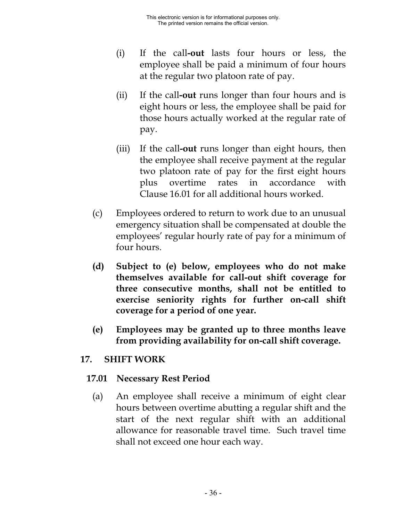- (i) If the call**-out** lasts four hours or less, the employee shall be paid a minimum of four hours at the regular two platoon rate of pay.
- (ii) If the call**-out** runs longer than four hours and is eight hours or less, the employee shall be paid for those hours actually worked at the regular rate of pay.
- (iii) If the call**-out** runs longer than eight hours, then the employee shall receive payment at the regular two platoon rate of pay for the first eight hours plus overtime rates in accordance with Clause 16.01 for all additional hours worked.
- (c) Employees ordered to return to work due to an unusual emergency situation shall be compensated at double the employees' regular hourly rate of pay for a minimum of four hours.
- **(d) Subject to (e) below, employees who do not make themselves available for call-out shift coverage for three consecutive months, shall not be entitled to exercise seniority rights for further on-call shift coverage for a period of one year.**
- **(e) Employees may be granted up to three months leave from providing availability for on-call shift coverage.**

### **17. SHIFT WORK**

### **17.01 Necessary Rest Period**

(a) An employee shall receive a minimum of eight clear hours between overtime abutting a regular shift and the start of the next regular shift with an additional allowance for reasonable travel time. Such travel time shall not exceed one hour each way.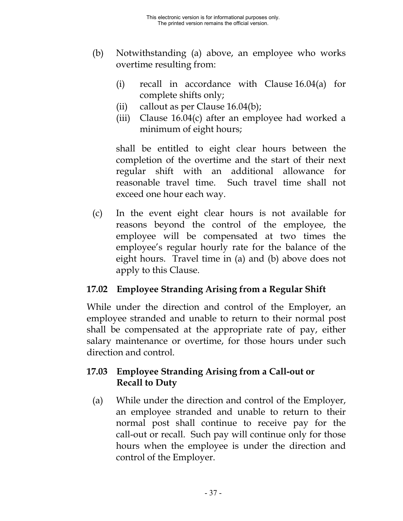- (b) Notwithstanding (a) above, an employee who works overtime resulting from:
	- (i) recall in accordance with Clause 16.04(a) for complete shifts only;
	- (ii) callout as per Clause  $16.04(b)$ ;
	- (iii) Clause 16.04(c) after an employee had worked a minimum of eight hours;

shall be entitled to eight clear hours between the completion of the overtime and the start of their next regular shift with an additional allowance for reasonable travel time. Such travel time shall not exceed one hour each way.

(c) In the event eight clear hours is not available for reasons beyond the control of the employee, the employee will be compensated at two times the employee's regular hourly rate for the balance of the eight hours. Travel time in (a) and (b) above does not apply to this Clause.

### **17.02 Employee Stranding Arising from a Regular Shift**

While under the direction and control of the Employer, an employee stranded and unable to return to their normal post shall be compensated at the appropriate rate of pay, either salary maintenance or overtime, for those hours under such direction and control.

### **17.03 Employee Stranding Arising from a Call-out or Recall to Duty**

(a) While under the direction and control of the Employer, an employee stranded and unable to return to their normal post shall continue to receive pay for the call-out or recall. Such pay will continue only for those hours when the employee is under the direction and control of the Employer.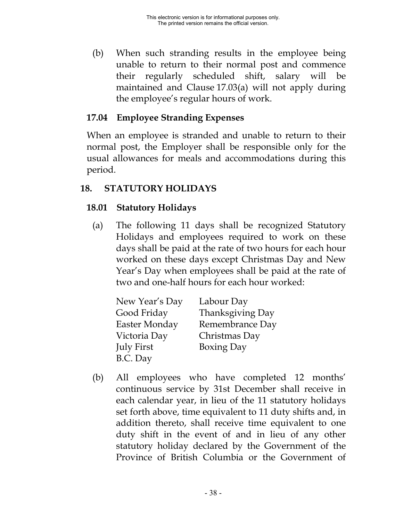(b) When such stranding results in the employee being unable to return to their normal post and commence their regularly scheduled shift, salary will be maintained and Clause 17.03(a) will not apply during the employee's regular hours of work.

### **17.04 Employee Stranding Expenses**

When an employee is stranded and unable to return to their normal post, the Employer shall be responsible only for the usual allowances for meals and accommodations during this period.

### **18. STATUTORY HOLIDAYS**

# **18.01 Statutory Holidays**

(a) The following 11 days shall be recognized Statutory Holidays and employees required to work on these days shall be paid at the rate of two hours for each hour worked on these days except Christmas Day and New Year's Day when employees shall be paid at the rate of two and one-half hours for each hour worked:

| New Year's Day | Labour Day        |
|----------------|-------------------|
| Good Friday    | Thanksgiving Day  |
| Easter Monday  | Remembrance Day   |
| Victoria Day   | Christmas Day     |
| July First     | <b>Boxing Day</b> |
| B.C. Day       |                   |

(b) All employees who have completed 12 months' continuous service by 31st December shall receive in each calendar year, in lieu of the 11 statutory holidays set forth above, time equivalent to 11 duty shifts and, in addition thereto, shall receive time equivalent to one duty shift in the event of and in lieu of any other statutory holiday declared by the Government of the Province of British Columbia or the Government of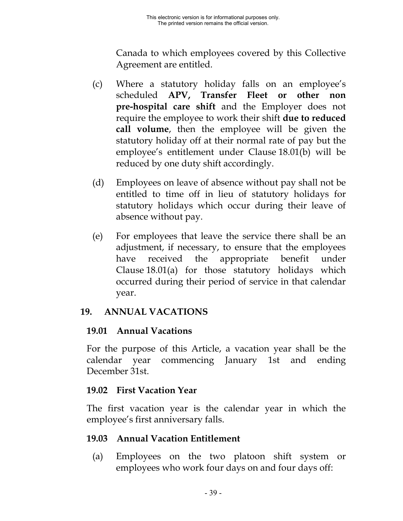Canada to which employees covered by this Collective Agreement are entitled.

- (c) Where a statutory holiday falls on an employee's scheduled **APV, Transfer Fleet or other non pre-hospital care shift** and the Employer does not require the employee to work their shift **due to reduced call volume**, then the employee will be given the statutory holiday off at their normal rate of pay but the employee's entitlement under Clause 18.01(b) will be reduced by one duty shift accordingly.
- (d) Employees on leave of absence without pay shall not be entitled to time off in lieu of statutory holidays for statutory holidays which occur during their leave of absence without pay.
- (e) For employees that leave the service there shall be an adjustment, if necessary, to ensure that the employees have received the appropriate benefit under Clause 18.01(a) for those statutory holidays which occurred during their period of service in that calendar year.

### **19. ANNUAL VACATIONS**

# **19.01 Annual Vacations**

For the purpose of this Article, a vacation year shall be the calendar year commencing January 1st and ending December 31st.

# **19.02 First Vacation Year**

The first vacation year is the calendar year in which the employee's first anniversary falls.

### **19.03 Annual Vacation Entitlement**

(a) Employees on the two platoon shift system or employees who work four days on and four days off: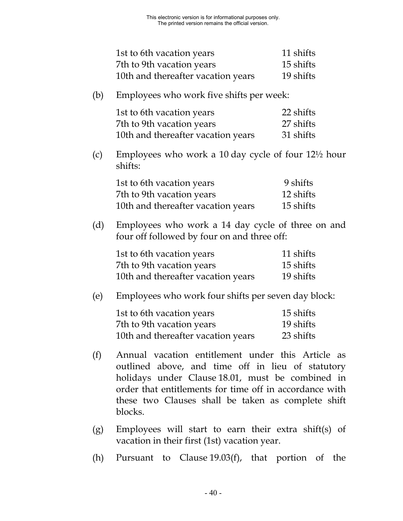| 1st to 6th vacation years          | 11 shifts |
|------------------------------------|-----------|
| 7th to 9th vacation years          | 15 shifts |
| 10th and thereafter vacation years | 19 shifts |

(b) Employees who work five shifts per week:

| 1st to 6th vacation years          | 22 shifts |
|------------------------------------|-----------|
| 7th to 9th vacation years          | 27 shifts |
| 10th and thereafter vacation years | 31 shifts |

(c) Employees who work a 10 day cycle of four 12½ hour shifts:

| 1st to 6th vacation years          | 9 shifts  |
|------------------------------------|-----------|
| 7th to 9th vacation years          | 12 shifts |
| 10th and thereafter vacation years | 15 shifts |

(d) Employees who work a 14 day cycle of three on and four off followed by four on and three off:

| 1st to 6th vacation years          | 11 shifts |
|------------------------------------|-----------|
| 7th to 9th vacation years          | 15 shifts |
| 10th and thereafter vacation years | 19 shifts |

(e) Employees who work four shifts per seven day block:

| 1st to 6th vacation years          | 15 shifts |
|------------------------------------|-----------|
| 7th to 9th vacation years          | 19 shifts |
| 10th and thereafter vacation years | 23 shifts |

- (f) Annual vacation entitlement under this Article as outlined above, and time off in lieu of statutory holidays under Clause 18.01, must be combined in order that entitlements for time off in accordance with these two Clauses shall be taken as complete shift blocks.
- (g) Employees will start to earn their extra shift(s) of vacation in their first (1st) vacation year.
- (h) Pursuant to Clause 19.03(f), that portion of the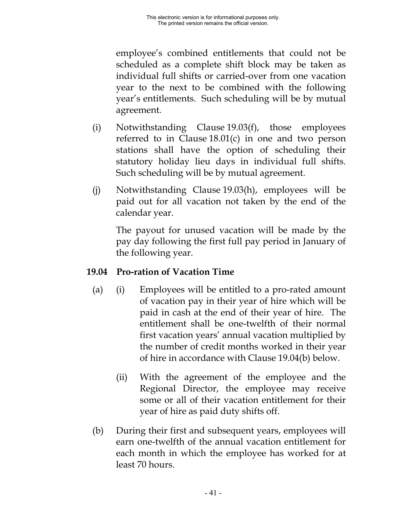employee's combined entitlements that could not be scheduled as a complete shift block may be taken as individual full shifts or carried-over from one vacation year to the next to be combined with the following year's entitlements. Such scheduling will be by mutual agreement.

- (i) Notwithstanding Clause 19.03(f), those employees referred to in Clause 18.01(c) in one and two person stations shall have the option of scheduling their statutory holiday lieu days in individual full shifts. Such scheduling will be by mutual agreement.
- (j) Notwithstanding Clause 19.03(h), employees will be paid out for all vacation not taken by the end of the calendar year.

The payout for unused vacation will be made by the pay day following the first full pay period in January of the following year.

### **19.04 Pro-ration of Vacation Time**

- (a) (i) Employees will be entitled to a pro-rated amount of vacation pay in their year of hire which will be paid in cash at the end of their year of hire. The entitlement shall be one-twelfth of their normal first vacation years' annual vacation multiplied by the number of credit months worked in their year of hire in accordance with Clause 19.04(b) below.
	- (ii) With the agreement of the employee and the Regional Director, the employee may receive some or all of their vacation entitlement for their year of hire as paid duty shifts off.
- (b) During their first and subsequent years, employees will earn one-twelfth of the annual vacation entitlement for each month in which the employee has worked for at least 70 hours.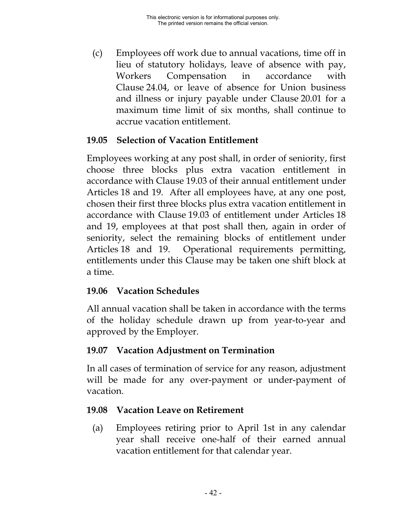(c) Employees off work due to annual vacations, time off in lieu of statutory holidays, leave of absence with pay, Workers Compensation in accordance with Clause 24.04, or leave of absence for Union business and illness or injury payable under Clause 20.01 for a maximum time limit of six months, shall continue to accrue vacation entitlement.

# **19.05 Selection of Vacation Entitlement**

Employees working at any post shall, in order of seniority, first choose three blocks plus extra vacation entitlement in accordance with Clause 19.03 of their annual entitlement under Articles 18 and 19. After all employees have, at any one post, chosen their first three blocks plus extra vacation entitlement in accordance with Clause 19.03 of entitlement under Articles 18 and 19, employees at that post shall then, again in order of seniority, select the remaining blocks of entitlement under Articles 18 and 19. Operational requirements permitting, entitlements under this Clause may be taken one shift block at a time.

### **19.06 Vacation Schedules**

All annual vacation shall be taken in accordance with the terms of the holiday schedule drawn up from year-to-year and approved by the Employer.

# **19.07 Vacation Adjustment on Termination**

In all cases of termination of service for any reason, adjustment will be made for any over-payment or under-payment of vacation.

# **19.08 Vacation Leave on Retirement**

(a) Employees retiring prior to April 1st in any calendar year shall receive one-half of their earned annual vacation entitlement for that calendar year.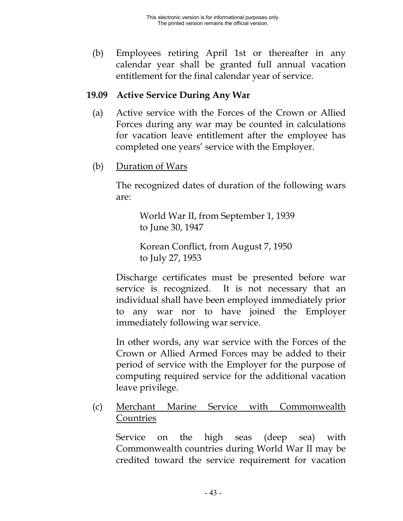(b) Employees retiring April 1st or thereafter in any calendar year shall be granted full annual vacation entitlement for the final calendar year of service.

# **19.09 Active Service During Any War**

- (a) Active service with the Forces of the Crown or Allied Forces during any war may be counted in calculations for vacation leave entitlement after the employee has completed one years' service with the Employer.
- (b) Duration of Wars

The recognized dates of duration of the following wars are:

World War II, from September 1, 1939 to June 30, 1947

Korean Conflict, from August 7, 1950 to July 27, 1953

Discharge certificates must be presented before war service is recognized. It is not necessary that an individual shall have been employed immediately prior to any war nor to have joined the Employer immediately following war service.

In other words, any war service with the Forces of the Crown or Allied Armed Forces may be added to their period of service with the Employer for the purpose of computing required service for the additional vacation leave privilege.

(c) Merchant Marine Service with Commonwealth **Countries** 

Service on the high seas (deep sea) with Commonwealth countries during World War II may be credited toward the service requirement for vacation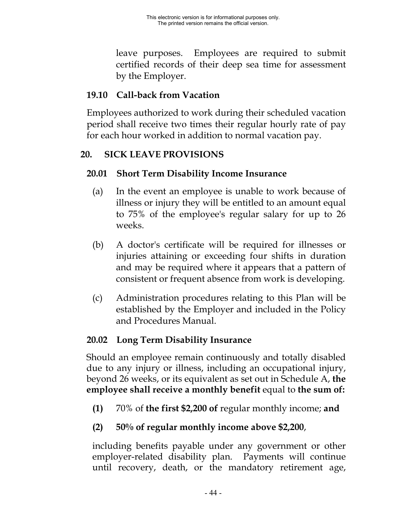leave purposes. Employees are required to submit certified records of their deep sea time for assessment by the Employer.

# **19.10 Call-back from Vacation**

Employees authorized to work during their scheduled vacation period shall receive two times their regular hourly rate of pay for each hour worked in addition to normal vacation pay.

# **20. SICK LEAVE PROVISIONS**

# **20.01 Short Term Disability Income Insurance**

- (a) In the event an employee is unable to work because of illness or injury they will be entitled to an amount equal to 75% of the employee's regular salary for up to 26 weeks.
- (b) A doctor's certificate will be required for illnesses or injuries attaining or exceeding four shifts in duration and may be required where it appears that a pattern of consistent or frequent absence from work is developing.
- (c) Administration procedures relating to this Plan will be established by the Employer and included in the Policy and Procedures Manual.

# **20.02 Long Term Disability Insurance**

Should an employee remain continuously and totally disabled due to any injury or illness, including an occupational injury, beyond 26 weeks, or its equivalent as set out in Schedule A, **the employee shall receive a monthly benefit** equal to **the sum of:**

**(1)** 70% of **the first \$2,200 of** regular monthly income; **and**

# **(2) 50% of regular monthly income above \$2,200**,

including benefits payable under any government or other employer-related disability plan. Payments will continue until recovery, death, or the mandatory retirement age,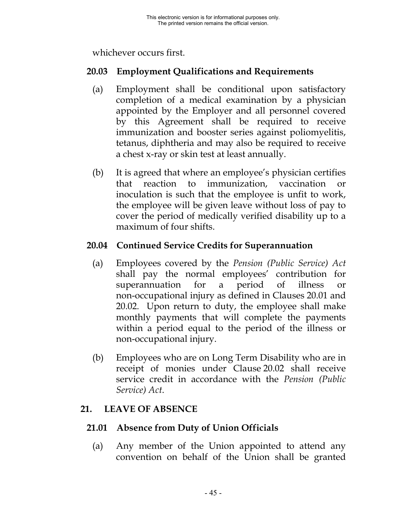whichever occurs first.

### **20.03 Employment Qualifications and Requirements**

- (a) Employment shall be conditional upon satisfactory completion of a medical examination by a physician appointed by the Employer and all personnel covered by this Agreement shall be required to receive immunization and booster series against poliomyelitis, tetanus, diphtheria and may also be required to receive a chest x-ray or skin test at least annually.
- (b) It is agreed that where an employee's physician certifies that reaction to immunization, vaccination or inoculation is such that the employee is unfit to work, the employee will be given leave without loss of pay to cover the period of medically verified disability up to a maximum of four shifts.

### **20.04 Continued Service Credits for Superannuation**

- (a) Employees covered by the *Pension (Public Service) Act* shall pay the normal employees' contribution for superannuation for a period of illness or non-occupational injury as defined in Clauses 20.01 and 20.02. Upon return to duty, the employee shall make monthly payments that will complete the payments within a period equal to the period of the illness or non-occupational injury.
- (b) Employees who are on Long Term Disability who are in receipt of monies under Clause 20.02 shall receive service credit in accordance with the *Pension (Public Service) Act*.

# **21. LEAVE OF ABSENCE**

# **21.01 Absence from Duty of Union Officials**

(a) Any member of the Union appointed to attend any convention on behalf of the Union shall be granted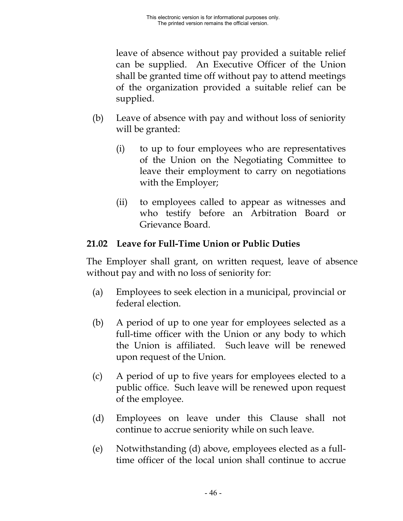leave of absence without pay provided a suitable relief can be supplied. An Executive Officer of the Union shall be granted time off without pay to attend meetings of the organization provided a suitable relief can be supplied.

- (b) Leave of absence with pay and without loss of seniority will be granted:
	- (i) to up to four employees who are representatives of the Union on the Negotiating Committee to leave their employment to carry on negotiations with the Employer;
	- (ii) to employees called to appear as witnesses and who testify before an Arbitration Board or Grievance Board.

# **21.02 Leave for Full-Time Union or Public Duties**

The Employer shall grant, on written request, leave of absence without pay and with no loss of seniority for:

- (a) Employees to seek election in a municipal, provincial or federal election.
- (b) A period of up to one year for employees selected as a full-time officer with the Union or any body to which the Union is affiliated. Such leave will be renewed upon request of the Union.
- (c) A period of up to five years for employees elected to a public office. Such leave will be renewed upon request of the employee.
- (d) Employees on leave under this Clause shall not continue to accrue seniority while on such leave.
- (e) Notwithstanding (d) above, employees elected as a fulltime officer of the local union shall continue to accrue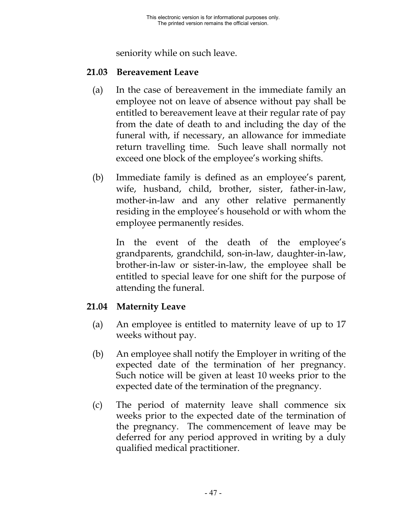seniority while on such leave.

#### **21.03 Bereavement Leave**

- (a) In the case of bereavement in the immediate family an employee not on leave of absence without pay shall be entitled to bereavement leave at their regular rate of pay from the date of death to and including the day of the funeral with, if necessary, an allowance for immediate return travelling time. Such leave shall normally not exceed one block of the employee's working shifts.
- (b) Immediate family is defined as an employee's parent, wife, husband, child, brother, sister, father-in-law, mother-in-law and any other relative permanently residing in the employee's household or with whom the employee permanently resides.

In the event of the death of the employee's grandparents, grandchild, son-in-law, daughter-in-law, brother-in-law or sister-in-law, the employee shall be entitled to special leave for one shift for the purpose of attending the funeral.

### **21.04 Maternity Leave**

- (a) An employee is entitled to maternity leave of up to 17 weeks without pay.
- (b) An employee shall notify the Employer in writing of the expected date of the termination of her pregnancy. Such notice will be given at least 10 weeks prior to the expected date of the termination of the pregnancy.
- (c) The period of maternity leave shall commence six weeks prior to the expected date of the termination of the pregnancy. The commencement of leave may be deferred for any period approved in writing by a duly qualified medical practitioner.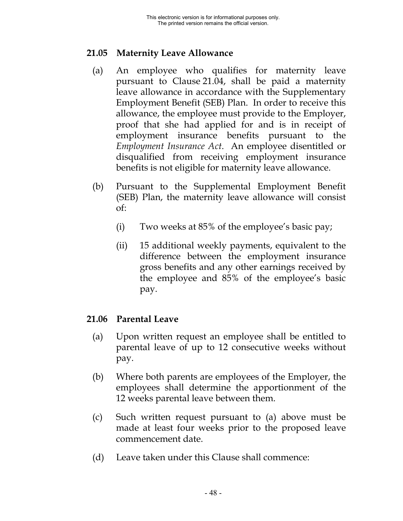### **21.05 Maternity Leave Allowance**

- (a) An employee who qualifies for maternity leave pursuant to Clause 21.04, shall be paid a maternity leave allowance in accordance with the Supplementary Employment Benefit (SEB) Plan. In order to receive this allowance, the employee must provide to the Employer, proof that she had applied for and is in receipt of employment insurance benefits pursuant to the *Employment Insurance Act*. An employee disentitled or disqualified from receiving employment insurance benefits is not eligible for maternity leave allowance.
- (b) Pursuant to the Supplemental Employment Benefit (SEB) Plan, the maternity leave allowance will consist of:
	- (i) Two weeks at 85% of the employee's basic pay;
	- (ii) 15 additional weekly payments, equivalent to the difference between the employment insurance gross benefits and any other earnings received by the employee and 85% of the employee's basic pay.

### **21.06 Parental Leave**

- (a) Upon written request an employee shall be entitled to parental leave of up to 12 consecutive weeks without pay.
- (b) Where both parents are employees of the Employer, the employees shall determine the apportionment of the 12 weeks parental leave between them.
- (c) Such written request pursuant to (a) above must be made at least four weeks prior to the proposed leave commencement date.
- (d) Leave taken under this Clause shall commence: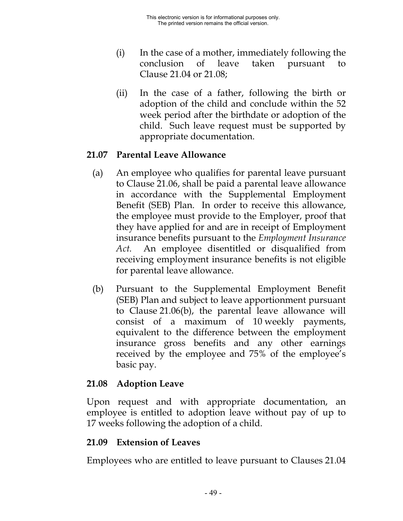- (i) In the case of a mother, immediately following the conclusion of leave taken pursuant to Clause 21.04 or 21.08;
- (ii) In the case of a father, following the birth or adoption of the child and conclude within the 52 week period after the birthdate or adoption of the child. Such leave request must be supported by appropriate documentation.

### **21.07 Parental Leave Allowance**

- (a) An employee who qualifies for parental leave pursuant to Clause 21.06, shall be paid a parental leave allowance in accordance with the Supplemental Employment Benefit (SEB) Plan. In order to receive this allowance, the employee must provide to the Employer, proof that they have applied for and are in receipt of Employment insurance benefits pursuant to the *Employment Insurance Act.* An employee disentitled or disqualified from receiving employment insurance benefits is not eligible for parental leave allowance.
- (b) Pursuant to the Supplemental Employment Benefit (SEB) Plan and subject to leave apportionment pursuant to Clause 21.06(b), the parental leave allowance will consist of a maximum of 10 weekly payments, equivalent to the difference between the employment insurance gross benefits and any other earnings received by the employee and 75% of the employee's basic pay.

### **21.08 Adoption Leave**

Upon request and with appropriate documentation, an employee is entitled to adoption leave without pay of up to 17 weeks following the adoption of a child.

# **21.09 Extension of Leaves**

Employees who are entitled to leave pursuant to Clauses 21.04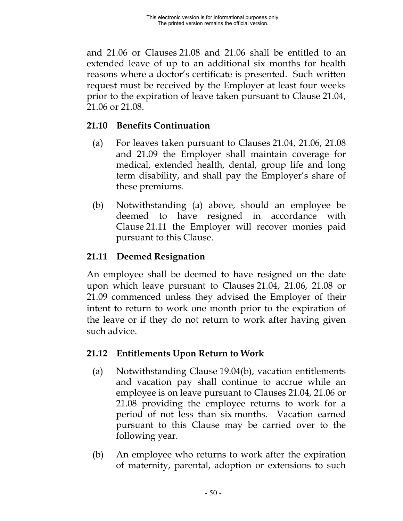and 21.06 or Clauses 21.08 and 21.06 shall be entitled to an extended leave of up to an additional six months for health reasons where a doctor's certificate is presented. Such written request must be received by the Employer at least four weeks prior to the expiration of leave taken pursuant to Clause 21.04, 21.06 or 21.08.

### **21.10 Benefits Continuation**

- (a) For leaves taken pursuant to Clauses 21.04, 21.06, 21.08 and 21.09 the Employer shall maintain coverage for medical, extended health, dental, group life and long term disability, and shall pay the Employer's share of these premiums.
- (b) Notwithstanding (a) above, should an employee be deemed to have resigned in accordance with Clause 21.11 the Employer will recover monies paid pursuant to this Clause.

# **21.11 Deemed Resignation**

An employee shall be deemed to have resigned on the date upon which leave pursuant to Clauses 21.04, 21.06, 21.08 or 21.09 commenced unless they advised the Employer of their intent to return to work one month prior to the expiration of the leave or if they do not return to work after having given such advice.

# **21.12 Entitlements Upon Return to Work**

- (a) Notwithstanding Clause 19.04(b), vacation entitlements and vacation pay shall continue to accrue while an employee is on leave pursuant to Clauses 21.04, 21.06 or 21.08 providing the employee returns to work for a period of not less than six months. Vacation earned pursuant to this Clause may be carried over to the following year.
- (b) An employee who returns to work after the expiration of maternity, parental, adoption or extensions to such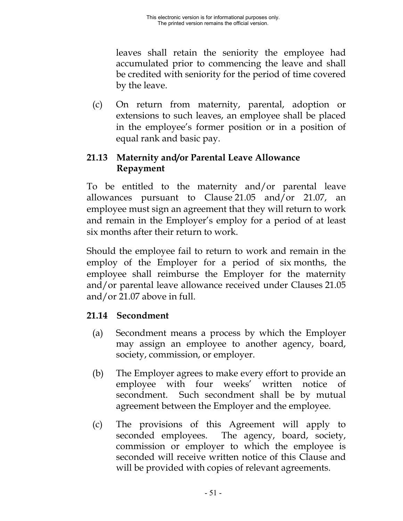leaves shall retain the seniority the employee had accumulated prior to commencing the leave and shall be credited with seniority for the period of time covered by the leave.

(c) On return from maternity, parental, adoption or extensions to such leaves, an employee shall be placed in the employee's former position or in a position of equal rank and basic pay.

# **21.13 Maternity and/or Parental Leave Allowance Repayment**

To be entitled to the maternity and/or parental leave allowances pursuant to Clause 21.05 and/or 21.07, an employee must sign an agreement that they will return to work and remain in the Employer's employ for a period of at least six months after their return to work.

Should the employee fail to return to work and remain in the employ of the Employer for a period of six months, the employee shall reimburse the Employer for the maternity and/or parental leave allowance received under Clauses 21.05 and/or 21.07 above in full.

# **21.14 Secondment**

- (a) Secondment means a process by which the Employer may assign an employee to another agency, board, society, commission, or employer.
- (b) The Employer agrees to make every effort to provide an employee with four weeks' written notice secondment. Such secondment shall be by mutual agreement between the Employer and the employee.
- (c) The provisions of this Agreement will apply to seconded employees. The agency, board, society, commission or employer to which the employee is seconded will receive written notice of this Clause and will be provided with copies of relevant agreements.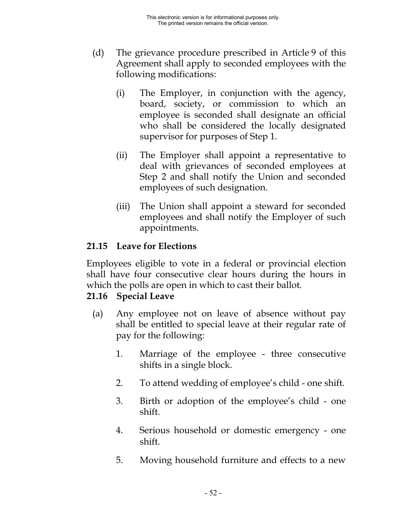- (d) The grievance procedure prescribed in Article 9 of this Agreement shall apply to seconded employees with the following modifications:
	- (i) The Employer, in conjunction with the agency, board, society, or commission to which an employee is seconded shall designate an official who shall be considered the locally designated supervisor for purposes of Step 1.
	- (ii) The Employer shall appoint a representative to deal with grievances of seconded employees at Step 2 and shall notify the Union and seconded employees of such designation.
	- (iii) The Union shall appoint a steward for seconded employees and shall notify the Employer of such appointments.

# **21.15 Leave for Elections**

Employees eligible to vote in a federal or provincial election shall have four consecutive clear hours during the hours in which the polls are open in which to cast their ballot.

# **21.16 Special Leave**

- (a) Any employee not on leave of absence without pay shall be entitled to special leave at their regular rate of pay for the following:
	- 1. Marriage of the employee three consecutive shifts in a single block.
	- 2. To attend wedding of employee's child one shift.
	- 3. Birth or adoption of the employee's child one shift.
	- 4. Serious household or domestic emergency one shift.
	- 5. Moving household furniture and effects to a new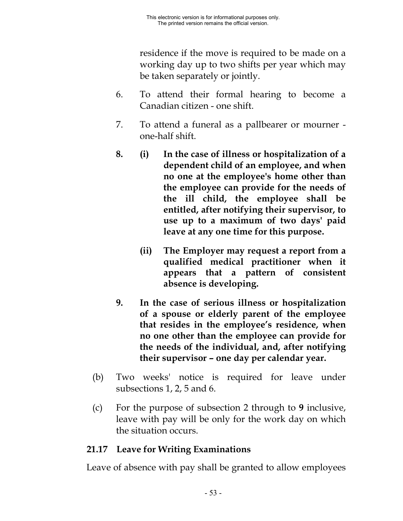residence if the move is required to be made on a working day up to two shifts per year which may be taken separately or jointly.

- 6. To attend their formal hearing to become a Canadian citizen - one shift.
- 7. To attend a funeral as a pallbearer or mourner one-half shift.
- **8. (i) In the case of illness or hospitalization of a dependent child of an employee, and when no one at the employee's home other than the employee can provide for the needs of the ill child, the employee shall be entitled, after notifying their supervisor, to use up to a maximum of two days' paid leave at any one time for this purpose.**
	- **(ii) The Employer may request a report from a qualified medical practitioner when it appears that a pattern of consistent absence is developing.**
- **9. In the case of serious illness or hospitalization of a spouse or elderly parent of the employee that resides in the employee's residence, when no one other than the employee can provide for the needs of the individual, and, after notifying their supervisor – one day per calendar year.**
- (b) Two weeks' notice is required for leave under subsections 1, 2, 5 and 6.
- (c) For the purpose of subsection 2 through to **9** inclusive, leave with pay will be only for the work day on which the situation occurs.

### **21.17 Leave for Writing Examinations**

Leave of absence with pay shall be granted to allow employees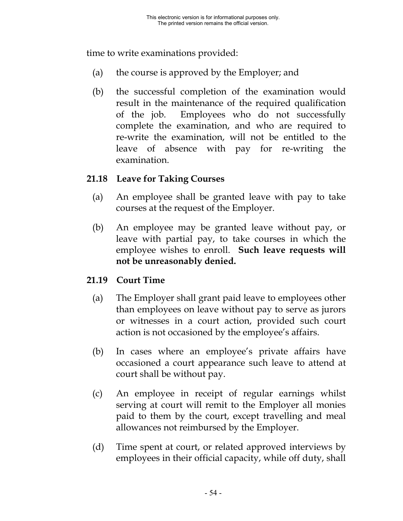time to write examinations provided:

- (a) the course is approved by the Employer; and
- (b) the successful completion of the examination would result in the maintenance of the required qualification of the job. Employees who do not successfully complete the examination, and who are required to re-write the examination, will not be entitled to the leave of absence with pay for re-writing the examination.

### **21.18 Leave for Taking Courses**

- (a) An employee shall be granted leave with pay to take courses at the request of the Employer.
- (b) An employee may be granted leave without pay, or leave with partial pay, to take courses in which the employee wishes to enroll. **Such leave requests will not be unreasonably denied.**

# **21.19 Court Time**

- (a) The Employer shall grant paid leave to employees other than employees on leave without pay to serve as jurors or witnesses in a court action, provided such court action is not occasioned by the employee's affairs.
- (b) In cases where an employee's private affairs have occasioned a court appearance such leave to attend at court shall be without pay.
- (c) An employee in receipt of regular earnings whilst serving at court will remit to the Employer all monies paid to them by the court, except travelling and meal allowances not reimbursed by the Employer.
- (d) Time spent at court, or related approved interviews by employees in their official capacity, while off duty, shall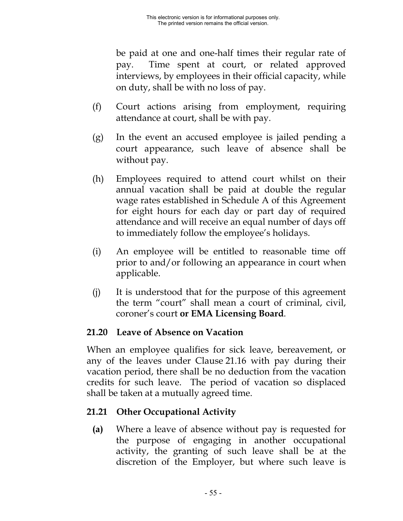be paid at one and one-half times their regular rate of pay. Time spent at court, or related approved interviews, by employees in their official capacity, while on duty, shall be with no loss of pay.

- (f) Court actions arising from employment, requiring attendance at court, shall be with pay.
- (g) In the event an accused employee is jailed pending a court appearance, such leave of absence shall be without pay.
- (h) Employees required to attend court whilst on their annual vacation shall be paid at double the regular wage rates established in Schedule A of this Agreement for eight hours for each day or part day of required attendance and will receive an equal number of days off to immediately follow the employee's holidays.
- (i) An employee will be entitled to reasonable time off prior to and/or following an appearance in court when applicable.
- (j) It is understood that for the purpose of this agreement the term "court" shall mean a court of criminal, civil, coroner's court **or EMA Licensing Board**.

### **21.20 Leave of Absence on Vacation**

When an employee qualifies for sick leave, bereavement, or any of the leaves under Clause 21.16 with pay during their vacation period, there shall be no deduction from the vacation credits for such leave. The period of vacation so displaced shall be taken at a mutually agreed time.

### **21.21 Other Occupational Activity**

**(a)** Where a leave of absence without pay is requested for the purpose of engaging in another occupational activity, the granting of such leave shall be at the discretion of the Employer, but where such leave is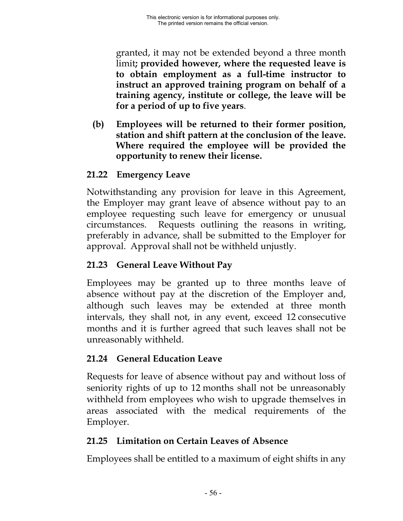granted, it may not be extended beyond a three month limit**; provided however, where the requested leave is to obtain employment as a full-time instructor to instruct an approved training program on behalf of a training agency, institute or college, the leave will be for a period of up to five years**.

**(b) Employees will be returned to their former position, station and shift pattern at the conclusion of the leave. Where required the employee will be provided the opportunity to renew their license.**

# **21.22 Emergency Leave**

Notwithstanding any provision for leave in this Agreement, the Employer may grant leave of absence without pay to an employee requesting such leave for emergency or unusual circumstances. Requests outlining the reasons in writing, preferably in advance, shall be submitted to the Employer for approval. Approval shall not be withheld unjustly.

# **21.23 General Leave Without Pay**

Employees may be granted up to three months leave of absence without pay at the discretion of the Employer and, although such leaves may be extended at three month intervals, they shall not, in any event, exceed 12 consecutive months and it is further agreed that such leaves shall not be unreasonably withheld.

# **21.24 General Education Leave**

Requests for leave of absence without pay and without loss of seniority rights of up to 12 months shall not be unreasonably withheld from employees who wish to upgrade themselves in areas associated with the medical requirements of the Employer.

# **21.25 Limitation on Certain Leaves of Absence**

Employees shall be entitled to a maximum of eight shifts in any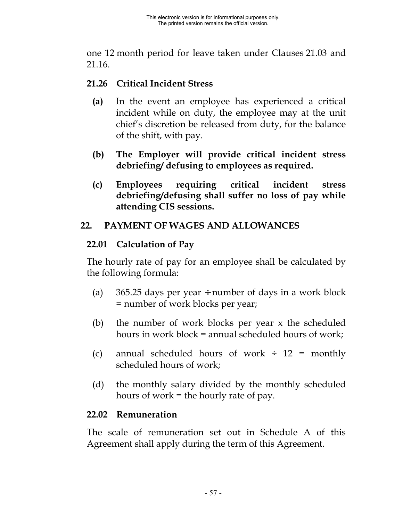one 12 month period for leave taken under Clauses 21.03 and 21.16.

### **21.26 Critical Incident Stress**

- **(a)** In the event an employee has experienced a critical incident while on duty, the employee may at the unit chief's discretion be released from duty, for the balance of the shift, with pay.
- **(b) The Employer will provide critical incident stress debriefing/ defusing to employees as required.**
- **(c) Employees requiring critical incident stress debriefing/defusing shall suffer no loss of pay while attending CIS sessions.**

### **22. PAYMENT OF WAGES AND ALLOWANCES**

### **22.01 Calculation of Pay**

The hourly rate of pay for an employee shall be calculated by the following formula:

- (a) 365.25 days per year  $\div$  number of days in a work block = number of work blocks per year;
- (b) the number of work blocks per year x the scheduled hours in work block = annual scheduled hours of work;
- (c) annual scheduled hours of work  $\div$  12 = monthly scheduled hours of work;
- (d) the monthly salary divided by the monthly scheduled hours of work = the hourly rate of pay.

### **22.02 Remuneration**

The scale of remuneration set out in Schedule A of this Agreement shall apply during the term of this Agreement.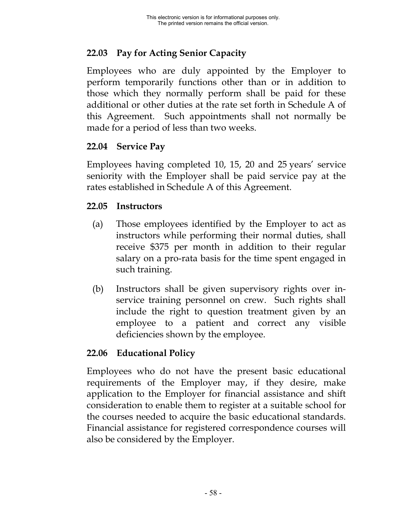# **22.03 Pay for Acting Senior Capacity**

Employees who are duly appointed by the Employer to perform temporarily functions other than or in addition to those which they normally perform shall be paid for these additional or other duties at the rate set forth in Schedule A of this Agreement. Such appointments shall not normally be made for a period of less than two weeks.

### **22.04 Service Pay**

Employees having completed 10, 15, 20 and 25 years' service seniority with the Employer shall be paid service pay at the rates established in Schedule A of this Agreement.

#### **22.05 Instructors**

- (a) Those employees identified by the Employer to act as instructors while performing their normal duties, shall receive \$375 per month in addition to their regular salary on a pro-rata basis for the time spent engaged in such training.
- (b) Instructors shall be given supervisory rights over inservice training personnel on crew. Such rights shall include the right to question treatment given by an employee to a patient and correct any visible deficiencies shown by the employee.

### **22.06 Educational Policy**

Employees who do not have the present basic educational requirements of the Employer may, if they desire, make application to the Employer for financial assistance and shift consideration to enable them to register at a suitable school for the courses needed to acquire the basic educational standards. Financial assistance for registered correspondence courses will also be considered by the Employer.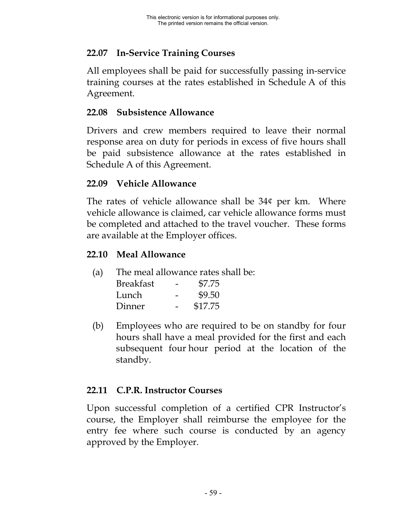# **22.07 In-Service Training Courses**

All employees shall be paid for successfully passing in-service training courses at the rates established in Schedule A of this Agreement.

#### **22.08 Subsistence Allowance**

Drivers and crew members required to leave their normal response area on duty for periods in excess of five hours shall be paid subsistence allowance at the rates established in Schedule A of this Agreement.

### **22.09 Vehicle Allowance**

The rates of vehicle allowance shall be 34¢ per km. Where vehicle allowance is claimed, car vehicle allowance forms must be completed and attached to the travel voucher. These forms are available at the Employer offices.

### **22.10 Meal Allowance**

(a) The meal allowance rates shall be:

| <b>Breakfast</b> | \$7.75  |
|------------------|---------|
| Lunch            | \$9.50  |
| Dinner           | \$17.75 |

(b) Employees who are required to be on standby for four hours shall have a meal provided for the first and each subsequent four hour period at the location of the standby.

# **22.11 C.P.R. Instructor Courses**

Upon successful completion of a certified CPR Instructor's course, the Employer shall reimburse the employee for the entry fee where such course is conducted by an agency approved by the Employer.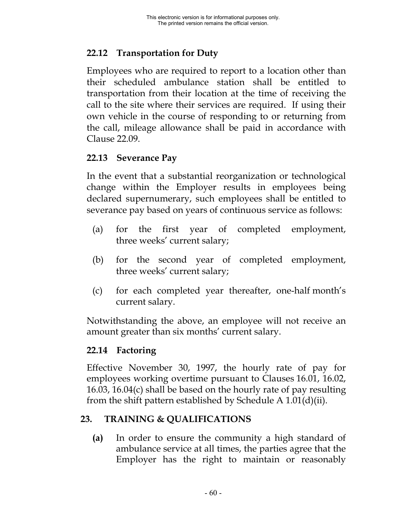# **22.12 Transportation for Duty**

Employees who are required to report to a location other than their scheduled ambulance station shall be entitled to transportation from their location at the time of receiving the call to the site where their services are required. If using their own vehicle in the course of responding to or returning from the call, mileage allowance shall be paid in accordance with Clause 22.09.

### **22.13 Severance Pay**

In the event that a substantial reorganization or technological change within the Employer results in employees being declared supernumerary, such employees shall be entitled to severance pay based on years of continuous service as follows:

- (a) for the first year of completed employment, three weeks' current salary;
- (b) for the second year of completed employment, three weeks' current salary;
- (c) for each completed year thereafter, one-half month's current salary.

Notwithstanding the above, an employee will not receive an amount greater than six months' current salary.

### **22.14 Factoring**

Effective November 30, 1997, the hourly rate of pay for employees working overtime pursuant to Clauses 16.01, 16.02, 16.03, 16.04(c) shall be based on the hourly rate of pay resulting from the shift pattern established by Schedule A 1.01(d)(ii).

### **23. TRAINING & QUALIFICATIONS**

**(a)** In order to ensure the community a high standard of ambulance service at all times, the parties agree that the Employer has the right to maintain or reasonably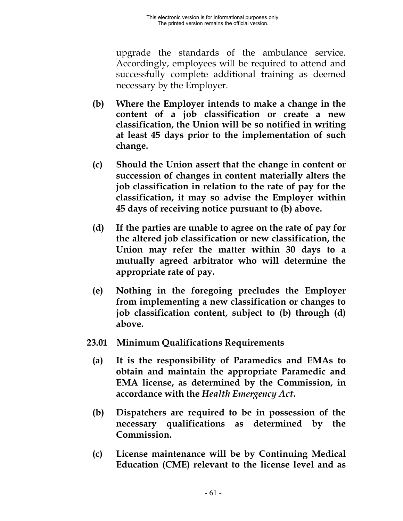upgrade the standards of the ambulance service. Accordingly, employees will be required to attend and successfully complete additional training as deemed necessary by the Employer.

- **(b) Where the Employer intends to make a change in the content of a job classification or create a new classification, the Union will be so notified in writing at least 45 days prior to the implementation of such change.**
- **(c) Should the Union assert that the change in content or succession of changes in content materially alters the job classification in relation to the rate of pay for the classification, it may so advise the Employer within 45 days of receiving notice pursuant to (b) above.**
- **(d) If the parties are unable to agree on the rate of pay for the altered job classification or new classification, the Union may refer the matter within 30 days to a mutually agreed arbitrator who will determine the appropriate rate of pay.**
- **(e) Nothing in the foregoing precludes the Employer from implementing a new classification or changes to job classification content, subject to (b) through (d) above.**
- **23.01 Minimum Qualifications Requirements**
	- **(a) It is the responsibility of Paramedics and EMAs to obtain and maintain the appropriate Paramedic and EMA license, as determined by the Commission, in accordance with the** *Health Emergency Act***.**
	- **(b) Dispatchers are required to be in possession of the necessary qualifications as determined by the Commission.**
	- **(c) License maintenance will be by Continuing Medical Education (CME) relevant to the license level and as**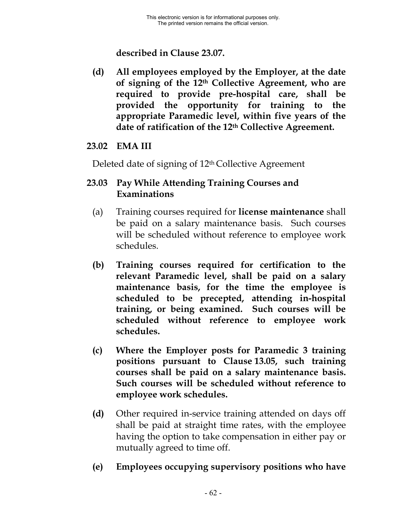**described in Clause 23.07.**

**(d) All employees employed by the Employer, at the date of signing of the 12th Collective Agreement, who are required to provide pre-hospital care, shall be provided the opportunity for training to the appropriate Paramedic level, within five years of the date of ratification of the 12th Collective Agreement.**

### **23.02 EMA III**

Deleted date of signing of 12th Collective Agreement

### **23.03 Pay While Attending Training Courses and Examinations**

- (a) Training courses required for **license maintenance** shall be paid on a salary maintenance basis. Such courses will be scheduled without reference to employee work schedules.
- **(b) Training courses required for certification to the relevant Paramedic level, shall be paid on a salary maintenance basis, for the time the employee is scheduled to be precepted, attending in-hospital training, or being examined. Such courses will be scheduled without reference to employee work schedules.**
- **(c) Where the Employer posts for Paramedic 3 training positions pursuant to Clause 13.05, such training courses shall be paid on a salary maintenance basis. Such courses will be scheduled without reference to employee work schedules.**
- **(d)** Other required in-service training attended on days off shall be paid at straight time rates, with the employee having the option to take compensation in either pay or mutually agreed to time off.
- **(e) Employees occupying supervisory positions who have**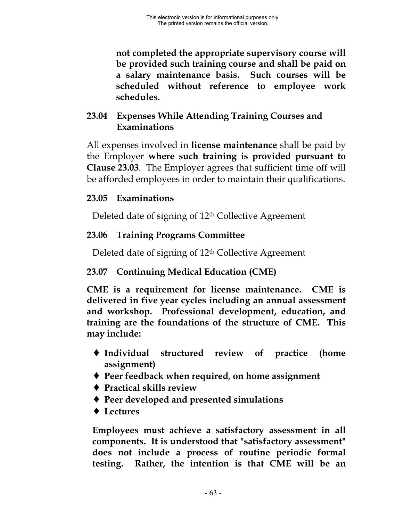**not completed the appropriate supervisory course will be provided such training course and shall be paid on a salary maintenance basis. Such courses will be scheduled without reference to employee work schedules.**

# **23.04 Expenses While Attending Training Courses and Examinations**

All expenses involved in **license maintenance** shall be paid by the Employer **where such training is provided pursuant to Clause 23.03**. The Employer agrees that sufficient time off will be afforded employees in order to maintain their qualifications.

# **23.05 Examinations**

Deleted date of signing of 12th Collective Agreement

# **23.06 Training Programs Committee**

Deleted date of signing of 12th Collective Agreement

# **23.07 Continuing Medical Education (CME)**

**CME is a requirement for license maintenance. CME is delivered in five year cycles including an annual assessment and workshop. Professional development, education, and training are the foundations of the structure of CME. This may include:**

- ♦ **Individual structured review of practice (home assignment)**
- ♦ **Peer feedback when required, on home assignment**
- ♦ **Practical skills review**
- ♦ **Peer developed and presented simulations**
- ♦ **Lectures**

**Employees must achieve a satisfactory assessment in all components. It is understood that "satisfactory assessment" does not include a process of routine periodic formal testing. Rather, the intention is that CME will be an**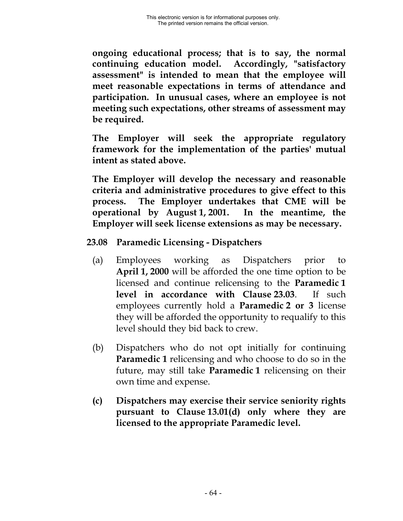**ongoing educational process; that is to say, the normal continuing education model. Accordingly, "satisfactory assessment" is intended to mean that the employee will meet reasonable expectations in terms of attendance and participation. In unusual cases, where an employee is not meeting such expectations, other streams of assessment may be required.**

**The Employer will seek the appropriate regulatory framework for the implementation of the parties' mutual intent as stated above.**

**The Employer will develop the necessary and reasonable criteria and administrative procedures to give effect to this process. The Employer undertakes that CME will be operational by August 1, 2001. In the meantime, the Employer will seek license extensions as may be necessary.**

#### **23.08 Paramedic Licensing - Dispatchers**

- (a) Employees working as Dispatchers prior to **April 1, 2000** will be afforded the one time option to be licensed and continue relicensing to the **Paramedic 1 level in accordance with Clause 23.03**. If such employees currently hold a **Paramedic 2 or 3** license they will be afforded the opportunity to requalify to this level should they bid back to crew.
- (b) Dispatchers who do not opt initially for continuing **Paramedic 1** relicensing and who choose to do so in the future, may still take **Paramedic 1** relicensing on their own time and expense.
- **(c) Dispatchers may exercise their service seniority rights pursuant to Clause 13.01(d) only where they are licensed to the appropriate Paramedic level.**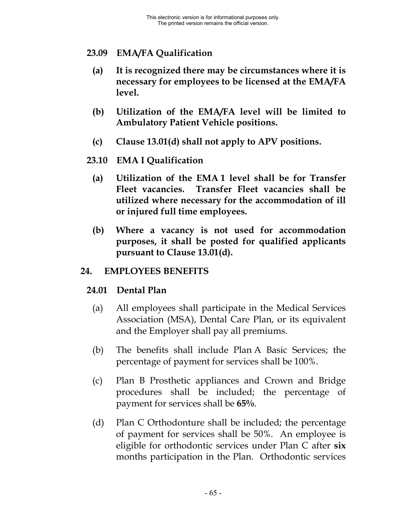#### **23.09 EMA/FA Qualification**

- **(a) It is recognized there may be circumstances where it is necessary for employees to be licensed at the EMA/FA level.**
- **(b) Utilization of the EMA/FA level will be limited to Ambulatory Patient Vehicle positions.**
- **(c) Clause 13.01(d) shall not apply to APV positions.**
- **23.10 EMA I Qualification**
	- **(a) Utilization of the EMA 1 level shall be for Transfer Fleet vacancies. Transfer Fleet vacancies shall be utilized where necessary for the accommodation of ill or injured full time employees.**
	- **(b) Where a vacancy is not used for accommodation purposes, it shall be posted for qualified applicants pursuant to Clause 13.01(d).**

#### **24. EMPLOYEES BENEFITS**

#### **24.01 Dental Plan**

- (a) All employees shall participate in the Medical Services Association (MSA), Dental Care Plan, or its equivalent and the Employer shall pay all premiums.
- (b) The benefits shall include Plan A Basic Services; the percentage of payment for services shall be 100%.
- (c) Plan B Prosthetic appliances and Crown and Bridge procedures shall be included; the percentage of payment for services shall be **65%**.
- (d) Plan C Orthodonture shall be included; the percentage of payment for services shall be 50%. An employee is eligible for orthodontic services under Plan C after **six** months participation in the Plan. Orthodontic services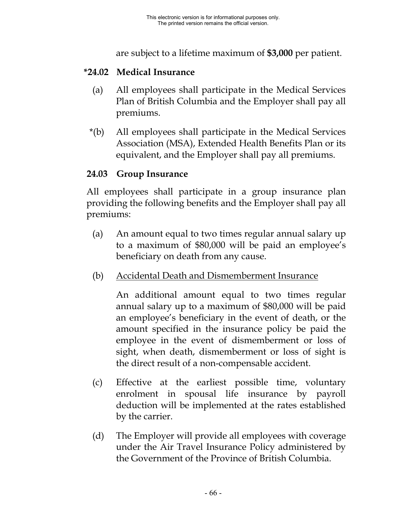are subject to a lifetime maximum of **\$3,000** per patient.

## **\*24.02 Medical Insurance**

- (a) All employees shall participate in the Medical Services Plan of British Columbia and the Employer shall pay all premiums.
- \*(b) All employees shall participate in the Medical Services Association (MSA), Extended Health Benefits Plan or its equivalent, and the Employer shall pay all premiums.

## **24.03 Group Insurance**

All employees shall participate in a group insurance plan providing the following benefits and the Employer shall pay all premiums:

- (a) An amount equal to two times regular annual salary up to a maximum of \$80,000 will be paid an employee's beneficiary on death from any cause.
- (b) Accidental Death and Dismemberment Insurance

An additional amount equal to two times regular annual salary up to a maximum of \$80,000 will be paid an employee's beneficiary in the event of death, or the amount specified in the insurance policy be paid the employee in the event of dismemberment or loss of sight, when death, dismemberment or loss of sight is the direct result of a non-compensable accident.

- (c) Effective at the earliest possible time, voluntary enrolment in spousal life insurance by payroll deduction will be implemented at the rates established by the carrier.
- (d) The Employer will provide all employees with coverage under the Air Travel Insurance Policy administered by the Government of the Province of British Columbia.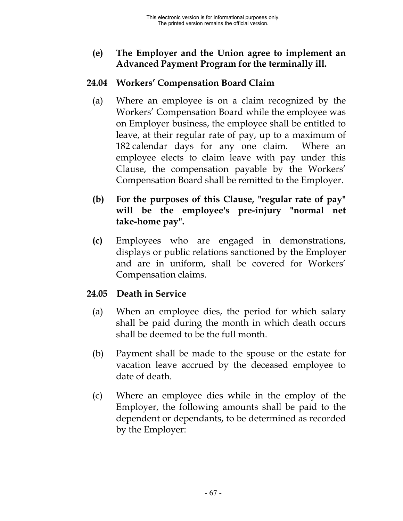## **(e) The Employer and the Union agree to implement an Advanced Payment Program for the terminally ill.**

## **24.04 Workers' Compensation Board Claim**

- (a) Where an employee is on a claim recognized by the Workers' Compensation Board while the employee was on Employer business, the employee shall be entitled to leave, at their regular rate of pay, up to a maximum of 182 calendar days for any one claim. Where an employee elects to claim leave with pay under this Clause, the compensation payable by the Workers' Compensation Board shall be remitted to the Employer.
- **(b) For the purposes of this Clause, "regular rate of pay" will be the employee's pre-injury "normal net take-home pay".**
- **(c)** Employees who are engaged in demonstrations, displays or public relations sanctioned by the Employer and are in uniform, shall be covered for Workers' Compensation claims.

### **24.05 Death in Service**

- (a) When an employee dies, the period for which salary shall be paid during the month in which death occurs shall be deemed to be the full month.
- (b) Payment shall be made to the spouse or the estate for vacation leave accrued by the deceased employee to date of death.
- (c) Where an employee dies while in the employ of the Employer, the following amounts shall be paid to the dependent or dependants, to be determined as recorded by the Employer: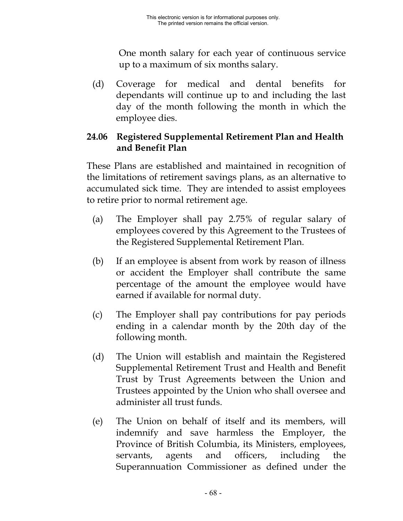One month salary for each year of continuous service up to a maximum of six months salary.

(d) Coverage for medical and dental benefits for dependants will continue up to and including the last day of the month following the month in which the employee dies.

## **24.06 Registered Supplemental Retirement Plan and Health and Benefit Plan**

These Plans are established and maintained in recognition of the limitations of retirement savings plans, as an alternative to accumulated sick time. They are intended to assist employees to retire prior to normal retirement age.

- (a) The Employer shall pay 2.75% of regular salary of employees covered by this Agreement to the Trustees of the Registered Supplemental Retirement Plan.
- (b) If an employee is absent from work by reason of illness or accident the Employer shall contribute the same percentage of the amount the employee would have earned if available for normal duty.
- (c) The Employer shall pay contributions for pay periods ending in a calendar month by the 20th day of the following month.
- (d) The Union will establish and maintain the Registered Supplemental Retirement Trust and Health and Benefit Trust by Trust Agreements between the Union and Trustees appointed by the Union who shall oversee and administer all trust funds.
- (e) The Union on behalf of itself and its members, will indemnify and save harmless the Employer, the Province of British Columbia, its Ministers, employees, servants, agents and officers, including the Superannuation Commissioner as defined under the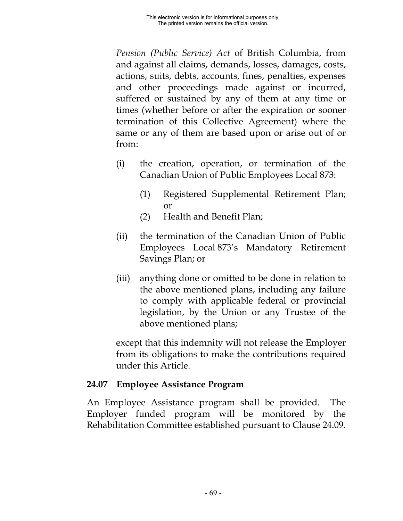*Pension (Public Service) Act* of British Columbia, from and against all claims, demands, losses, damages, costs, actions, suits, debts, accounts, fines, penalties, expenses and other proceedings made against or incurred, suffered or sustained by any of them at any time or times (whether before or after the expiration or sooner termination of this Collective Agreement) where the same or any of them are based upon or arise out of or from:

- (i) the creation, operation, or termination of the Canadian Union of Public Employees Local 873:
	- (1) Registered Supplemental Retirement Plan; or
	- (2) Health and Benefit Plan;
- (ii) the termination of the Canadian Union of Public Employees Local 873's Mandatory Retirement Savings Plan; or
- (iii) anything done or omitted to be done in relation to the above mentioned plans, including any failure to comply with applicable federal or provincial legislation, by the Union or any Trustee of the above mentioned plans;

except that this indemnity will not release the Employer from its obligations to make the contributions required under this Article.

### **24.07 Employee Assistance Program**

An Employee Assistance program shall be provided. The Employer funded program will be monitored by the Rehabilitation Committee established pursuant to Clause 24.09.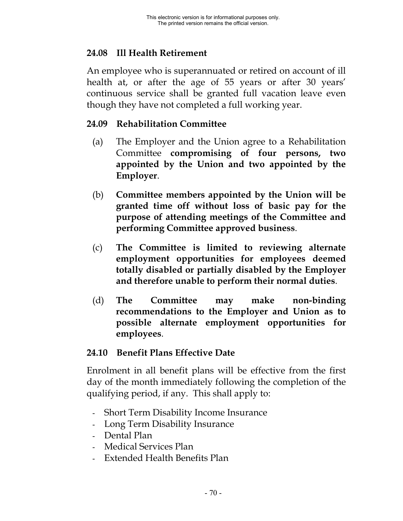## **24.08 Ill Health Retirement**

An employee who is superannuated or retired on account of ill health at, or after the age of 55 years or after 30 years' continuous service shall be granted full vacation leave even though they have not completed a full working year.

### **24.09 Rehabilitation Committee**

- (a) The Employer and the Union agree to a Rehabilitation Committee **compromising of four persons, two appointed by the Union and two appointed by the Employer**.
- (b) **Committee members appointed by the Union will be granted time off without loss of basic pay for the purpose of attending meetings of the Committee and performing Committee approved business**.
- (c) **The Committee is limited to reviewing alternate employment opportunities for employees deemed totally disabled or partially disabled by the Employer and therefore unable to perform their normal duties**.
- (d) **The Committee may make non-binding recommendations to the Employer and Union as to possible alternate employment opportunities for employees**.

### **24.10 Benefit Plans Effective Date**

Enrolment in all benefit plans will be effective from the first day of the month immediately following the completion of the qualifying period, if any. This shall apply to:

- Short Term Disability Income Insurance
- Long Term Disability Insurance
- Dental Plan
- Medical Services Plan
- Extended Health Benefits Plan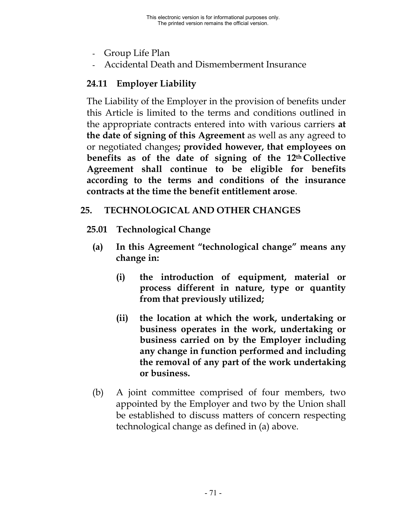- Group Life Plan
- Accidental Death and Dismemberment Insurance

# **24.11 Employer Liability**

The Liability of the Employer in the provision of benefits under this Article is limited to the terms and conditions outlined in the appropriate contracts entered into with various carriers **at the date of signing of this Agreement** as well as any agreed to or negotiated changes**; provided however, that employees on benefits as of the date of signing of the 12th Collective Agreement shall continue to be eligible for benefits according to the terms and conditions of the insurance contracts at the time the benefit entitlement arose**.

## **25. TECHNOLOGICAL AND OTHER CHANGES**

- **25.01 Technological Change**
	- **(a) In this Agreement "technological change" means any change in:**
		- **(i) the introduction of equipment, material or process different in nature, type or quantity from that previously utilized;**
		- **(ii) the location at which the work, undertaking or business operates in the work, undertaking or business carried on by the Employer including any change in function performed and including the removal of any part of the work undertaking or business.**
	- (b) A joint committee comprised of four members, two appointed by the Employer and two by the Union shall be established to discuss matters of concern respecting technological change as defined in (a) above.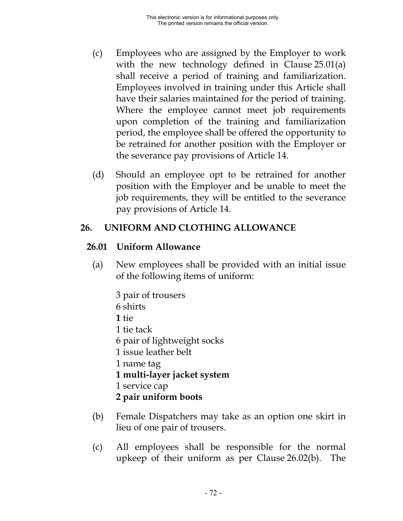- (c) Employees who are assigned by the Employer to work with the new technology defined in Clause 25.01(a) shall receive a period of training and familiarization. Employees involved in training under this Article shall have their salaries maintained for the period of training. Where the employee cannot meet job requirements upon completion of the training and familiarization period, the employee shall be offered the opportunity to be retrained for another position with the Employer or the severance pay provisions of Article 14.
- (d) Should an employee opt to be retrained for another position with the Employer and be unable to meet the job requirements, they will be entitled to the severance pay provisions of Article 14.

### **26. UNIFORM AND CLOTHING ALLOWANCE**

#### **26.01 Uniform Allowance**

- (a) New employees shall be provided with an initial issue of the following items of uniform:
	- 3 pair of trousers 6 shirts **1** tie 1 tie tack 6 pair of lightweight socks 1 issue leather belt 1 name tag **1 multi-layer jacket system** 1 service cap **2 pair uniform boots**
- (b) Female Dispatchers may take as an option one skirt in lieu of one pair of trousers.
- (c) All employees shall be responsible for the normal upkeep of their uniform as per Clause 26.02(b). The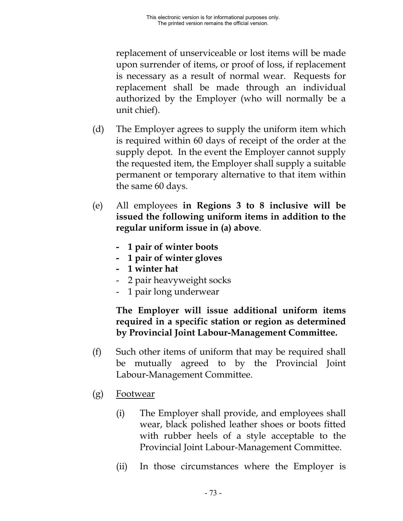replacement of unserviceable or lost items will be made upon surrender of items, or proof of loss, if replacement is necessary as a result of normal wear. Requests for replacement shall be made through an individual authorized by the Employer (who will normally be a unit chief).

- (d) The Employer agrees to supply the uniform item which is required within 60 days of receipt of the order at the supply depot. In the event the Employer cannot supply the requested item, the Employer shall supply a suitable permanent or temporary alternative to that item within the same 60 days.
- (e) All employees **in Regions 3 to 8 inclusive will be issued the following uniform items in addition to the regular uniform issue in (a) above**.
	- **1 pair of winter boots**
	- **1 pair of winter gloves**
	- **1 winter hat**
	- 2 pair heavyweight socks
	- 1 pair long underwear

### **The Employer will issue additional uniform items required in a specific station or region as determined by Provincial Joint Labour-Management Committee.**

- (f) Such other items of uniform that may be required shall be mutually agreed to by the Provincial Joint Labour-Management Committee.
- (g) Footwear
	- (i) The Employer shall provide, and employees shall wear, black polished leather shoes or boots fitted with rubber heels of a style acceptable to the Provincial Joint Labour-Management Committee.
	- (ii) In those circumstances where the Employer is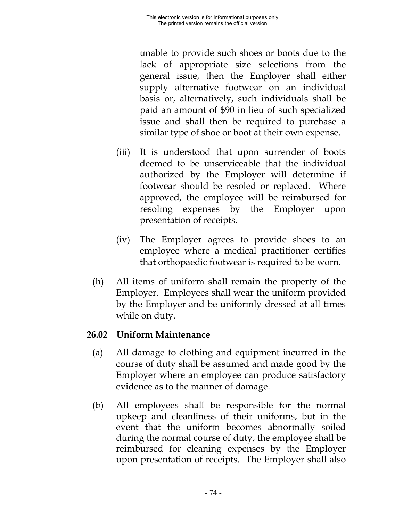unable to provide such shoes or boots due to the lack of appropriate size selections from the general issue, then the Employer shall either supply alternative footwear on an individual basis or, alternatively, such individuals shall be paid an amount of \$90 in lieu of such specialized issue and shall then be required to purchase a similar type of shoe or boot at their own expense.

- (iii) It is understood that upon surrender of boots deemed to be unserviceable that the individual authorized by the Employer will determine if footwear should be resoled or replaced. Where approved, the employee will be reimbursed for resoling expenses by the Employer upon presentation of receipts.
- (iv) The Employer agrees to provide shoes to an employee where a medical practitioner certifies that orthopaedic footwear is required to be worn.
- (h) All items of uniform shall remain the property of the Employer. Employees shall wear the uniform provided by the Employer and be uniformly dressed at all times while on duty.

## **26.02 Uniform Maintenance**

- (a) All damage to clothing and equipment incurred in the course of duty shall be assumed and made good by the Employer where an employee can produce satisfactory evidence as to the manner of damage.
- (b) All employees shall be responsible for the normal upkeep and cleanliness of their uniforms, but in the event that the uniform becomes abnormally soiled during the normal course of duty, the employee shall be reimbursed for cleaning expenses by the Employer upon presentation of receipts. The Employer shall also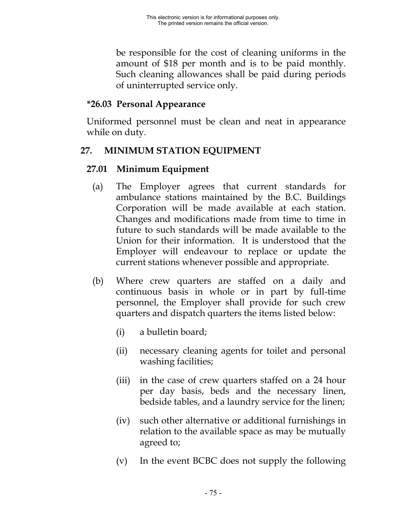be responsible for the cost of cleaning uniforms in the amount of \$18 per month and is to be paid monthly. Such cleaning allowances shall be paid during periods of uninterrupted service only.

### **\*26.03 Personal Appearance**

Uniformed personnel must be clean and neat in appearance while on duty.

## **27. MINIMUM STATION EQUIPMENT**

### **27.01 Minimum Equipment**

- (a) The Employer agrees that current standards for ambulance stations maintained by the B.C. Buildings Corporation will be made available at each station. Changes and modifications made from time to time in future to such standards will be made available to the Union for their information. It is understood that the Employer will endeavour to replace or update the current stations whenever possible and appropriate.
- (b) Where crew quarters are staffed on a daily and continuous basis in whole or in part by full-time personnel, the Employer shall provide for such crew quarters and dispatch quarters the items listed below:
	- (i) a bulletin board;
	- (ii) necessary cleaning agents for toilet and personal washing facilities;
	- (iii) in the case of crew quarters staffed on a 24 hour per day basis, beds and the necessary linen, bedside tables, and a laundry service for the linen;
	- (iv) such other alternative or additional furnishings in relation to the available space as may be mutually agreed to;
	- (v) In the event BCBC does not supply the following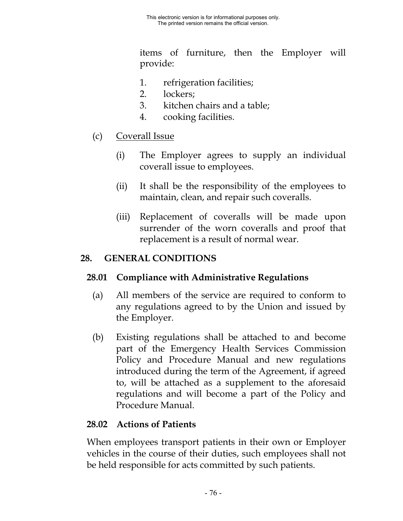items of furniture, then the Employer will provide:

- 1. refrigeration facilities;
- 2. lockers;
- 3. kitchen chairs and a table;
- 4. cooking facilities.
- (c) Coverall Issue
	- (i) The Employer agrees to supply an individual coverall issue to employees.
	- (ii) It shall be the responsibility of the employees to maintain, clean, and repair such coveralls.
	- (iii) Replacement of coveralls will be made upon surrender of the worn coveralls and proof that replacement is a result of normal wear.

### **28. GENERAL CONDITIONS**

### **28.01 Compliance with Administrative Regulations**

- (a) All members of the service are required to conform to any regulations agreed to by the Union and issued by the Employer.
- (b) Existing regulations shall be attached to and become part of the Emergency Health Services Commission Policy and Procedure Manual and new regulations introduced during the term of the Agreement, if agreed to, will be attached as a supplement to the aforesaid regulations and will become a part of the Policy and Procedure Manual.

## **28.02 Actions of Patients**

When employees transport patients in their own or Employer vehicles in the course of their duties, such employees shall not be held responsible for acts committed by such patients.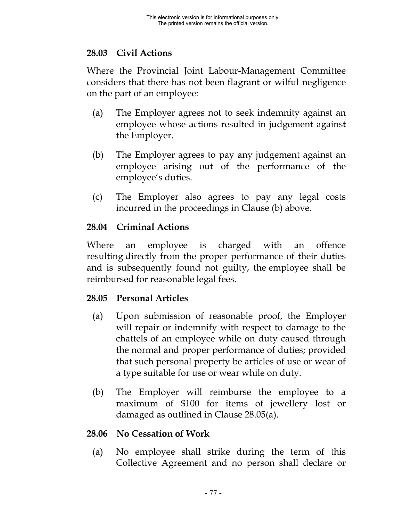## **28.03 Civil Actions**

Where the Provincial Joint Labour-Management Committee considers that there has not been flagrant or wilful negligence on the part of an employee:

- (a) The Employer agrees not to seek indemnity against an employee whose actions resulted in judgement against the Employer.
- (b) The Employer agrees to pay any judgement against an employee arising out of the performance of the employee's duties.
- (c) The Employer also agrees to pay any legal costs incurred in the proceedings in Clause (b) above.

## **28.04 Criminal Actions**

Where an employee is charged with an offence resulting directly from the proper performance of their duties and is subsequently found not guilty, the employee shall be reimbursed for reasonable legal fees.

# **28.05 Personal Articles**

- (a) Upon submission of reasonable proof, the Employer will repair or indemnify with respect to damage to the chattels of an employee while on duty caused through the normal and proper performance of duties; provided that such personal property be articles of use or wear of a type suitable for use or wear while on duty.
- (b) The Employer will reimburse the employee to a maximum of \$100 for items of jewellery lost or damaged as outlined in Clause 28.05(a).

## **28.06 No Cessation of Work**

(a) No employee shall strike during the term of this Collective Agreement and no person shall declare or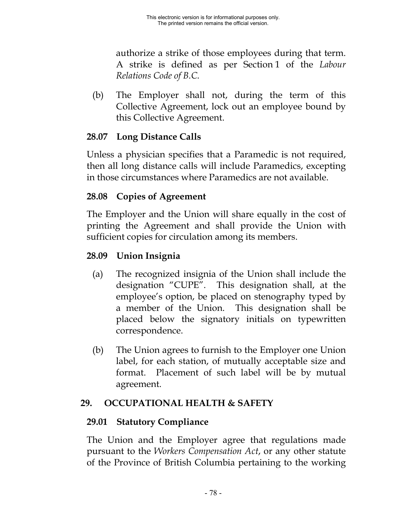authorize a strike of those employees during that term. A strike is defined as per Section 1 of the *Labour Relations Code of B.C.*

(b) The Employer shall not, during the term of this Collective Agreement, lock out an employee bound by this Collective Agreement.

## **28.07 Long Distance Calls**

Unless a physician specifies that a Paramedic is not required, then all long distance calls will include Paramedics, excepting in those circumstances where Paramedics are not available.

## **28.08 Copies of Agreement**

The Employer and the Union will share equally in the cost of printing the Agreement and shall provide the Union with sufficient copies for circulation among its members.

## **28.09 Union Insignia**

- (a) The recognized insignia of the Union shall include the designation "CUPE". This designation shall, at the employee's option, be placed on stenography typed by a member of the Union. This designation shall be placed below the signatory initials on typewritten correspondence.
- (b) The Union agrees to furnish to the Employer one Union label, for each station, of mutually acceptable size and format. Placement of such label will be by mutual agreement.

# **29. OCCUPATIONAL HEALTH & SAFETY**

## **29.01 Statutory Compliance**

The Union and the Employer agree that regulations made pursuant to the *Workers Compensation Act*, or any other statute of the Province of British Columbia pertaining to the working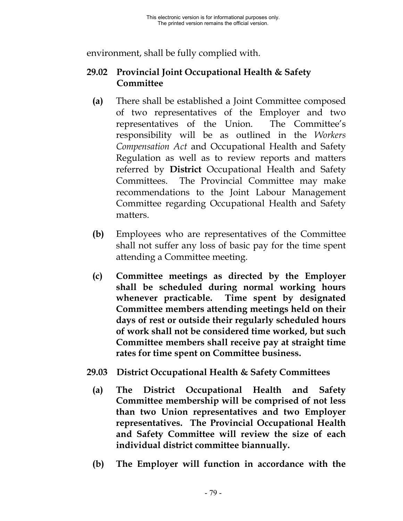environment, shall be fully complied with.

## **29.02 Provincial Joint Occupational Health & Safety Committee**

- **(a)** There shall be established a Joint Committee composed of two representatives of the Employer and two representatives of the Union. The Committee's responsibility will be as outlined in the *Workers Compensation Act* and Occupational Health and Safety Regulation as well as to review reports and matters referred by **District** Occupational Health and Safety Committees. The Provincial Committee may make recommendations to the Joint Labour Management Committee regarding Occupational Health and Safety matters.
- **(b)** Employees who are representatives of the Committee shall not suffer any loss of basic pay for the time spent attending a Committee meeting.
- **(c) Committee meetings as directed by the Employer shall be scheduled during normal working hours whenever practicable. Time spent by designated Committee members attending meetings held on their days of rest or outside their regularly scheduled hours of work shall not be considered time worked, but such Committee members shall receive pay at straight time rates for time spent on Committee business.**
- **29.03 District Occupational Health & Safety Committees**
	- **(a) The District Occupational Health and Safety Committee membership will be comprised of not less than two Union representatives and two Employer representatives. The Provincial Occupational Health and Safety Committee will review the size of each individual district committee biannually.**
	- **(b) The Employer will function in accordance with the**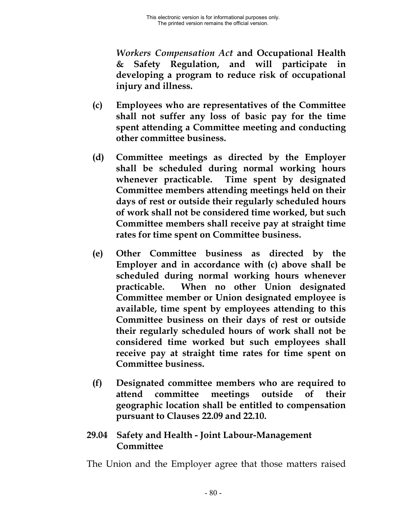*Workers Compensation Act* **and Occupational Health & Safety Regulation, and will participate in developing a program to reduce risk of occupational injury and illness.**

- **(c) Employees who are representatives of the Committee shall not suffer any loss of basic pay for the time spent attending a Committee meeting and conducting other committee business.**
- **(d) Committee meetings as directed by the Employer shall be scheduled during normal working hours whenever practicable. Time spent by designated Committee members attending meetings held on their days of rest or outside their regularly scheduled hours of work shall not be considered time worked, but such Committee members shall receive pay at straight time rates for time spent on Committee business.**
- **(e) Other Committee business as directed by the Employer and in accordance with (c) above shall be scheduled during normal working hours whenever practicable. When no other Union designated Committee member or Union designated employee is available, time spent by employees attending to this Committee business on their days of rest or outside their regularly scheduled hours of work shall not be considered time worked but such employees shall receive pay at straight time rates for time spent on Committee business.**
- **(f) Designated committee members who are required to attend committee meetings outside of their geographic location shall be entitled to compensation pursuant to Clauses 22.09 and 22.10.**

#### **29.04 Safety and Health - Joint Labour-Management Committee**

The Union and the Employer agree that those matters raised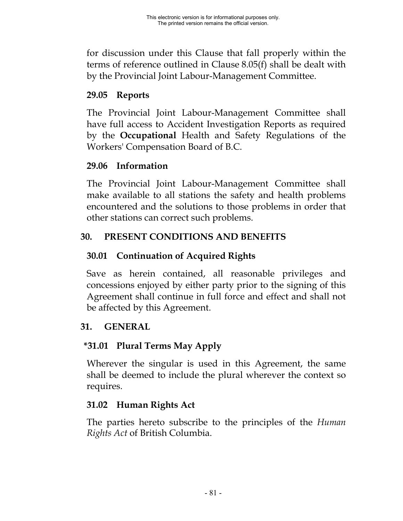for discussion under this Clause that fall properly within the terms of reference outlined in Clause 8.05(f) shall be dealt with by the Provincial Joint Labour-Management Committee.

## **29.05 Reports**

The Provincial Joint Labour-Management Committee shall have full access to Accident Investigation Reports as required by the **Occupational** Health and Safety Regulations of the Workers' Compensation Board of B.C.

## **29.06 Information**

The Provincial Joint Labour-Management Committee shall make available to all stations the safety and health problems encountered and the solutions to those problems in order that other stations can correct such problems.

# **30. PRESENT CONDITIONS AND BENEFITS**

## **30.01 Continuation of Acquired Rights**

Save as herein contained, all reasonable privileges and concessions enjoyed by either party prior to the signing of this Agreement shall continue in full force and effect and shall not be affected by this Agreement.

## **31. GENERAL**

# **\*31.01 Plural Terms May Apply**

Wherever the singular is used in this Agreement, the same shall be deemed to include the plural wherever the context so requires.

## **31.02 Human Rights Act**

The parties hereto subscribe to the principles of the *Human Rights Act* of British Columbia.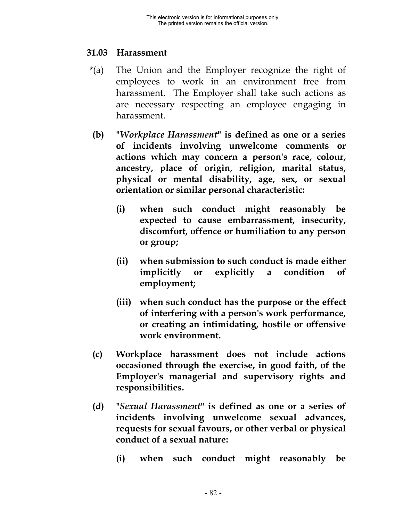#### **31.03 Harassment**

- \*(a) The Union and the Employer recognize the right of employees to work in an environment free from harassment. The Employer shall take such actions as are necessary respecting an employee engaging in harassment.
- **(b) "***Workplace Harassment***" is defined as one or a series of incidents involving unwelcome comments or actions which may concern a person's race, colour, ancestry, place of origin, religion, marital status, physical or mental disability, age, sex, or sexual orientation or similar personal characteristic:**
	- **(i) when such conduct might reasonably be expected to cause embarrassment, insecurity, discomfort, offence or humiliation to any person or group;**
	- **(ii) when submission to such conduct is made either implicitly or explicitly a condition of employment;**
	- **(iii) when such conduct has the purpose or the effect of interfering with a person's work performance, or creating an intimidating, hostile or offensive work environment.**
- **(c) Workplace harassment does not include actions occasioned through the exercise, in good faith, of the Employer's managerial and supervisory rights and responsibilities.**
- **(d) "***Sexual Harassment***" is defined as one or a series of incidents involving unwelcome sexual advances, requests for sexual favours, or other verbal or physical conduct of a sexual nature:**
	- **(i) when such conduct might reasonably be**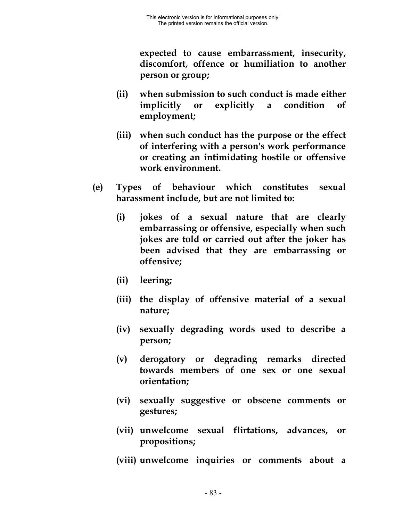**expected to cause embarrassment, insecurity, discomfort, offence or humiliation to another person or group;**

- **(ii) when submission to such conduct is made either implicitly or explicitly a condition of employment;**
- **(iii) when such conduct has the purpose or the effect of interfering with a person's work performance or creating an intimidating hostile or offensive work environment.**
- **(e) Types of behaviour which constitutes sexual harassment include, but are not limited to:**
	- **(i) jokes of a sexual nature that are clearly embarrassing or offensive, especially when such jokes are told or carried out after the joker has been advised that they are embarrassing or offensive;**
	- **(ii) leering;**
	- **(iii) the display of offensive material of a sexual nature;**
	- **(iv) sexually degrading words used to describe a person;**
	- **(v) derogatory or degrading remarks directed towards members of one sex or one sexual orientation;**
	- **(vi) sexually suggestive or obscene comments or gestures;**
	- **(vii) unwelcome sexual flirtations, advances, or propositions;**
	- **(viii) unwelcome inquiries or comments about a**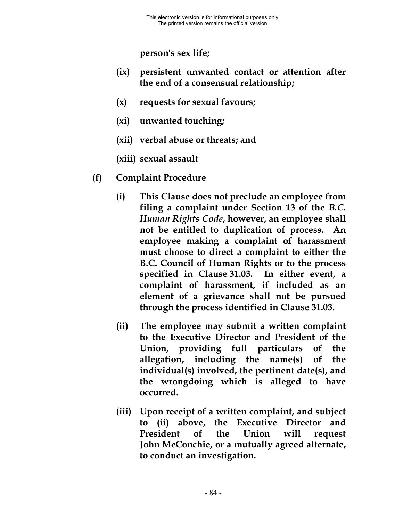**person's sex life;**

- **(ix) persistent unwanted contact or attention after the end of a consensual relationship;**
- **(x) requests for sexual favours;**
- **(xi) unwanted touching;**
- **(xii) verbal abuse or threats; and**
- **(xiii) sexual assault**
- **(f) Complaint Procedure**
	- **(i) This Clause does not preclude an employee from filing a complaint under Section 13 of the** *B.C. Human Rights Code***, however, an employee shall not be entitled to duplication of process. An employee making a complaint of harassment must choose to direct a complaint to either the B.C. Council of Human Rights or to the process specified in Clause 31.03. In either event, a complaint of harassment, if included as an element of a grievance shall not be pursued through the process identified in Clause 31.03.**
	- **(ii) The employee may submit a written complaint to the Executive Director and President of the Union, providing full particulars of the allegation, including the name(s) of the individual(s) involved, the pertinent date(s), and the wrongdoing which is alleged to have occurred.**
	- **(iii) Upon receipt of a written complaint, and subject to (ii) above, the Executive Director and President of the Union will request John McConchie, or a mutually agreed alternate, to conduct an investigation.**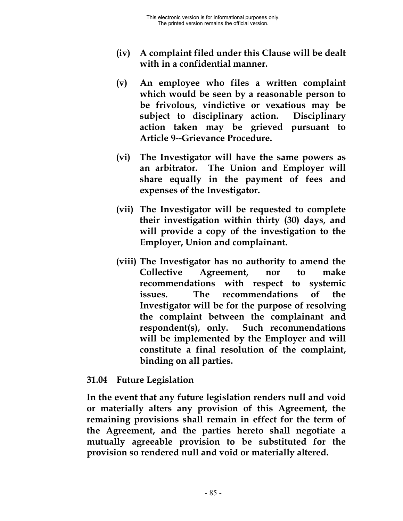- **(iv) A complaint filed under this Clause will be dealt with in a confidential manner.**
- **(v) An employee who files a written complaint which would be seen by a reasonable person to be frivolous, vindictive or vexatious may be subject to disciplinary action. Disciplinary action taken may be grieved pursuant to Article 9--Grievance Procedure.**
- **(vi) The Investigator will have the same powers as an arbitrator. The Union and Employer will share equally in the payment of fees and expenses of the Investigator.**
- **(vii) The Investigator will be requested to complete their investigation within thirty (30) days, and will provide a copy of the investigation to the Employer, Union and complainant.**
- **(viii) The Investigator has no authority to amend the Collective Agreement, nor to make recommendations with respect to systemic issues. The recommendations of the Investigator will be for the purpose of resolving the complaint between the complainant and respondent(s), only. Such recommendations will be implemented by the Employer and will constitute a final resolution of the complaint, binding on all parties.**

#### **31.04 Future Legislation**

**In the event that any future legislation renders null and void or materially alters any provision of this Agreement, the remaining provisions shall remain in effect for the term of the Agreement, and the parties hereto shall negotiate a mutually agreeable provision to be substituted for the provision so rendered null and void or materially altered.**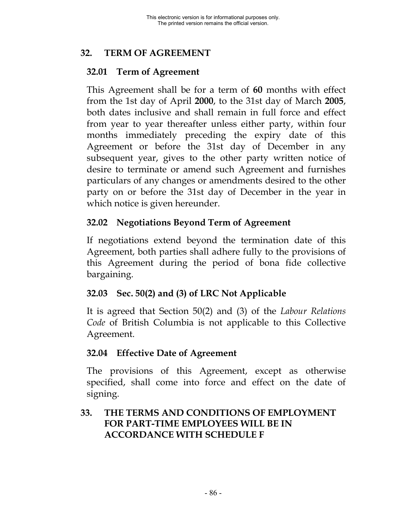## **32. TERM OF AGREEMENT**

## **32.01 Term of Agreement**

This Agreement shall be for a term of **60** months with effect from the 1st day of April **2000**, to the 31st day of March **2005**, both dates inclusive and shall remain in full force and effect from year to year thereafter unless either party, within four months immediately preceding the expiry date of this Agreement or before the 31st day of December in any subsequent year, gives to the other party written notice of desire to terminate or amend such Agreement and furnishes particulars of any changes or amendments desired to the other party on or before the 31st day of December in the year in which notice is given hereunder.

## **32.02 Negotiations Beyond Term of Agreement**

If negotiations extend beyond the termination date of this Agreement, both parties shall adhere fully to the provisions of this Agreement during the period of bona fide collective bargaining.

## **32.03 Sec. 50(2) and (3) of LRC Not Applicable**

It is agreed that Section 50(2) and (3) of the *Labour Relations Code* of British Columbia is not applicable to this Collective Agreement.

### **32.04 Effective Date of Agreement**

The provisions of this Agreement, except as otherwise specified, shall come into force and effect on the date of signing.

## **33. THE TERMS AND CONDITIONS OF EMPLOYMENT FOR PART-TIME EMPLOYEES WILL BE IN ACCORDANCE WITH SCHEDULE F**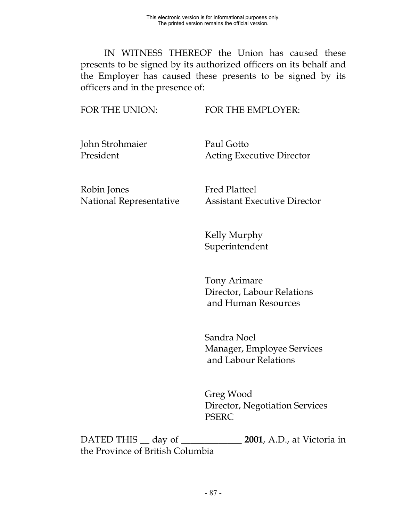IN WITNESS THEREOF the Union has caused these presents to be signed by its authorized officers on its behalf and the Employer has caused these presents to be signed by its officers and in the presence of:

FOR THE UNION: FOR THE EMPLOYER:

John Strohmaier Paul Gotto

President **Acting Executive Director** 

Robin Jones Fred Platteel

National Representative Assistant Executive Director

Kelly Murphy Superintendent

Tony Arimare Director, Labour Relations and Human Resources

Sandra Noel Manager, Employee Services and Labour Relations

Greg Wood Director, Negotiation Services PSERC

DATED THIS \_\_ day of \_\_\_\_\_\_\_\_\_\_\_\_\_ **2001**, A.D., at Victoria in the Province of British Columbia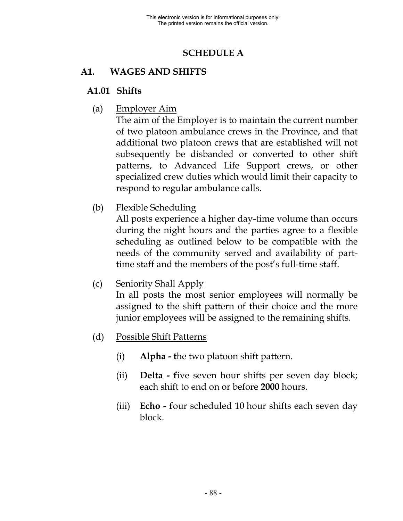## **SCHEDULE A**

## **A1. WAGES AND SHIFTS**

#### **A1.01 Shifts**

(a) Employer Aim

The aim of the Employer is to maintain the current number of two platoon ambulance crews in the Province, and that additional two platoon crews that are established will not subsequently be disbanded or converted to other shift patterns, to Advanced Life Support crews, or other specialized crew duties which would limit their capacity to respond to regular ambulance calls.

(b) Flexible Scheduling

All posts experience a higher day-time volume than occurs during the night hours and the parties agree to a flexible scheduling as outlined below to be compatible with the needs of the community served and availability of parttime staff and the members of the post's full-time staff.

(c) Seniority Shall Apply

In all posts the most senior employees will normally be assigned to the shift pattern of their choice and the more junior employees will be assigned to the remaining shifts.

- (d) Possible Shift Patterns
	- (i) **Alpha t**he two platoon shift pattern.
	- (ii) **Delta f**ive seven hour shifts per seven day block; each shift to end on or before **2000** hours.
	- (iii) **Echo f**our scheduled 10 hour shifts each seven day block.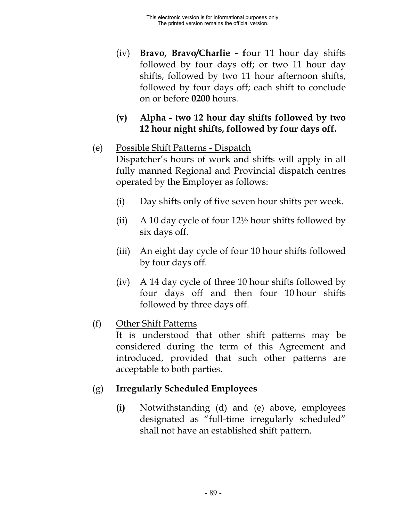- (iv) **Bravo, Bravo/Charlie f**our 11 hour day shifts followed by four days off; or two 11 hour day shifts, followed by two 11 hour afternoon shifts, followed by four days off; each shift to conclude on or before **0200** hours.
- **(v) Alpha two 12 hour day shifts followed by two 12 hour night shifts, followed by four days off.**
- (e) Possible Shift Patterns Dispatch Dispatcher's hours of work and shifts will apply in all fully manned Regional and Provincial dispatch centres operated by the Employer as follows:
	- (i) Day shifts only of five seven hour shifts per week.
	- (ii) A 10 day cycle of four  $12\frac{1}{2}$  hour shifts followed by six days off.
	- (iii) An eight day cycle of four 10 hour shifts followed by four days off.
	- (iv) A 14 day cycle of three 10 hour shifts followed by four days off and then four 10 hour shifts followed by three days off.
- (f) Other Shift Patterns

It is understood that other shift patterns may be considered during the term of this Agreement and introduced, provided that such other patterns are acceptable to both parties.

## (g) **Irregularly Scheduled Employees**

**(i)** Notwithstanding (d) and (e) above, employees designated as "full-time irregularly scheduled" shall not have an established shift pattern.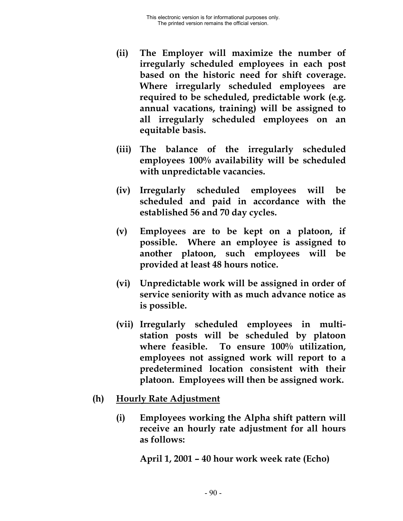- **(ii) The Employer will maximize the number of irregularly scheduled employees in each post based on the historic need for shift coverage. Where irregularly scheduled employees are required to be scheduled, predictable work (e.g. annual vacations, training) will be assigned to all irregularly scheduled employees on an equitable basis.**
- **(iii) The balance of the irregularly scheduled employees 100% availability will be scheduled with unpredictable vacancies.**
- **(iv) Irregularly scheduled employees will be scheduled and paid in accordance with the established 56 and 70 day cycles.**
- **(v) Employees are to be kept on a platoon, if possible. Where an employee is assigned to another platoon, such employees will be provided at least 48 hours notice.**
- **(vi) Unpredictable work will be assigned in order of service seniority with as much advance notice as is possible.**
- **(vii) Irregularly scheduled employees in multistation posts will be scheduled by platoon where feasible. To ensure 100% utilization, employees not assigned work will report to a predetermined location consistent with their platoon. Employees will then be assigned work.**
- **(h) Hourly Rate Adjustment**
	- **(i) Employees working the Alpha shift pattern will receive an hourly rate adjustment for all hours as follows:**

**April 1, 2001 – 40 hour work week rate (Echo)**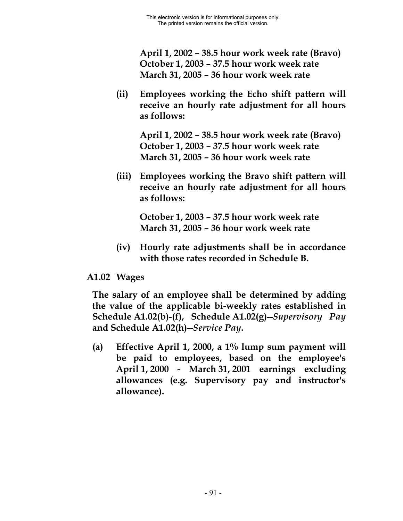**April 1, 2002 – 38.5 hour work week rate (Bravo) October 1, 2003 – 37.5 hour work week rate March 31, 2005 – 36 hour work week rate**

**(ii) Employees working the Echo shift pattern will receive an hourly rate adjustment for all hours as follows:**

> **April 1, 2002 – 38.5 hour work week rate (Bravo) October 1, 2003 – 37.5 hour work week rate March 31, 2005 – 36 hour work week rate**

**(iii) Employees working the Bravo shift pattern will receive an hourly rate adjustment for all hours as follows:**

> **October 1, 2003 – 37.5 hour work week rate March 31, 2005 – 36 hour work week rate**

**(iv) Hourly rate adjustments shall be in accordance with those rates recorded in Schedule B.**

#### **A1.02 Wages**

**The salary of an employee shall be determined by adding the value of the applicable bi-weekly rates established in Schedule A1.02(b)-(f), Schedule A1.02(g)--***Supervisory Pay* **and Schedule A1.02(h)--***Service Pay***.**

**(a) Effective April 1, 2000, a 1% lump sum payment will be paid to employees, based on the employee's April 1, 2000 - March 31, 2001 earnings excluding allowances (e.g. Supervisory pay and instructor's allowance).**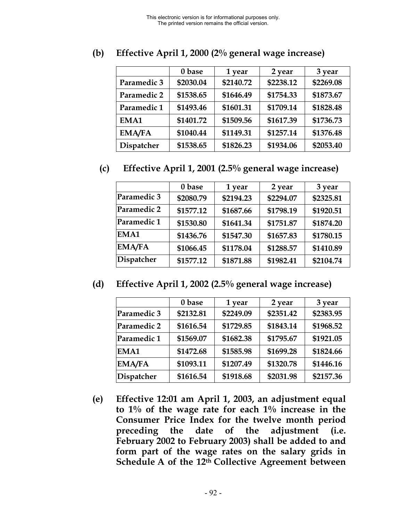|               | 0 base    | 1 year    | 2 year    | 3 year    |
|---------------|-----------|-----------|-----------|-----------|
| Paramedic 3   | \$2030.04 | \$2140.72 | \$2238.12 | \$2269.08 |
| Paramedic 2   | \$1538.65 | \$1646.49 | \$1754.33 | \$1873.67 |
| Paramedic 1   | \$1493.46 | \$1601.31 | \$1709.14 | \$1828.48 |
| EMA1          | \$1401.72 | \$1509.56 | \$1617.39 | \$1736.73 |
| <b>EMA/FA</b> | \$1040.44 | \$1149.31 | \$1257.14 | \$1376.48 |
| Dispatcher    | \$1538.65 | \$1826.23 | \$1934.06 | \$2053.40 |

**(b) Effective April 1, 2000 (2% general wage increase)**

#### **(c) Effective April 1, 2001 (2.5% general wage increase)**

|                   | 0 base    | 1 year    | 2 year    | 3 year    |
|-------------------|-----------|-----------|-----------|-----------|
| Paramedic 3       | \$2080.79 | \$2194.23 | \$2294.07 | \$2325.81 |
| Paramedic 2       | \$1577.12 | \$1687.66 | \$1798.19 | \$1920.51 |
| Paramedic 1       | \$1530.80 | \$1641.34 | \$1751.87 | \$1874.20 |
| EMA1              | \$1436.76 | \$1547.30 | \$1657.83 | \$1780.15 |
| <b>EMA/FA</b>     | \$1066.45 | \$1178.04 | \$1288.57 | \$1410.89 |
| <b>Dispatcher</b> | \$1577.12 | \$1871.88 | \$1982.41 | \$2104.74 |

**(d) Effective April 1, 2002 (2.5% general wage increase)**

|               | 0 base    | 1 year    | 2 year    | 3 year    |
|---------------|-----------|-----------|-----------|-----------|
| Paramedic 3   | \$2132.81 | \$2249.09 | \$2351.42 | \$2383.95 |
| Paramedic 2   | \$1616.54 | \$1729.85 | \$1843.14 | \$1968.52 |
| Paramedic 1   | \$1569.07 | \$1682.38 | \$1795.67 | \$1921.05 |
| EMA1          | \$1472.68 | \$1585.98 | \$1699.28 | \$1824.66 |
| <b>EMA/FA</b> | \$1093.11 | \$1207.49 | \$1320.78 | \$1446.16 |
| Dispatcher    | \$1616.54 | \$1918.68 | \$2031.98 | \$2157.36 |

**(e) Effective 12:01 am April 1, 2003, an adjustment equal to 1% of the wage rate for each 1% increase in the Consumer Price Index for the twelve month period preceding the date of the adjustment (i.e. February 2002 to February 2003) shall be added to and form part of the wage rates on the salary grids in Schedule A of the 12th Collective Agreement between**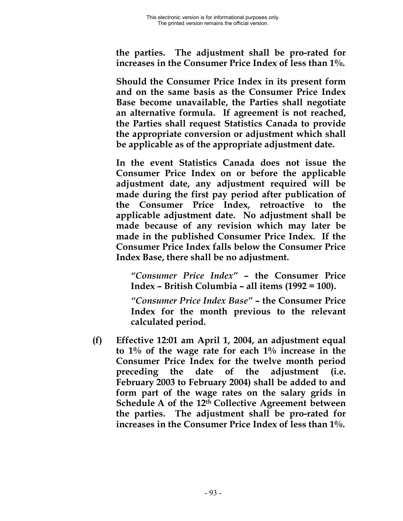**the parties. The adjustment shall be pro-rated for increases in the Consumer Price Index of less than 1%.**

**Should the Consumer Price Index in its present form and on the same basis as the Consumer Price Index Base become unavailable, the Parties shall negotiate an alternative formula. If agreement is not reached, the Parties shall request Statistics Canada to provide the appropriate conversion or adjustment which shall be applicable as of the appropriate adjustment date.**

**In the event Statistics Canada does not issue the Consumer Price Index on or before the applicable adjustment date, any adjustment required will be made during the first pay period after publication of the Consumer Price Index, retroactive to the applicable adjustment date. No adjustment shall be made because of any revision which may later be made in the published Consumer Price Index. If the Consumer Price Index falls below the Consumer Price Index Base, there shall be no adjustment.**

*"Consumer Price Index"* **– the Consumer Price Index – British Columbia – all items (1992 = 100).**

*"Consumer Price Index Base"* **– the Consumer Price Index for the month previous to the relevant calculated period.**

**(f) Effective 12:01 am April 1, 2004, an adjustment equal to 1% of the wage rate for each 1% increase in the Consumer Price Index for the twelve month period preceding the date of the adjustment (i.e. February 2003 to February 2004) shall be added to and form part of the wage rates on the salary grids in Schedule A of the 12th Collective Agreement between the parties. The adjustment shall be pro-rated for increases in the Consumer Price Index of less than 1%.**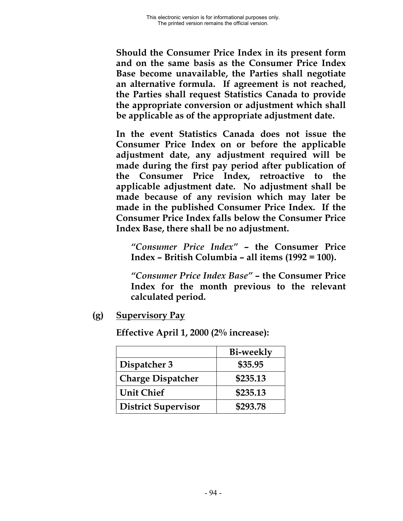**Should the Consumer Price Index in its present form and on the same basis as the Consumer Price Index Base become unavailable, the Parties shall negotiate an alternative formula. If agreement is not reached, the Parties shall request Statistics Canada to provide the appropriate conversion or adjustment which shall be applicable as of the appropriate adjustment date.**

**In the event Statistics Canada does not issue the Consumer Price Index on or before the applicable adjustment date, any adjustment required will be made during the first pay period after publication of the Consumer Price Index, retroactive to the applicable adjustment date. No adjustment shall be made because of any revision which may later be made in the published Consumer Price Index. If the Consumer Price Index falls below the Consumer Price Index Base, there shall be no adjustment.**

*"Consumer Price Index"* **– the Consumer Price Index – British Columbia – all items (1992 = 100).**

*"Consumer Price Index Base"* **– the Consumer Price Index for the month previous to the relevant calculated period.**

**(g) Supervisory Pay**

**Effective April 1, 2000 (2% increase):**

|                            | <b>Bi-weekly</b> |
|----------------------------|------------------|
| Dispatcher 3               | \$35.95          |
| <b>Charge Dispatcher</b>   | \$235.13         |
| <b>Unit Chief</b>          | \$235.13         |
| <b>District Supervisor</b> | \$293.78         |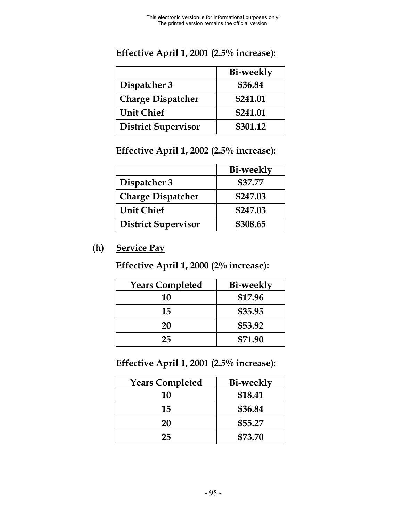|                            | <b>Bi-weekly</b> |
|----------------------------|------------------|
| Dispatcher 3               | \$36.84          |
| <b>Charge Dispatcher</b>   | \$241.01         |
| <b>Unit Chief</b>          | \$241.01         |
| <b>District Supervisor</b> | \$301.12         |

## **Effective April 1, 2001 (2.5% increase):**

## **Effective April 1, 2002 (2.5% increase):**

|                            | <b>Bi-weekly</b> |
|----------------------------|------------------|
| Dispatcher 3               | \$37.77          |
| <b>Charge Dispatcher</b>   | \$247.03         |
| <b>Unit Chief</b>          | \$247.03         |
| <b>District Supervisor</b> | \$308.65         |

## **(h) Service Pay**

**Effective April 1, 2000 (2% increase):**

| <b>Years Completed</b> | <b>Bi-weekly</b> |
|------------------------|------------------|
| 10                     | \$17.96          |
| 15                     | \$35.95          |
| 20                     | \$53.92          |
| 25                     | \$71.90          |

**Effective April 1, 2001 (2.5% increase):**

| <b>Years Completed</b> | <b>Bi-weekly</b> |
|------------------------|------------------|
| 10                     | \$18.41          |
| 15                     | \$36.84          |
| 20                     | \$55.27          |
| 25                     | \$73.70          |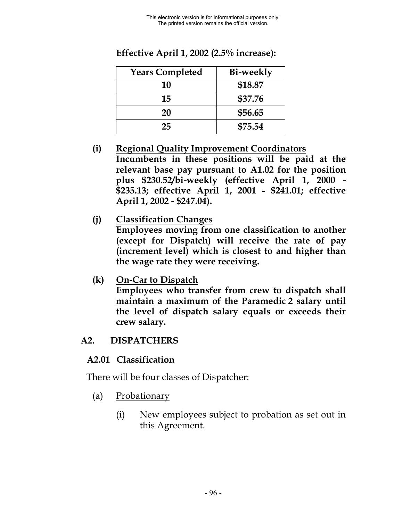| <b>Years Completed</b> | Bi-weekly |
|------------------------|-----------|
| 10                     | \$18.87   |
| 15                     | \$37.76   |
| 20                     | \$56.65   |
| 25                     | \$75.54   |

**Effective April 1, 2002 (2.5% increase):**

- **(i) Regional Quality Improvement Coordinators Incumbents in these positions will be paid at the relevant base pay pursuant to A1.02 for the position plus \$230.52/bi-weekly (effective April 1, 2000 - \$235.13; effective April 1, 2001 - \$241.01; effective April 1, 2002 - \$247.04).**
- **(j) Classification Changes Employees moving from one classification to another (except for Dispatch) will receive the rate of pay (increment level) which is closest to and higher than the wage rate they were receiving.**
- **(k) On-Car to Dispatch**

**Employees who transfer from crew to dispatch shall maintain a maximum of the Paramedic 2 salary until the level of dispatch salary equals or exceeds their crew salary.**

### **A2. DISPATCHERS**

### **A2.01 Classification**

There will be four classes of Dispatcher:

- (a) Probationary
	- (i) New employees subject to probation as set out in this Agreement.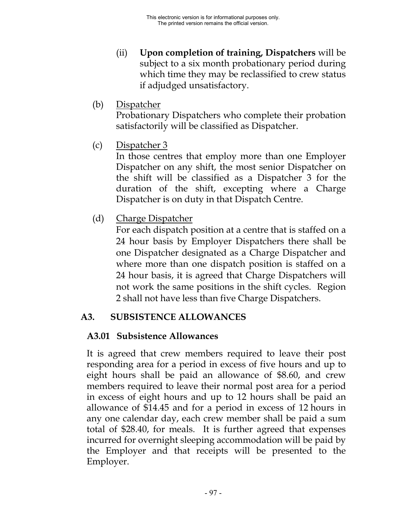- (ii) **Upon completion of training, Dispatchers** will be subject to a six month probationary period during which time they may be reclassified to crew status if adjudged unsatisfactory.
- (b) Dispatcher

Probationary Dispatchers who complete their probation satisfactorily will be classified as Dispatcher.

(c) Dispatcher 3

In those centres that employ more than one Employer Dispatcher on any shift, the most senior Dispatcher on the shift will be classified as a Dispatcher 3 for the duration of the shift, excepting where a Charge Dispatcher is on duty in that Dispatch Centre.

(d) Charge Dispatcher

For each dispatch position at a centre that is staffed on a 24 hour basis by Employer Dispatchers there shall be one Dispatcher designated as a Charge Dispatcher and where more than one dispatch position is staffed on a 24 hour basis, it is agreed that Charge Dispatchers will not work the same positions in the shift cycles. Region 2 shall not have less than five Charge Dispatchers.

#### **A3. SUBSISTENCE ALLOWANCES**

#### **A3.01 Subsistence Allowances**

It is agreed that crew members required to leave their post responding area for a period in excess of five hours and up to eight hours shall be paid an allowance of \$8.60, and crew members required to leave their normal post area for a period in excess of eight hours and up to 12 hours shall be paid an allowance of \$14.45 and for a period in excess of 12 hours in any one calendar day, each crew member shall be paid a sum total of \$28.40, for meals. It is further agreed that expenses incurred for overnight sleeping accommodation will be paid by the Employer and that receipts will be presented to the Employer.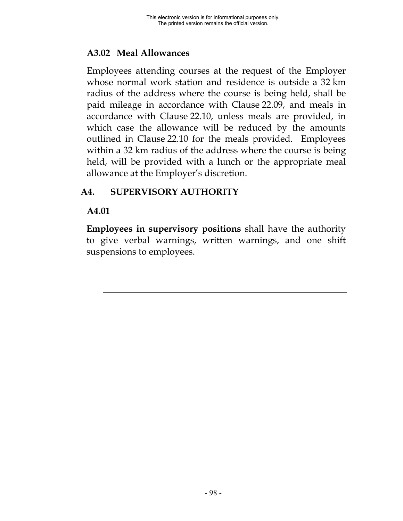## **A3.02 Meal Allowances**

Employees attending courses at the request of the Employer whose normal work station and residence is outside a 32 km radius of the address where the course is being held, shall be paid mileage in accordance with Clause 22.09, and meals in accordance with Clause 22.10, unless meals are provided, in which case the allowance will be reduced by the amounts outlined in Clause 22.10 for the meals provided. Employees within a 32 km radius of the address where the course is being held, will be provided with a lunch or the appropriate meal allowance at the Employer's discretion.

## **A4. SUPERVISORY AUTHORITY**

### **A4.01**

**Employees in supervisory positions** shall have the authority to give verbal warnings, written warnings, and one shift suspensions to employees.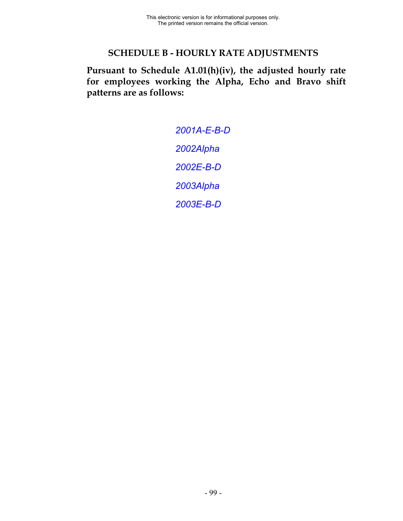## **SCHEDULE B - HOURLY RATE ADJUSTMENTS**

**Pursuant to Schedule A1.01(h)(iv), the adjusted hourly rate for employees working the Alpha, Echo and Bravo shift patterns are as follows:**

> *[2001A-E-B-D](#page-0-0) [2002Alpha](#page-0-0) [2002E-B-D](#page-0-0) [2003Alpha](#page-0-0) [2003E-B-D](#page-0-0)*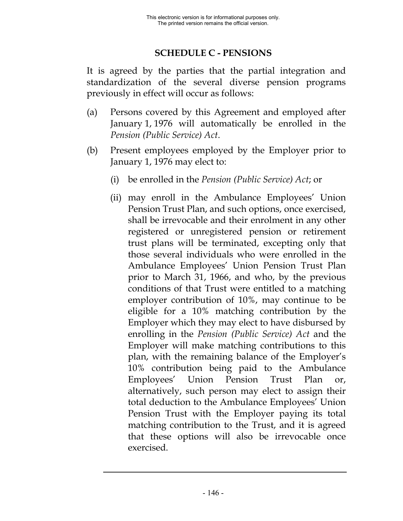## **SCHEDULE C - PENSIONS**

It is agreed by the parties that the partial integration and standardization of the several diverse pension programs previously in effect will occur as follows:

- (a) Persons covered by this Agreement and employed after January 1, 1976 will automatically be enrolled in the *Pension (Public Service) Act*.
- (b) Present employees employed by the Employer prior to January 1, 1976 may elect to:
	- (i) be enrolled in the *Pension (Public Service) Act*; or
	- (ii) may enroll in the Ambulance Employees' Union Pension Trust Plan, and such options, once exercised, shall be irrevocable and their enrolment in any other registered or unregistered pension or retirement trust plans will be terminated, excepting only that those several individuals who were enrolled in the Ambulance Employees' Union Pension Trust Plan prior to March 31, 1966, and who, by the previous conditions of that Trust were entitled to a matching employer contribution of 10%, may continue to be eligible for a 10% matching contribution by the Employer which they may elect to have disbursed by enrolling in the *Pension (Public Service) Act* and the Employer will make matching contributions to this plan, with the remaining balance of the Employer's 10% contribution being paid to the Ambulance Employees' Union Pension Trust Plan or, alternatively, such person may elect to assign their total deduction to the Ambulance Employees' Union Pension Trust with the Employer paying its total matching contribution to the Trust, and it is agreed that these options will also be irrevocable once exercised.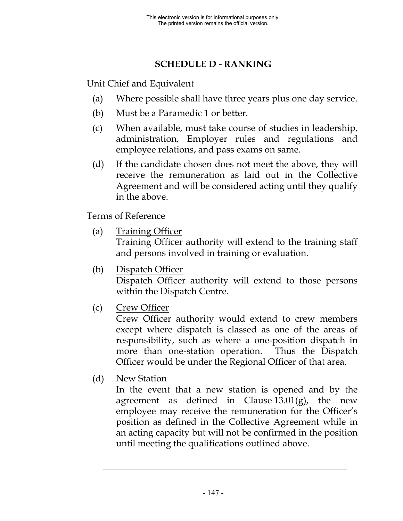# **SCHEDULE D - RANKING**

Unit Chief and Equivalent

- (a) Where possible shall have three years plus one day service.
- (b) Must be a Paramedic 1 or better.
- (c) When available, must take course of studies in leadership, administration, Employer rules and regulations and employee relations, and pass exams on same.
- (d) If the candidate chosen does not meet the above, they will receive the remuneration as laid out in the Collective Agreement and will be considered acting until they qualify in the above.

Terms of Reference

- (a) Training Officer Training Officer authority will extend to the training staff and persons involved in training or evaluation.
- (b) Dispatch Officer

Dispatch Officer authority will extend to those persons within the Dispatch Centre.

(c) Crew Officer

Crew Officer authority would extend to crew members except where dispatch is classed as one of the areas of responsibility, such as where a one-position dispatch in more than one-station operation. Thus the Dispatch Officer would be under the Regional Officer of that area.

(d) New Station

In the event that a new station is opened and by the agreement as defined in Clause  $13.01(g)$ , the new employee may receive the remuneration for the Officer's position as defined in the Collective Agreement while in an acting capacity but will not be confirmed in the position until meeting the qualifications outlined above.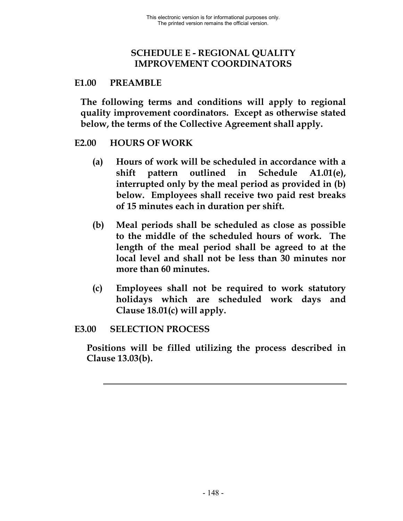## **SCHEDULE E - REGIONAL QUALITY IMPROVEMENT COORDINATORS**

#### **E1.00 PREAMBLE**

**The following terms and conditions will apply to regional quality improvement coordinators. Except as otherwise stated below, the terms of the Collective Agreement shall apply.**

#### **E2.00 HOURS OF WORK**

- **(a) Hours of work will be scheduled in accordance with a shift pattern outlined in Schedule A1.01(e), interrupted only by the meal period as provided in (b) below. Employees shall receive two paid rest breaks of 15 minutes each in duration per shift.**
- **(b) Meal periods shall be scheduled as close as possible to the middle of the scheduled hours of work. The length of the meal period shall be agreed to at the local level and shall not be less than 30 minutes nor more than 60 minutes.**
- **(c) Employees shall not be required to work statutory holidays which are scheduled work days and Clause 18.01(c) will apply.**

#### **E3.00 SELECTION PROCESS**

**Positions will be filled utilizing the process described in Clause 13.03(b).**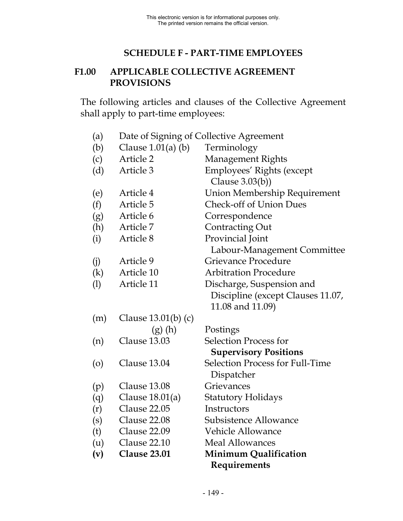## **SCHEDULE F - PART-TIME EMPLOYEES**

### **F1.00 APPLICABLE COLLECTIVE AGREEMENT PROVISIONS**

The following articles and clauses of the Collective Agreement shall apply to part-time employees:

| (a)                | Date of Signing of Collective Agreement |                                        |
|--------------------|-----------------------------------------|----------------------------------------|
| (b)                | Clause $1.01(a)$ (b)                    | Terminology                            |
| (c)                | Article 2                               | Management Rights                      |
| (d)                | Article 3                               | Employees' Rights (except              |
|                    |                                         | Clause $3.03(b)$ )                     |
| (e)                | Article 4                               | Union Membership Requirement           |
| (f)                | Article 5                               | <b>Check-off of Union Dues</b>         |
| (g)                | Article 6                               | Correspondence                         |
| (h)                | Article 7                               | <b>Contracting Out</b>                 |
| (i)                | Article 8                               | Provincial Joint                       |
|                    |                                         | Labour-Management Committee            |
| (i)                | Article 9                               | Grievance Procedure                    |
| (k)                | Article 10                              | <b>Arbitration Procedure</b>           |
| (1)                | Article 11                              | Discharge, Suspension and              |
|                    |                                         | Discipline (except Clauses 11.07,      |
|                    |                                         | 11.08 and 11.09)                       |
| (m)                | Clause $13.01(b)$ (c)                   |                                        |
|                    | $(g)$ (h)                               | Postings                               |
| (n)                | Clause 13.03                            | <b>Selection Process for</b>           |
|                    |                                         | <b>Supervisory Positions</b>           |
| $\left( 0 \right)$ | Clause 13.04                            | <b>Selection Process for Full-Time</b> |
|                    |                                         | Dispatcher                             |
| (p)                | Clause 13.08                            | Grievances                             |
| (q)                | Clause $18.01(a)$                       | Statutory Holidays                     |
| (r)                | Clause 22.05                            | Instructors                            |
| (s)                | Clause 22.08                            | Subsistence Allowance                  |
| (t)                | Clause 22.09                            | <b>Vehicle Allowance</b>               |
| (u)                | Clause 22.10                            | <b>Meal Allowances</b>                 |
| (v)                | <b>Clause 23.01</b>                     | <b>Minimum Qualification</b>           |
|                    |                                         | Requirements                           |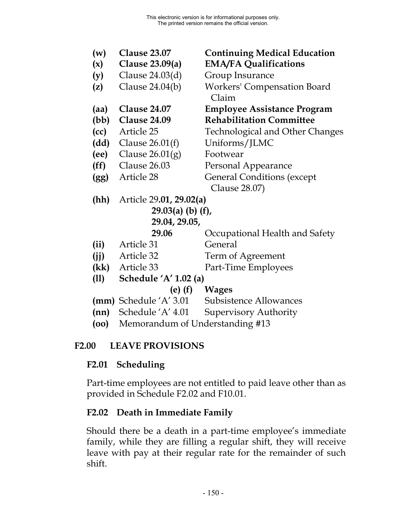| (w)                 | <b>Clause 23.07</b>                        | <b>Continuing Medical Education</b>    |
|---------------------|--------------------------------------------|----------------------------------------|
| (x)                 | Clause $23.09(a)$                          | <b>EMA/FA Qualifications</b>           |
| (y)                 | Clause 24.03(d)                            | Group Insurance                        |
| (z)                 | Clause $24.04(b)$                          | <b>Workers' Compensation Board</b>     |
|                     |                                            | Claim                                  |
| (aa)                | <b>Clause 24.07</b>                        | <b>Employee Assistance Program</b>     |
| (bb)                | <b>Clause 24.09</b>                        | <b>Rehabilitation Committee</b>        |
| (cc)                | Article 25                                 | <b>Technological and Other Changes</b> |
| (dd)                | Clause $26.01(f)$                          | Uniforms/JLMC                          |
| (ee)                | Clause $26.01(g)$                          | Footwear                               |
| (ff)                | Clause 26.03                               | Personal Appearance                    |
| (gg)                | Article 28                                 | <b>General Conditions (except</b>      |
|                     |                                            | Clause 28.07)                          |
| (hh)                | Article 29.01, 29.02(a)                    |                                        |
| $29.03(a)$ (b) (f), |                                            |                                        |
| 29.04, 29.05,       |                                            |                                        |
|                     | 29.06                                      | Occupational Health and Safety         |
| (ii)                | Article 31                                 | General                                |
| (i)                 | Article 32                                 | Term of Agreement                      |
| (kk)                | Article 33                                 | Part-Time Employees                    |
| (11)                | Schedule 'A' 1.02 (a)                      |                                        |
|                     | (e) (f)                                    | <b>Wages</b>                           |
|                     | <b>(mm)</b> Schedule 'A' 3.01              | Subsistence Allowances                 |
| (nn)                | Schedule 'A' 4.01                          | <b>Supervisory Authority</b>           |
|                     | $(a_0)$ Momorondum of Undovetopding $\#12$ |                                        |

## **(oo)** Memorandum of Understanding #13

# **F2.00 LEAVE PROVISIONS**

## **F2.01 Scheduling**

Part-time employees are not entitled to paid leave other than as provided in Schedule F2.02 and F10.01.

# **F2.02 Death in Immediate Family**

Should there be a death in a part-time employee's immediate family, while they are filling a regular shift, they will receive leave with pay at their regular rate for the remainder of such shift.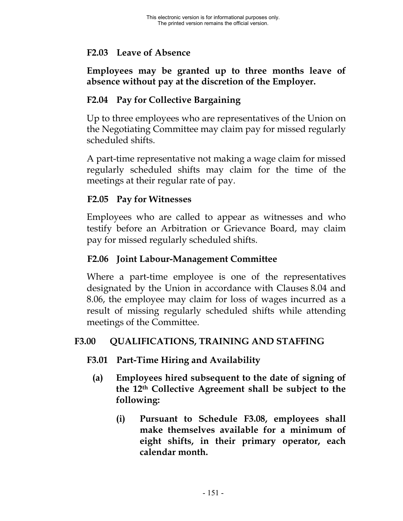### **F2.03 Leave of Absence**

### **Employees may be granted up to three months leave of absence without pay at the discretion of the Employer.**

## **F2.04 Pay for Collective Bargaining**

Up to three employees who are representatives of the Union on the Negotiating Committee may claim pay for missed regularly scheduled shifts.

A part-time representative not making a wage claim for missed regularly scheduled shifts may claim for the time of the meetings at their regular rate of pay.

### **F2.05 Pay for Witnesses**

Employees who are called to appear as witnesses and who testify before an Arbitration or Grievance Board, may claim pay for missed regularly scheduled shifts.

### **F2.06 Joint Labour-Management Committee**

Where a part-time employee is one of the representatives designated by the Union in accordance with Clauses 8.04 and 8.06, the employee may claim for loss of wages incurred as a result of missing regularly scheduled shifts while attending meetings of the Committee.

## **F3.00 QUALIFICATIONS, TRAINING AND STAFFING**

- **F3.01 Part-Time Hiring and Availability**
	- **(a) Employees hired subsequent to the date of signing of the 12th Collective Agreement shall be subject to the following:**
		- **(i) Pursuant to Schedule F3.08, employees shall make themselves available for a minimum of eight shifts, in their primary operator, each calendar month.**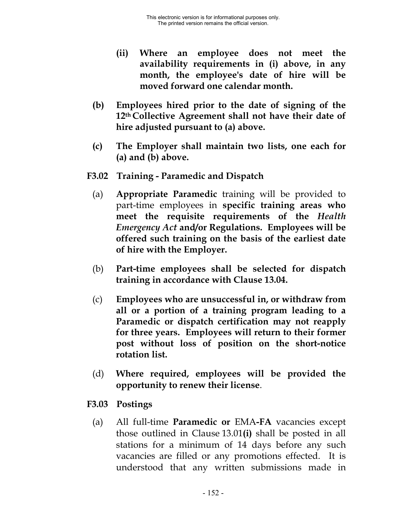- **(ii) Where an employee does not meet the availability requirements in (i) above, in any month, the employee's date of hire will be moved forward one calendar month.**
- **(b) Employees hired prior to the date of signing of the 12th Collective Agreement shall not have their date of hire adjusted pursuant to (a) above.**
- **(c) The Employer shall maintain two lists, one each for (a) and (b) above.**
- **F3.02 Training Paramedic and Dispatch**
	- (a) **Appropriate Paramedic** training will be provided to part-time employees in **specific training areas who meet the requisite requirements of the** *Health Emergency Act* **and/or Regulations. Employees will be offered such training on the basis of the earliest date of hire with the Employer.**
	- (b) **Part-time employees shall be selected for dispatch training in accordance with Clause 13.04.**
	- (c) **Employees who are unsuccessful in, or withdraw from all or a portion of a training program leading to a Paramedic or dispatch certification may not reapply for three years. Employees will return to their former post without loss of position on the short-notice rotation list.**
	- (d) **Where required, employees will be provided the opportunity to renew their license**.
- **F3.03 Postings**
	- (a) All full-time **Paramedic or** EMA**-FA** vacancies except those outlined in Clause 13.01**(i)** shall be posted in all stations for a minimum of 14 days before any such vacancies are filled or any promotions effected. It is understood that any written submissions made in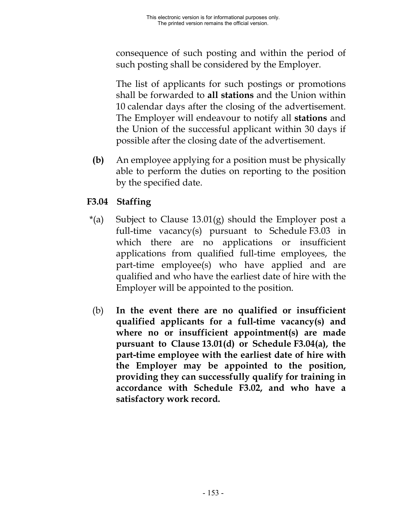consequence of such posting and within the period of such posting shall be considered by the Employer.

The list of applicants for such postings or promotions shall be forwarded to **all stations** and the Union within 10 calendar days after the closing of the advertisement. The Employer will endeavour to notify all **stations** and the Union of the successful applicant within 30 days if possible after the closing date of the advertisement.

**(b)** An employee applying for a position must be physically able to perform the duties on reporting to the position by the specified date.

# **F3.04 Staffing**

- $*(a)$  Subject to Clause 13.01(g) should the Employer post a full-time vacancy(s) pursuant to Schedule F3.03 in which there are no applications or insufficient applications from qualified full-time employees, the part-time employee(s) who have applied and are qualified and who have the earliest date of hire with the Employer will be appointed to the position.
- (b) **In the event there are no qualified or insufficient qualified applicants for a full-time vacancy(s) and where no or insufficient appointment(s) are made pursuant to Clause 13.01(d) or Schedule F3.04(a), the part-time employee with the earliest date of hire with the Employer may be appointed to the position, providing they can successfully qualify for training in accordance with Schedule F3.02, and who have a satisfactory work record.**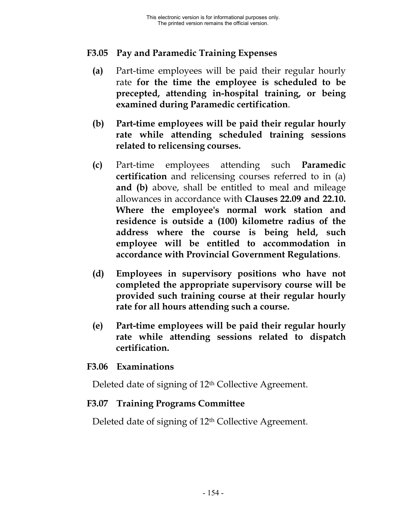## **F3.05 Pay and Paramedic Training Expenses**

- **(a)** Part-time employees will be paid their regular hourly rate **for the time the employee is scheduled to be precepted, attending in-hospital training, or being examined during Paramedic certification**.
- **(b) Part-time employees will be paid their regular hourly rate while attending scheduled training sessions related to relicensing courses.**
- **(c)** Part-time employees attending such **Paramedic certification** and relicensing courses referred to in (a) **and (b)** above, shall be entitled to meal and mileage allowances in accordance with **Clauses 22.09 and 22.10. Where the employee's normal work station and residence is outside a (100) kilometre radius of the address where the course is being held, such employee will be entitled to accommodation in accordance with Provincial Government Regulations**.
- **(d) Employees in supervisory positions who have not completed the appropriate supervisory course will be provided such training course at their regular hourly rate for all hours attending such a course.**
- **(e) Part-time employees will be paid their regular hourly rate while attending sessions related to dispatch certification.**

#### **F3.06 Examinations**

Deleted date of signing of 12<sup>th</sup> Collective Agreement.

#### **F3.07 Training Programs Committee**

Deleted date of signing of 12<sup>th</sup> Collective Agreement.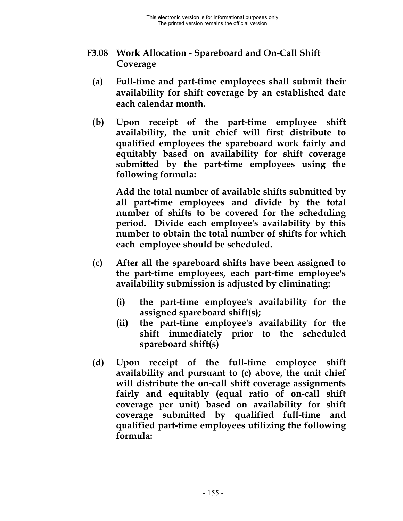- **F3.08 Work Allocation Spareboard and On-Call Shift Coverage**
	- **(a) Full-time and part-time employees shall submit their availability for shift coverage by an established date each calendar month.**
	- **(b) Upon receipt of the part-time employee shift availability, the unit chief will first distribute to qualified employees the spareboard work fairly and equitably based on availability for shift coverage submitted by the part-time employees using the following formula:**

**Add the total number of available shifts submitted by all part-time employees and divide by the total number of shifts to be covered for the scheduling period. Divide each employee's availability by this number to obtain the total number of shifts for which each employee should be scheduled.**

- **(c) After all the spareboard shifts have been assigned to the part-time employees, each part-time employee's availability submission is adjusted by eliminating:**
	- **(i) the part-time employee's availability for the assigned spareboard shift(s);**
	- **(ii) the part-time employee's availability for the shift immediately prior to the scheduled spareboard shift(s)**
- **(d) Upon receipt of the full-time employee shift availability and pursuant to (c) above, the unit chief will distribute the on-call shift coverage assignments fairly and equitably (equal ratio of on-call shift coverage per unit) based on availability for shift coverage submitted by qualified full-time and qualified part-time employees utilizing the following formula:**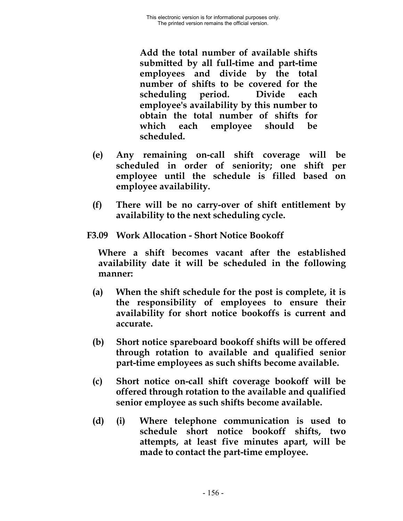**Add the total number of available shifts submitted by all full-time and part-time employees and divide by the total number of shifts to be covered for the scheduling period. Divide each employee's availability by this number to obtain the total number of shifts for which each employee should be scheduled.**

- **(e) Any remaining on-call shift coverage will be scheduled in order of seniority; one shift per employee until the schedule is filled based on employee availability.**
- **(f) There will be no carry-over of shift entitlement by availability to the next scheduling cycle.**
- **F3.09 Work Allocation Short Notice Bookoff**

**Where a shift becomes vacant after the established availability date it will be scheduled in the following manner:**

- **(a) When the shift schedule for the post is complete, it is the responsibility of employees to ensure their availability for short notice bookoffs is current and accurate.**
- **(b) Short notice spareboard bookoff shifts will be offered through rotation to available and qualified senior part-time employees as such shifts become available.**
- **(c) Short notice on-call shift coverage bookoff will be offered through rotation to the available and qualified senior employee as such shifts become available.**
- **(d) (i) Where telephone communication is used to schedule short notice bookoff shifts, two attempts, at least five minutes apart, will be made to contact the part-time employee.**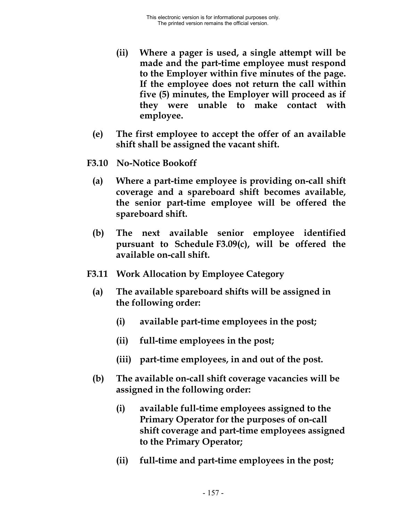- **(ii) Where a pager is used, a single attempt will be made and the part-time employee must respond to the Employer within five minutes of the page. If the employee does not return the call within five (5) minutes, the Employer will proceed as if they were unable to make contact with employee.**
- **(e) The first employee to accept the offer of an available shift shall be assigned the vacant shift.**
- **F3.10 No-Notice Bookoff**
	- **(a) Where a part-time employee is providing on-call shift coverage and a spareboard shift becomes available, the senior part-time employee will be offered the spareboard shift.**
	- **(b) The next available senior employee identified pursuant to Schedule F3.09(c), will be offered the available on-call shift.**
- **F3.11 Work Allocation by Employee Category**
	- **(a) The available spareboard shifts will be assigned in the following order:**
		- **(i) available part-time employees in the post;**
		- **(ii) full-time employees in the post;**
		- **(iii) part-time employees, in and out of the post.**
	- **(b) The available on-call shift coverage vacancies will be assigned in the following order:**
		- **(i) available full-time employees assigned to the Primary Operator for the purposes of on-call shift coverage and part-time employees assigned to the Primary Operator;**
		- **(ii) full-time and part-time employees in the post;**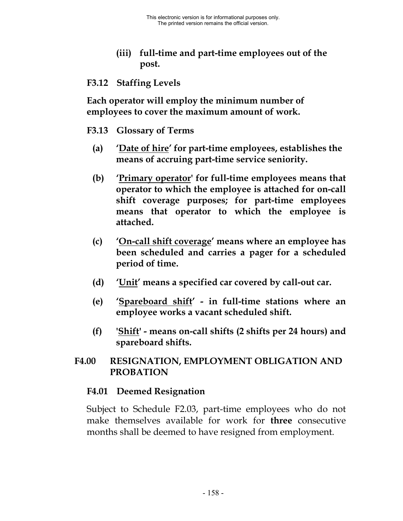**(iii) full-time and part-time employees out of the post.**

#### **F3.12 Staffing Levels**

**Each operator will employ the minimum number of employees to cover the maximum amount of work.**

- **F3.13 Glossary of Terms**
	- **(a) 'Date of hire' for part-time employees, establishes the means of accruing part-time service seniority.**
	- **(b) 'Primary operator' for full-time employees means that operator to which the employee is attached for on-call shift coverage purposes; for part-time employees means that operator to which the employee is attached.**
	- **(c) 'On-call shift coverage' means where an employee has been scheduled and carries a pager for a scheduled period of time.**
	- **(d) 'Unit' means a specified car covered by call-out car.**
	- **(e) 'Spareboard shift' in full-time stations where an employee works a vacant scheduled shift.**
	- **(f) 'Shift' means on-call shifts (2 shifts per 24 hours) and spareboard shifts.**

## **F4.00 RESIGNATION, EMPLOYMENT OBLIGATION AND PROBATION**

#### **F4.01 Deemed Resignation**

Subject to Schedule F2.03, part-time employees who do not make themselves available for work for **three** consecutive months shall be deemed to have resigned from employment.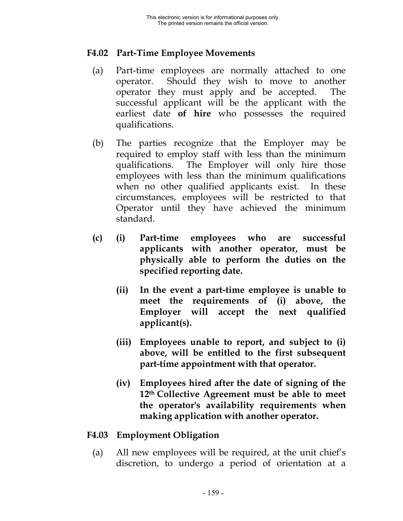### **F4.02 Part-Time Employee Movements**

- (a) Part-time employees are normally attached to one operator. Should they wish to move to another operator they must apply and be accepted. The successful applicant will be the applicant with the earliest date **of hire** who possesses the required qualifications.
- (b) The parties recognize that the Employer may be required to employ staff with less than the minimum qualifications. The Employer will only hire those employees with less than the minimum qualifications when no other qualified applicants exist. In these circumstances, employees will be restricted to that Operator until they have achieved the minimum standard.
- **(c) (i) Part-time employees who are successful applicants with another operator, must be physically able to perform the duties on the specified reporting date.**
	- **(ii) In the event a part-time employee is unable to meet the requirements of (i) above, the Employer will accept the next qualified applicant(s).**
	- **(iii) Employees unable to report, and subject to (i) above, will be entitled to the first subsequent part-time appointment with that operator.**
	- **(iv) Employees hired after the date of signing of the 12th Collective Agreement must be able to meet the operator's availability requirements when making application with another operator.**

## **F4.03 Employment Obligation**

(a) All new employees will be required, at the unit chief's discretion, to undergo a period of orientation at a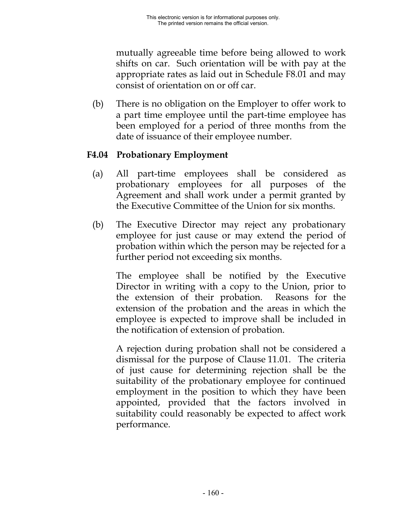mutually agreeable time before being allowed to work shifts on car. Such orientation will be with pay at the appropriate rates as laid out in Schedule F8.01 and may consist of orientation on or off car.

(b) There is no obligation on the Employer to offer work to a part time employee until the part-time employee has been employed for a period of three months from the date of issuance of their employee number.

## **F4.04 Probationary Employment**

- (a) All part-time employees shall be considered as probationary employees for all purposes of the Agreement and shall work under a permit granted by the Executive Committee of the Union for six months.
- (b) The Executive Director may reject any probationary employee for just cause or may extend the period of probation within which the person may be rejected for a further period not exceeding six months.

The employee shall be notified by the Executive Director in writing with a copy to the Union, prior to the extension of their probation. Reasons for the extension of the probation and the areas in which the employee is expected to improve shall be included in the notification of extension of probation.

A rejection during probation shall not be considered a dismissal for the purpose of Clause 11.01. The criteria of just cause for determining rejection shall be the suitability of the probationary employee for continued employment in the position to which they have been appointed, provided that the factors involved in suitability could reasonably be expected to affect work performance.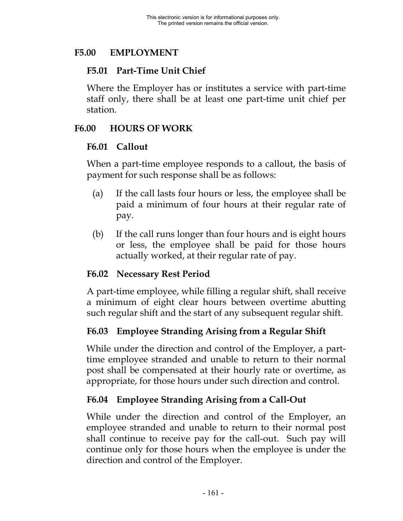### **F5.00 EMPLOYMENT**

## **F5.01 Part-Time Unit Chief**

Where the Employer has or institutes a service with part-time staff only, there shall be at least one part-time unit chief per station.

### **F6.00 HOURS OF WORK**

### **F6.01 Callout**

When a part-time employee responds to a callout, the basis of payment for such response shall be as follows:

- (a) If the call lasts four hours or less, the employee shall be paid a minimum of four hours at their regular rate of pay.
- (b) If the call runs longer than four hours and is eight hours or less, the employee shall be paid for those hours actually worked, at their regular rate of pay.

## **F6.02 Necessary Rest Period**

A part-time employee, while filling a regular shift, shall receive a minimum of eight clear hours between overtime abutting such regular shift and the start of any subsequent regular shift.

## **F6.03 Employee Stranding Arising from a Regular Shift**

While under the direction and control of the Employer, a parttime employee stranded and unable to return to their normal post shall be compensated at their hourly rate or overtime, as appropriate, for those hours under such direction and control.

## **F6.04 Employee Stranding Arising from a Call-Out**

While under the direction and control of the Employer, an employee stranded and unable to return to their normal post shall continue to receive pay for the call-out. Such pay will continue only for those hours when the employee is under the direction and control of the Employer.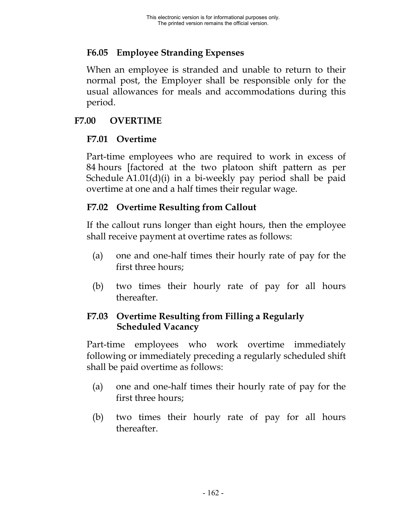## **F6.05 Employee Stranding Expenses**

When an employee is stranded and unable to return to their normal post, the Employer shall be responsible only for the usual allowances for meals and accommodations during this period.

## **F7.00 OVERTIME**

## **F7.01 Overtime**

Part-time employees who are required to work in excess of 84 hours [factored at the two platoon shift pattern as per Schedule A1.01(d)(i) in a bi-weekly pay period shall be paid overtime at one and a half times their regular wage.

# **F7.02 Overtime Resulting from Callout**

If the callout runs longer than eight hours, then the employee shall receive payment at overtime rates as follows:

- (a) one and one-half times their hourly rate of pay for the first three hours;
- (b) two times their hourly rate of pay for all hours thereafter.

## **F7.03 Overtime Resulting from Filling a Regularly Scheduled Vacancy**

Part-time employees who work overtime immediately following or immediately preceding a regularly scheduled shift shall be paid overtime as follows:

- (a) one and one-half times their hourly rate of pay for the first three hours;
- (b) two times their hourly rate of pay for all hours thereafter.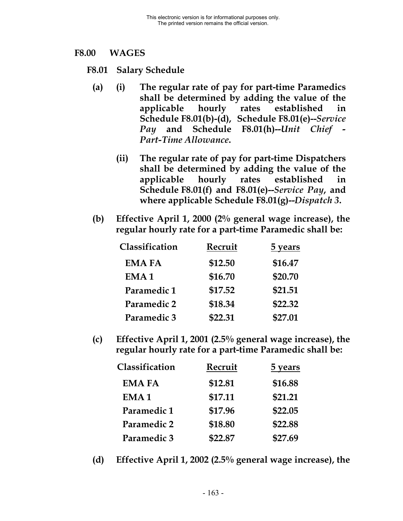#### **F8.00 WAGES**

- **F8.01 Salary Schedule**
	- **(a) (i) The regular rate of pay for part-time Paramedics shall be determined by adding the value of the applicable hourly rates established in Schedule F8.01(b)-(d), Schedule F8.01(e)--***Service Pay* **and Schedule F8.01(h)--***Unit Chief - Part-Time Allowance***.**
		- **(ii) The regular rate of pay for part-time Dispatchers shall be determined by adding the value of the applicable hourly rates established in Schedule F8.01(f) and F8.01(e)--***Service Pay***, and where applicable Schedule F8.01(g)--***Dispatch 3***.**
	- **(b) Effective April 1, 2000 (2% general wage increase), the regular hourly rate for a part-time Paramedic shall be:**

| Classification   | Recruit | <b>5</b> years |
|------------------|---------|----------------|
| <b>EMA FA</b>    | \$12.50 | \$16.47        |
| EMA <sub>1</sub> | \$16.70 | \$20.70        |
| Paramedic 1      | \$17.52 | \$21.51        |
| Paramedic 2      | \$18.34 | \$22.32        |
| Paramedic 3      | \$22.31 | \$27.01        |

**(c) Effective April 1, 2001 (2.5% general wage increase), the regular hourly rate for a part-time Paramedic shall be:**

| Classification   | Recruit | <b>5</b> years |
|------------------|---------|----------------|
| <b>EMA FA</b>    | \$12.81 | \$16.88        |
| EMA <sub>1</sub> | \$17.11 | \$21.21        |
| Paramedic 1      | \$17.96 | \$22.05        |
| Paramedic 2      | \$18.80 | \$22.88        |
| Paramedic 3      | \$22.87 | \$27.69        |

**(d) Effective April 1, 2002 (2.5% general wage increase), the**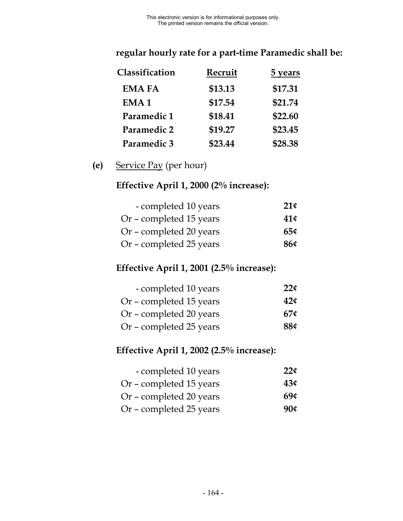# **regular hourly rate for a part-time Paramedic shall be:**

| Classification   | Recruit | <b>5</b> years |
|------------------|---------|----------------|
| <b>EMA FA</b>    | \$13.13 | \$17.31        |
| EMA <sub>1</sub> | \$17.54 | \$21.74        |
| Paramedic 1      | \$18.41 | \$22.60        |
| Paramedic 2      | \$19.27 | \$23.45        |
| Paramedic 3      | \$23.44 | \$28.38        |

## **(e)** Service Pay (per hour)

# **Effective April 1, 2000 (2% increase):**

| - completed 10 years    | 21 <sup>¢</sup> |
|-------------------------|-----------------|
| Or – completed 15 years | 41¢             |
| Or - completed 20 years | $65\circ$       |
| Or – completed 25 years | 86¢             |

# **Effective April 1, 2001 (2.5% increase):**

| - completed 10 years    | $22\mathcal{C}$ |
|-------------------------|-----------------|
| Or - completed 15 years | 42 <sub>¢</sub> |
| Or – completed 20 years | 67 <sup>c</sup> |
| Or – completed 25 years | 88¢             |

# **Effective April 1, 2002 (2.5% increase):**

| - completed 10 years    | $22\zeta$ |
|-------------------------|-----------|
| Or – completed 15 years | 43c       |
| Or – completed 20 years | 69¢       |
| Or – completed 25 years | 90¢       |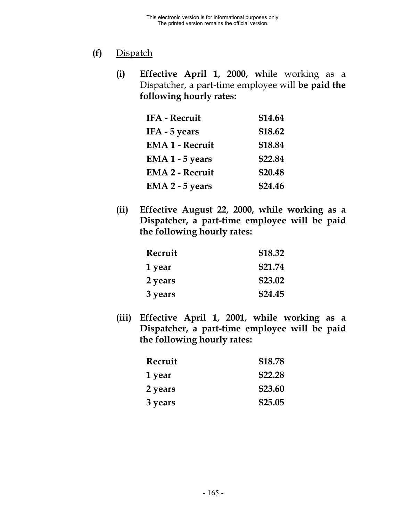# **(f)** Dispatch

**(i) Effective April 1, 2000, w**hile working as a Dispatcher, a part-time employee will **be paid the following hourly rates:**

| <b>IFA - Recruit</b>   | \$14.64 |
|------------------------|---------|
| IFA - 5 years          | \$18.62 |
| <b>EMA 1 - Recruit</b> | \$18.84 |
| EMA 1 - 5 years        | \$22.84 |
| <b>EMA 2 - Recruit</b> | \$20.48 |
| EMA 2 - 5 years        | \$24.46 |

**(ii) Effective August 22, 2000, while working as a Dispatcher, a part-time employee will be paid the following hourly rates:**

| Recruit        | \$18.32 |
|----------------|---------|
| 1 year         | \$21.74 |
| <b>2 years</b> | \$23.02 |
| 3 years        | \$24.45 |

**(iii) Effective April 1, 2001, while working as a Dispatcher, a part-time employee will be paid the following hourly rates:**

| Recruit | \$18.78 |
|---------|---------|
| 1 year  | \$22.28 |
| 2 years | \$23.60 |
| 3 years | \$25.05 |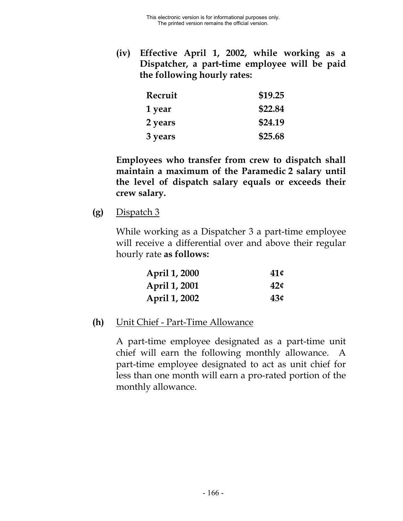**(iv) Effective April 1, 2002, while working as a Dispatcher, a part-time employee will be paid the following hourly rates:**

| Recruit | \$19.25 |
|---------|---------|
| 1 year  | \$22.84 |
| 2 years | \$24.19 |
| 3 years | \$25.68 |

**Employees who transfer from crew to dispatch shall maintain a maximum of the Paramedic 2 salary until the level of dispatch salary equals or exceeds their crew salary.**

**(g)** Dispatch 3

While working as a Dispatcher 3 a part-time employee will receive a differential over and above their regular hourly rate **as follows:**

| April 1, 2000 | 41¢             |
|---------------|-----------------|
| April 1, 2001 | 42 <sub>¢</sub> |
| April 1, 2002 | 43¢             |

**(h)** Unit Chief - Part-Time Allowance

A part-time employee designated as a part-time unit chief will earn the following monthly allowance. A part-time employee designated to act as unit chief for less than one month will earn a pro-rated portion of the monthly allowance.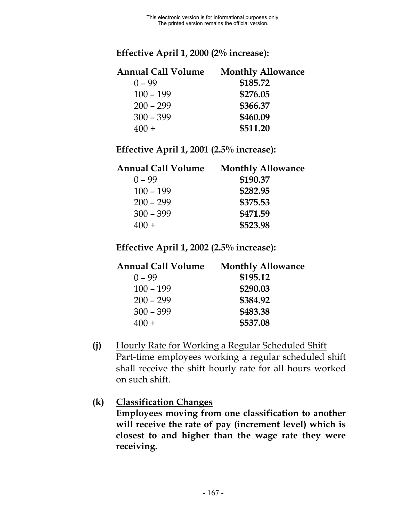## **Effective April 1, 2000 (2% increase):**

| <b>Annual Call Volume</b> | <b>Monthly Allowance</b> |  |
|---------------------------|--------------------------|--|
| $0 - 99$                  | \$185.72                 |  |
| $100 - 199$               | \$276.05                 |  |
| $200 - 299$               | \$366.37                 |  |
| $300 - 399$               | \$460.09                 |  |
| $400 +$                   | \$511.20                 |  |

**Effective April 1, 2001 (2.5% increase):**

| Annual Call Volume | <b>Monthly Allowance</b> |
|--------------------|--------------------------|
| $0 - 99$           | \$190.37                 |
| $100 - 199$        | \$282.95                 |
| $200 - 299$        | \$375.53                 |
| $300 - 399$        | \$471.59                 |
| $400 +$            | \$523.98                 |
|                    |                          |

**Effective April 1, 2002 (2.5% increase):**

| <b>Annual Call Volume</b> | <b>Monthly Allowance</b> |
|---------------------------|--------------------------|
| $0 - 99$                  | \$195.12                 |
| $100 - 199$               | \$290.03                 |
| $200 - 299$               | \$384.92                 |
| $300 - 399$               | \$483.38                 |
| $400 +$                   | \$537.08                 |
|                           |                          |

**(j)** Hourly Rate for Working a Regular Scheduled Shift Part-time employees working a regular scheduled shift shall receive the shift hourly rate for all hours worked on such shift.

**(k) Classification Changes Employees moving from one classification to another will receive the rate of pay (increment level) which is closest to and higher than the wage rate they were receiving.**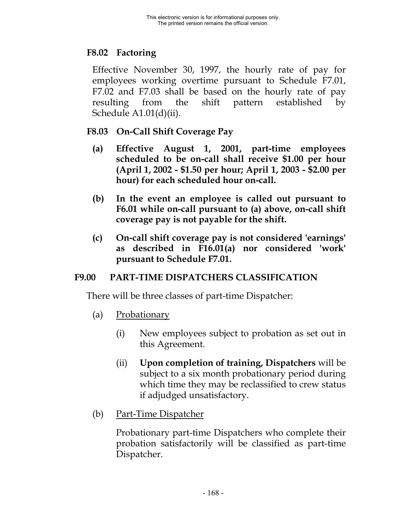# **F8.02 Factoring**

Effective November 30, 1997, the hourly rate of pay for employees working overtime pursuant to Schedule F7.01, F7.02 and F7.03 shall be based on the hourly rate of pay resulting from the shift pattern established by Schedule A1.01(d)(ii).

- **F8.03 On-Call Shift Coverage Pay**
	- **(a) Effective August 1, 2001, part-time employees scheduled to be on-call shall receive \$1.00 per hour (April 1, 2002 - \$1.50 per hour; April 1, 2003 - \$2.00 per hour) for each scheduled hour on-call.**
	- **(b) In the event an employee is called out pursuant to F6.01 while on-call pursuant to (a) above, on-call shift coverage pay is not payable for the shift.**
	- **(c) On-call shift coverage pay is not considered 'earnings' as described in F16.01(a) nor considered 'work' pursuant to Schedule F7.01.**

# **F9.00 PART-TIME DISPATCHERS CLASSIFICATION**

There will be three classes of part-time Dispatcher:

- (a) Probationary
	- (i) New employees subject to probation as set out in this Agreement.
	- (ii) **Upon completion of training, Dispatchers** will be subject to a six month probationary period during which time they may be reclassified to crew status if adjudged unsatisfactory.
- (b) Part-Time Dispatcher

Probationary part-time Dispatchers who complete their probation satisfactorily will be classified as part-time Dispatcher.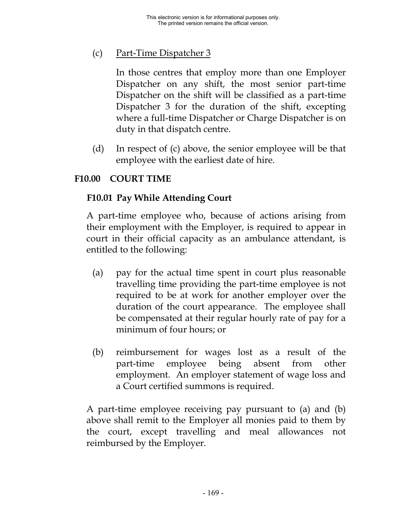# (c) Part-Time Dispatcher 3

In those centres that employ more than one Employer Dispatcher on any shift, the most senior part-time Dispatcher on the shift will be classified as a part-time Dispatcher 3 for the duration of the shift, excepting where a full-time Dispatcher or Charge Dispatcher is on duty in that dispatch centre.

(d) In respect of (c) above, the senior employee will be that employee with the earliest date of hire.

## **F10.00 COURT TIME**

### **F10.01 Pay While Attending Court**

A part-time employee who, because of actions arising from their employment with the Employer, is required to appear in court in their official capacity as an ambulance attendant, is entitled to the following:

- (a) pay for the actual time spent in court plus reasonable travelling time providing the part-time employee is not required to be at work for another employer over the duration of the court appearance. The employee shall be compensated at their regular hourly rate of pay for a minimum of four hours; or
- (b) reimbursement for wages lost as a result of the part-time employee being absent from other employment. An employer statement of wage loss and a Court certified summons is required.

A part-time employee receiving pay pursuant to (a) and (b) above shall remit to the Employer all monies paid to them by the court, except travelling and meal allowances not reimbursed by the Employer.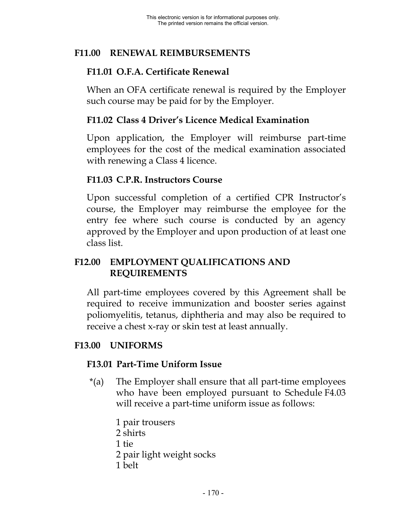# **F11.00 RENEWAL REIMBURSEMENTS**

## **F11.01 O.F.A. Certificate Renewal**

When an OFA certificate renewal is required by the Employer such course may be paid for by the Employer.

### **F11.02 Class 4 Driver's Licence Medical Examination**

Upon application, the Employer will reimburse part-time employees for the cost of the medical examination associated with renewing a Class 4 licence.

### **F11.03 C.P.R. Instructors Course**

Upon successful completion of a certified CPR Instructor's course, the Employer may reimburse the employee for the entry fee where such course is conducted by an agency approved by the Employer and upon production of at least one class list.

## **F12.00 EMPLOYMENT QUALIFICATIONS AND REQUIREMENTS**

All part-time employees covered by this Agreement shall be required to receive immunization and booster series against poliomyelitis, tetanus, diphtheria and may also be required to receive a chest x-ray or skin test at least annually.

## **F13.00 UNIFORMS**

#### **F13.01 Part-Time Uniform Issue**

- \*(a) The Employer shall ensure that all part-time employees who have been employed pursuant to Schedule F4.03 will receive a part-time uniform issue as follows:
	- 1 pair trousers 2 shirts 1 tie
	- 2 pair light weight socks
	- 1 belt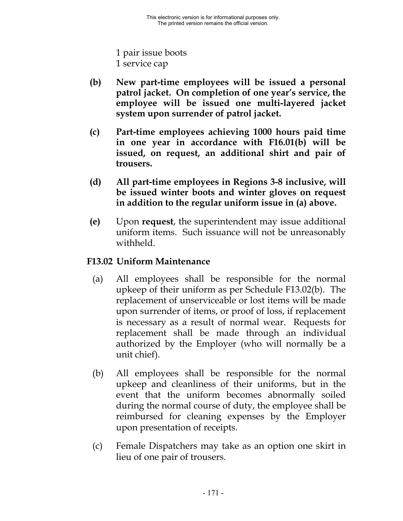1 pair issue boots 1 service cap

- **(b) New part-time employees will be issued a personal patrol jacket. On completion of one year's service, the employee will be issued one multi-layered jacket system upon surrender of patrol jacket.**
- **(c) Part-time employees achieving 1000 hours paid time in one year in accordance with F16.01(b) will be issued, on request, an additional shirt and pair of trousers.**
- **(d) All part-time employees in Regions 3-8 inclusive, will be issued winter boots and winter gloves on request in addition to the regular uniform issue in (a) above.**
- **(e)** Upon **request**, the superintendent may issue additional uniform items. Such issuance will not be unreasonably withheld.

## **F13.02 Uniform Maintenance**

- (a) All employees shall be responsible for the normal upkeep of their uniform as per Schedule F13.02(b). The replacement of unserviceable or lost items will be made upon surrender of items, or proof of loss, if replacement is necessary as a result of normal wear. Requests for replacement shall be made through an individual authorized by the Employer (who will normally be a unit chief).
- (b) All employees shall be responsible for the normal upkeep and cleanliness of their uniforms, but in the event that the uniform becomes abnormally soiled during the normal course of duty, the employee shall be reimbursed for cleaning expenses by the Employer upon presentation of receipts.
- (c) Female Dispatchers may take as an option one skirt in lieu of one pair of trousers.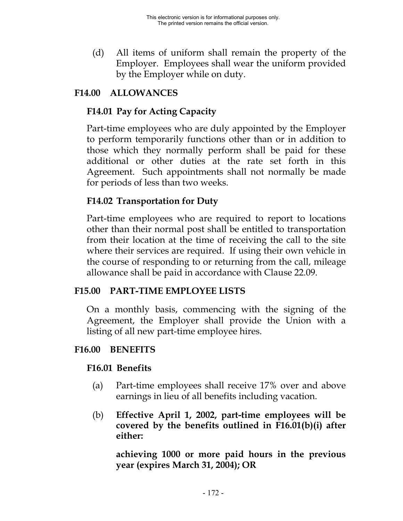(d) All items of uniform shall remain the property of the Employer. Employees shall wear the uniform provided by the Employer while on duty.

# **F14.00 ALLOWANCES**

## **F14.01 Pay for Acting Capacity**

Part-time employees who are duly appointed by the Employer to perform temporarily functions other than or in addition to those which they normally perform shall be paid for these additional or other duties at the rate set forth in this Agreement. Such appointments shall not normally be made for periods of less than two weeks.

## **F14.02 Transportation for Duty**

Part-time employees who are required to report to locations other than their normal post shall be entitled to transportation from their location at the time of receiving the call to the site where their services are required. If using their own vehicle in the course of responding to or returning from the call, mileage allowance shall be paid in accordance with Clause 22.09.

## **F15.00 PART-TIME EMPLOYEE LISTS**

On a monthly basis, commencing with the signing of the Agreement, the Employer shall provide the Union with a listing of all new part-time employee hires.

## **F16.00 BENEFITS**

# **F16.01 Benefits**

- (a) Part-time employees shall receive 17% over and above earnings in lieu of all benefits including vacation.
- (b) **Effective April 1, 2002, part-time employees will be covered by the benefits outlined in F16.01(b)(i) after either:**

**achieving 1000 or more paid hours in the previous year (expires March 31, 2004); OR**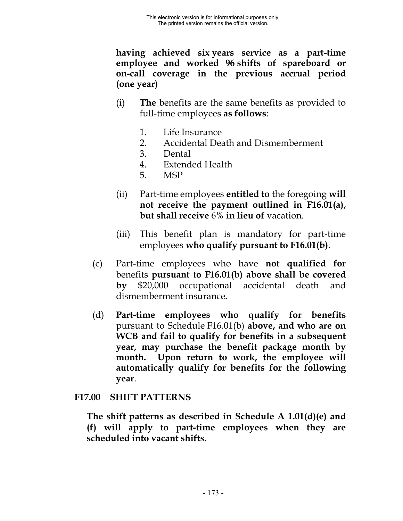**having achieved six years service as a part-time employee and worked 96 shifts of spareboard or on-call coverage in the previous accrual period (one year)**

- (i) **The** benefits are the same benefits as provided to full-time employees **as follows**:
	- 1. Life Insurance
	- 2. Accidental Death and Dismemberment
	- 3. Dental
	- 4. Extended Health
	- 5. MSP
- (ii) Part-time employees **entitled to** the foregoing **will not receive the payment outlined in F16.01(a), but shall receive** 6% **in lieu of** vacation.
- (iii) This benefit plan is mandatory for part-time employees **who qualify pursuant to F16.01(b)**.
- (c) Part-time employees who have **not qualified for** benefits **pursuant to F16.01(b) above shall be covered by** \$20,000 occupational accidental death and dismemberment insurance**.**
- (d) **Part-time employees who qualify for benefits** pursuant to Schedule F16.01(b) **above, and who are on WCB and fail to qualify for benefits in a subsequent year, may purchase the benefit package month by month. Upon return to work, the employee will automatically qualify for benefits for the following year**.

## **F17.00 SHIFT PATTERNS**

**The shift patterns as described in Schedule A 1.01(d)(e) and (f) will apply to part-time employees when they are scheduled into vacant shifts.**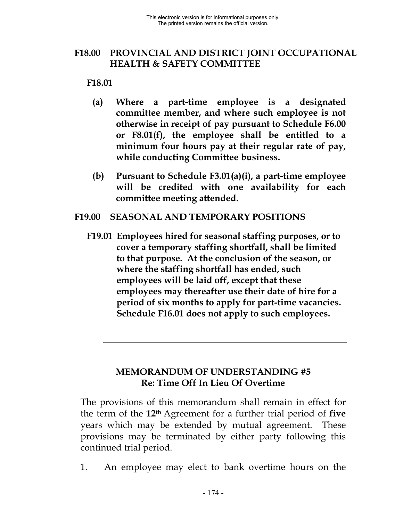## **F18.00 PROVINCIAL AND DISTRICT JOINT OCCUPATIONAL HEALTH & SAFETY COMMITTEE**

**F18.01**

- **(a) Where a part-time employee is a designated committee member, and where such employee is not otherwise in receipt of pay pursuant to Schedule F6.00 or F8.01(f), the employee shall be entitled to a minimum four hours pay at their regular rate of pay, while conducting Committee business.**
- **(b) Pursuant to Schedule F3.01(a)(i), a part-time employee will be credited with one availability for each committee meeting attended.**

#### **F19.00 SEASONAL AND TEMPORARY POSITIONS**

**F19.01 Employees hired for seasonal staffing purposes, or to cover a temporary staffing shortfall, shall be limited to that purpose. At the conclusion of the season, or where the staffing shortfall has ended, such employees will be laid off, except that these employees may thereafter use their date of hire for a period of six months to apply for part-time vacancies. Schedule F16.01 does not apply to such employees.**

## **MEMORANDUM OF UNDERSTANDING #5 Re: Time Off In Lieu Of Overtime**

The provisions of this memorandum shall remain in effect for the term of the **12th** Agreement for a further trial period of **five** years which may be extended by mutual agreement. These provisions may be terminated by either party following this continued trial period.

1. An employee may elect to bank overtime hours on the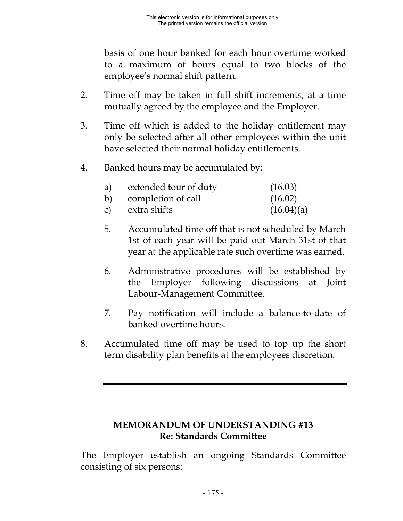basis of one hour banked for each hour overtime worked to a maximum of hours equal to two blocks of the employee's normal shift pattern.

- 2. Time off may be taken in full shift increments, at a time mutually agreed by the employee and the Employer.
- 3. Time off which is added to the holiday entitlement may only be selected after all other employees within the unit have selected their normal holiday entitlements.
- 4. Banked hours may be accumulated by:

| a) | extended tour of duty | (16.03)    |
|----|-----------------------|------------|
|    | b) completion of call | (16.02)    |
|    | c) extra shifts       | (16.04)(a) |

- 5. Accumulated time off that is not scheduled by March 1st of each year will be paid out March 31st of that year at the applicable rate such overtime was earned.
- 6. Administrative procedures will be established by the Employer following discussions at Joint Labour-Management Committee.
- 7. Pay notification will include a balance-to-date of banked overtime hours.
- 8. Accumulated time off may be used to top up the short term disability plan benefits at the employees discretion.

### **MEMORANDUM OF UNDERSTANDING #13 Re: Standards Committee**

The Employer establish an ongoing Standards Committee consisting of six persons: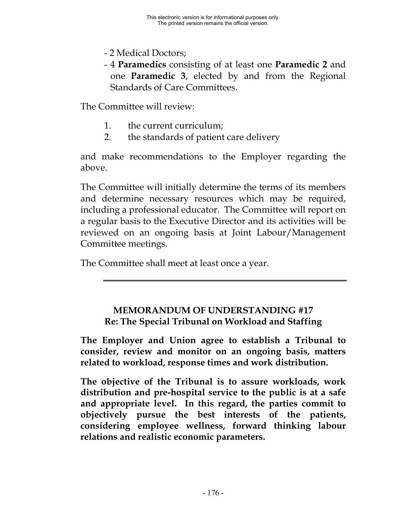- 2 Medical Doctors;
- 4 **Paramedics** consisting of at least one **Paramedic 2** and one **Paramedic 3**, elected by and from the Regional Standards of Care Committees.

The Committee will review:

- 1. the current curriculum;
- 2. the standards of patient care delivery

and make recommendations to the Employer regarding the above.

The Committee will initially determine the terms of its members and determine necessary resources which may be required, including a professional educator. The Committee will report on a regular basis to the Executive Director and its activities will be reviewed on an ongoing basis at Joint Labour/Management Committee meetings.

The Committee shall meet at least once a year.

## **MEMORANDUM OF UNDERSTANDING #17 Re: The Special Tribunal on Workload and Staffing**

**The Employer and Union agree to establish a Tribunal to consider, review and monitor on an ongoing basis, matters related to workload, response times and work distribution.**

**The objective of the Tribunal is to assure workloads, work distribution and pre-hospital service to the public is at a safe and appropriate level. In this regard, the parties commit to objectively pursue the best interests of the patients, considering employee wellness, forward thinking labour relations and realistic economic parameters.**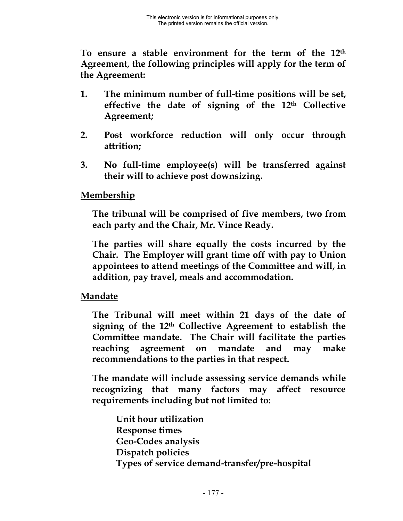**To ensure a stable environment for the term of the 12th Agreement, the following principles will apply for the term of the Agreement:**

- **1. The minimum number of full-time positions will be set, effective the date of signing of the 12th Collective Agreement;**
- **2. Post workforce reduction will only occur through attrition;**
- **3. No full-time employee(s) will be transferred against their will to achieve post downsizing.**

### **Membership**

**The tribunal will be comprised of five members, two from each party and the Chair, Mr. Vince Ready.**

**The parties will share equally the costs incurred by the Chair. The Employer will grant time off with pay to Union appointees to attend meetings of the Committee and will, in addition, pay travel, meals and accommodation.**

#### **Mandate**

**The Tribunal will meet within 21 days of the date of signing of the 12th Collective Agreement to establish the Committee mandate. The Chair will facilitate the parties reaching agreement on mandate and may make recommendations to the parties in that respect.**

**The mandate will include assessing service demands while recognizing that many factors may affect resource requirements including but not limited to:**

**Unit hour utilization Response times Geo-Codes analysis Dispatch policies Types of service demand-transfer/pre-hospital**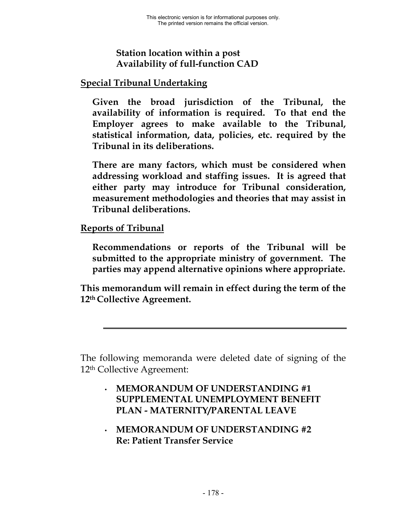## **Station location within a post Availability of full-function CAD**

## **Special Tribunal Undertaking**

**Given the broad jurisdiction of the Tribunal, the availability of information is required. To that end the Employer agrees to make available to the Tribunal, statistical information, data, policies, etc. required by the Tribunal in its deliberations.**

**There are many factors, which must be considered when addressing workload and staffing issues. It is agreed that either party may introduce for Tribunal consideration, measurement methodologies and theories that may assist in Tribunal deliberations.**

## **Reports of Tribunal**

**Recommendations or reports of the Tribunal will be submitted to the appropriate ministry of government. The parties may append alternative opinions where appropriate.**

**This memorandum will remain in effect during the term of the 12th Collective Agreement.**

The following memoranda were deleted date of signing of the 12th Collective Agreement:

- **MEMORANDUM OF UNDERSTANDING #1 SUPPLEMENTAL UNEMPLOYMENT BENEFIT PLAN - MATERNITY/PARENTAL LEAVE**
- **MEMORANDUM OF UNDERSTANDING #2 Re: Patient Transfer Service**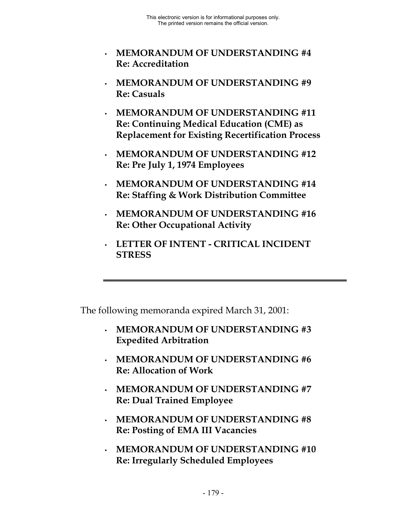- **MEMORANDUM OF UNDERSTANDING #4 Re: Accreditation**
- **MEMORANDUM OF UNDERSTANDING #9 Re: Casuals**
- **MEMORANDUM OF UNDERSTANDING #11 Re: Continuing Medical Education (CME) as Replacement for Existing Recertification Process**
- **MEMORANDUM OF UNDERSTANDING #12 Re: Pre July 1, 1974 Employees**
- **MEMORANDUM OF UNDERSTANDING #14 Re: Staffing & Work Distribution Committee**
- **MEMORANDUM OF UNDERSTANDING #16 Re: Other Occupational Activity**
- **LETTER OF INTENT CRITICAL INCIDENT STRESS**

The following memoranda expired March 31, 2001:

- **MEMORANDUM OF UNDERSTANDING #3 Expedited Arbitration**
- **MEMORANDUM OF UNDERSTANDING #6 Re: Allocation of Work**
- **MEMORANDUM OF UNDERSTANDING #7 Re: Dual Trained Employee**
- **MEMORANDUM OF UNDERSTANDING #8 Re: Posting of EMA III Vacancies**
- **MEMORANDUM OF UNDERSTANDING #10 Re: Irregularly Scheduled Employees**